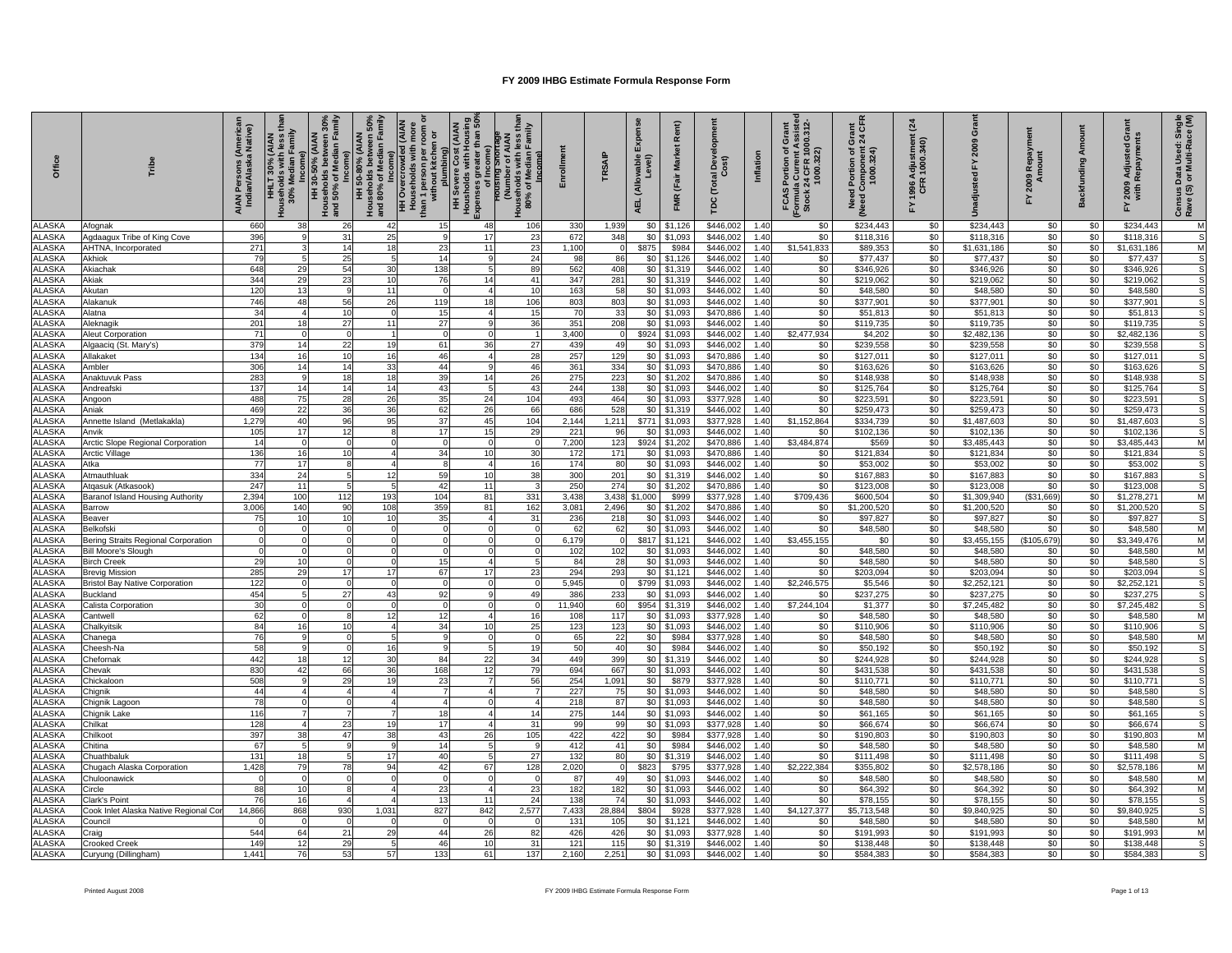| <b>Office</b>                  | Tribe                                             | Persons (America<br>an/Alaska Native)<br>Family<br>less <sup>-</sup><br><b>AIAN</b><br>4) 30%<br>Swith<br>edian F<br>Sepoles<br>HHLT 30<br>30% Me<br>Househ<br>AIAN F | Households between 30%<br>and 50% of Median Family<br>Income)<br>30-50% (AIAN<br>Ŧ | HH 50-80% (AIAN<br>Households between 50%<br>and 80% of Median Family<br>Income) | <b>HH Overcrowded (AIAN</b><br>Households with more<br>room<br>than 1 person per room<br>without kitchen or<br>with<br>per r | than 50<br>Cost (AIAN<br>HH Severe Cost (AIAN<br>Housholds with Housin<br>Expenses greater than 5<br>of Income) | less tha<br>Family<br>Median<br>with<br>৳<br>rrousing 3<br>(Number<br>৳<br>Househ<br>80% | nrollm          | TRSAIP        | Exper<br>wable<br>Level)<br>≤<br>AEL. | Rent)<br><b>Market</b><br>(Fair<br><b>FMR</b> | Devi<br>OSt)<br>$\overline{\mathbf{a}}$<br>Ë<br>rpc | Inflation    | nt Assister<br>1000.312-<br>Grant<br>Portion of<br>1 Current A<br>24 CFR 100<br>1000.322)<br>Formula C<br>Stock 24 0<br>FCAS | ដូ ង<br>ចិ ដ<br>omponent 2<br>1000.324)<br>Portion of<br>క్ర<br>Need<br>(Need | $\tilde{a}$<br>Adjustment<br>R 1000.340)<br>CFR<br>1996<br>놊 | Ğ<br>2009<br>놊<br>Unadjusted | Repay<br>mount<br>2009<br>$\blacktriangleleft$<br>놊 | Amount<br>Backfunding | ξ<br>ō<br>2009 Adjusted<br>with Repaymen<br>놊 | Census Data Used: Single<br>Rave (S) or Multi-Race (M) |
|--------------------------------|---------------------------------------------------|-----------------------------------------------------------------------------------------------------------------------------------------------------------------------|------------------------------------------------------------------------------------|----------------------------------------------------------------------------------|------------------------------------------------------------------------------------------------------------------------------|-----------------------------------------------------------------------------------------------------------------|------------------------------------------------------------------------------------------|-----------------|---------------|---------------------------------------|-----------------------------------------------|-----------------------------------------------------|--------------|------------------------------------------------------------------------------------------------------------------------------|-------------------------------------------------------------------------------|--------------------------------------------------------------|------------------------------|-----------------------------------------------------|-----------------------|-----------------------------------------------|--------------------------------------------------------|
| <b>ALASKA</b>                  | Afognak                                           | 660                                                                                                                                                                   | 38<br>26                                                                           | 42                                                                               |                                                                                                                              | 48                                                                                                              | 106                                                                                      | 330             | 1.939         | \$0                                   | \$1,126                                       | \$446.002                                           | 1.40         | \$0                                                                                                                          | \$234.443                                                                     | \$0                                                          | \$234.443                    | \$0                                                 | \$0                   | \$234.443                                     | M                                                      |
| <b>ALASKA</b>                  | Agdaagux Tribe of King Cove                       | 396                                                                                                                                                                   | 31                                                                                 | 25                                                                               |                                                                                                                              | 17                                                                                                              | 23                                                                                       | 672             | 348           | \$0                                   | \$1,093                                       | \$446,002                                           | 1.40         | \$0                                                                                                                          | \$118,316                                                                     | \$0                                                          | \$118,316                    | \$0                                                 | \$0                   | \$118,316                                     | s                                                      |
| <b>ALASKA</b>                  | AHTNA, Incorporated                               | 271                                                                                                                                                                   | 14                                                                                 | 18                                                                               | 23                                                                                                                           | 11                                                                                                              | 23                                                                                       | 1,100           | - 0           | \$875                                 | \$984                                         | \$446,002                                           | 1.40         | \$1,541,833                                                                                                                  | \$89,353                                                                      | \$0                                                          | \$1,631,186                  | \$0                                                 | \$0                   | \$1,631,186                                   | M                                                      |
| <b>ALASKA</b>                  | Akhiok                                            | 79                                                                                                                                                                    | 25                                                                                 |                                                                                  | 14                                                                                                                           |                                                                                                                 | 24                                                                                       | 98              | 86            | \$0                                   | \$1,126                                       | \$446,002                                           | 1.40         | \$0                                                                                                                          | \$77,437                                                                      | \$0                                                          | \$77,437                     | \$0                                                 | \$0                   | \$77,437                                      |                                                        |
| <b>ALASKA</b>                  | Akiachak                                          | 648                                                                                                                                                                   | 54<br>29                                                                           | 30                                                                               | 138                                                                                                                          |                                                                                                                 | 89                                                                                       | 562             | 408           | \$0                                   | \$1,319                                       | \$446,002                                           | 1.40         | \$0                                                                                                                          | \$346,926                                                                     | \$0                                                          | \$346,926                    | \$0                                                 | \$0                   | \$346,926                                     |                                                        |
| <b>ALASKA</b>                  | Akiak                                             | 344                                                                                                                                                                   | 23<br>29                                                                           | 10                                                                               | 76                                                                                                                           | 14                                                                                                              | 41                                                                                       | 347             | 281           | \$0                                   | \$1,319                                       | \$446,002                                           | 1.40         | \$0                                                                                                                          | \$219,062                                                                     | \$0                                                          | \$219,062                    | \$0                                                 | \$0                   | \$219,062                                     |                                                        |
| <b>ALASKA</b>                  | Akutan                                            | 120                                                                                                                                                                   |                                                                                    | 11                                                                               |                                                                                                                              |                                                                                                                 | 10                                                                                       | 163             | 58            | \$0                                   | \$1,093                                       | \$446.002                                           | 1.40         | \$0                                                                                                                          | \$48,580                                                                      | \$0                                                          | \$48,580                     | \$0                                                 | \$0                   | \$48,580                                      |                                                        |
| <b>ALASKA</b>                  | Alakanuk                                          | 746                                                                                                                                                                   | 48<br>56                                                                           | 26                                                                               | 119                                                                                                                          | 18                                                                                                              | 106                                                                                      | 803             | 803           | \$0                                   | \$1,093                                       | \$446,002                                           | 1.40         | \$0                                                                                                                          | \$377,901                                                                     | \$0                                                          | \$377,901                    | \$0                                                 | \$0                   | \$377,901                                     |                                                        |
| <b>ALASKA</b>                  | Alatna                                            | 34                                                                                                                                                                    | 10                                                                                 |                                                                                  | 15                                                                                                                           |                                                                                                                 | 15                                                                                       | 70              | 33            | \$0                                   | \$1,093                                       | \$470,886                                           | 1.40         | \$0                                                                                                                          | \$51,813                                                                      | \$0                                                          | \$51,813                     | \$0                                                 | \$0                   | \$51,813                                      |                                                        |
| <b>ALASKA</b>                  | Neknagik                                          | 201                                                                                                                                                                   | 27<br>18                                                                           | 11                                                                               | 27                                                                                                                           |                                                                                                                 | 36                                                                                       | 351             | 208           | \$0                                   | \$1,093                                       | \$446,002                                           | 1.40         | \$0                                                                                                                          | \$119,735                                                                     | \$0                                                          | \$119,735                    | \$0                                                 | \$0                   | \$119,735                                     |                                                        |
| <b>ALASKA</b>                  | Aleut Corporation                                 | 71                                                                                                                                                                    | $\Omega$<br>$\Omega$                                                               |                                                                                  | $\Omega$                                                                                                                     |                                                                                                                 |                                                                                          | 3,400           | $\Omega$      | \$924                                 | \$1,093                                       | \$446,002                                           | 1.40         | \$2,477,934                                                                                                                  | \$4,202                                                                       | \$0                                                          | \$2,482,136                  | \$0                                                 | \$0                   | \$2,482,136                                   |                                                        |
| <b>ALASKA</b>                  | Algaaciq (St. Mary's)                             | 379                                                                                                                                                                   | $\overline{22}$<br>14                                                              | 19                                                                               | 61                                                                                                                           | 36                                                                                                              | 27                                                                                       | 439             | 49            | \$0                                   | \$1,093                                       | \$446,002                                           | 1.4(         | \$0                                                                                                                          | \$239,558                                                                     | \$0                                                          | \$239,558                    | \$0                                                 | \$0                   | \$239,558                                     |                                                        |
| <b>ALASKA</b>                  | Allakaket                                         | 134                                                                                                                                                                   | 16<br>10                                                                           | 16                                                                               | 46                                                                                                                           |                                                                                                                 | 28                                                                                       | 257             | 129           | \$0                                   | \$1,093                                       | \$470.886                                           | 1.40         | \$0                                                                                                                          | \$127,011                                                                     | \$0                                                          | \$127,011                    | \$0                                                 | \$0                   | \$127.011                                     |                                                        |
| <b>ALASKA</b>                  | Ambler                                            | 306                                                                                                                                                                   | 14<br>14                                                                           | 33                                                                               | 44                                                                                                                           |                                                                                                                 | 46                                                                                       | 361             | 334           | \$0                                   | \$1,093                                       | \$470,886                                           | 1.40         | \$0                                                                                                                          | \$163,626                                                                     | \$0                                                          | \$163,626                    | \$0                                                 | \$0                   | \$163,626                                     | S                                                      |
| <b>ALASKA</b>                  | Anaktuvuk Pass                                    | 283                                                                                                                                                                   | 18                                                                                 | 18                                                                               | 39                                                                                                                           | 14                                                                                                              | 26                                                                                       | 275             | 223           | \$0                                   | \$1,202                                       | \$470,886                                           | 1.40         | \$0                                                                                                                          | \$148,938                                                                     | \$0                                                          | \$148,938                    | \$0                                                 | \$0                   | \$148,938                                     | S                                                      |
| <b>ALASKA</b>                  | Andreafsk                                         | 137                                                                                                                                                                   | 14<br>14                                                                           | 14                                                                               | 43                                                                                                                           |                                                                                                                 | 43                                                                                       | 244             | 138           | \$0                                   | \$1,093                                       | \$446,002                                           | 1.40         | \$0                                                                                                                          | \$125,764                                                                     | \$0                                                          | \$125,764                    | \$0                                                 | \$0                   | \$125,764                                     |                                                        |
| <b>ALASKA</b>                  | Angoon                                            | 488                                                                                                                                                                   | 75<br>28                                                                           | 26                                                                               | 35                                                                                                                           | 24                                                                                                              | 104                                                                                      | 493             | 464           | \$0                                   | \$1,093                                       | \$377,928                                           | 1.40         | \$0                                                                                                                          | \$223,591                                                                     | \$0                                                          | \$223,591                    | \$0                                                 | \$0                   | \$223,591                                     |                                                        |
| <b>ALASKA</b>                  | Aniak                                             | 469                                                                                                                                                                   | 22<br>36                                                                           | 36                                                                               | 62                                                                                                                           | 26                                                                                                              | 66                                                                                       | 686             | 528           | \$0                                   | \$1,319                                       | \$446,002                                           | 1.4(         | \$0                                                                                                                          | \$259.473                                                                     | \$0                                                          | \$259,473                    | \$0                                                 | \$0                   | \$259,473                                     |                                                        |
| <b>ALASKA</b>                  | Annette Island (Metlakakla)                       | 1,279                                                                                                                                                                 | 40<br>96                                                                           | 95                                                                               | 37                                                                                                                           | 45                                                                                                              | 104                                                                                      | 2,144           | 1,211         | \$771                                 | \$1,093                                       | \$377,928                                           | 1.40         | \$1,152,864                                                                                                                  | \$334,739                                                                     | \$0                                                          | \$1,487,603                  | \$0                                                 | \$0                   | \$1,487,603                                   |                                                        |
| <b>ALASKA</b>                  | Anvik                                             | 105                                                                                                                                                                   | 17<br>12                                                                           |                                                                                  | 17                                                                                                                           | 15                                                                                                              | 29                                                                                       | 221             | 96            | \$0                                   | \$1,093                                       | \$446,002                                           | 1.40         | \$0                                                                                                                          | \$102,136                                                                     | \$0                                                          | \$102,136                    | \$0                                                 | \$0                   | \$102,136                                     |                                                        |
| <b>ALASKA</b>                  | Arctic Slope Regional Corporation                 | 14<br>136                                                                                                                                                             | $\Omega$<br>$\Omega$<br>16                                                         | $\Omega$                                                                         | $\Omega$<br>34                                                                                                               | 10                                                                                                              | $\overline{0}$                                                                           | 7,200           | 123           | \$924                                 | \$1,202                                       | \$470,886                                           | 1.40         | \$3,484,874                                                                                                                  | \$569                                                                         | \$0                                                          | \$3,485,443                  | \$0                                                 | \$0                   | \$3,485,443                                   | M                                                      |
| <b>ALASKA</b>                  | Arctic Village                                    |                                                                                                                                                                       | 10                                                                                 |                                                                                  |                                                                                                                              |                                                                                                                 | 30                                                                                       | 172             | 171           | \$0                                   | \$1,093                                       | \$470,886                                           | 1.40         | \$0                                                                                                                          | \$121,834                                                                     | \$0                                                          | \$121,834                    | \$0<br>\$0                                          | \$0                   | \$121,834                                     |                                                        |
| <b>ALASKA</b>                  | Atka                                              | 77                                                                                                                                                                    | 17                                                                                 | 12                                                                               |                                                                                                                              |                                                                                                                 | 16                                                                                       | 174             | 80            | \$0                                   | \$1,093                                       | \$446,002                                           | 1.40         | \$0                                                                                                                          | \$53,002                                                                      | \$0                                                          | \$53,002                     |                                                     | \$0                   | \$53,002                                      |                                                        |
| <b>ALASKA</b>                  | Atmauthluak                                       | 334                                                                                                                                                                   | 24<br>11                                                                           |                                                                                  | 59<br>42                                                                                                                     | 10<br>11                                                                                                        | 38                                                                                       | 300<br>250      | 201           | \$0                                   | \$1,319                                       | \$446.002                                           | 1.40<br>14   | \$0                                                                                                                          | \$167.883                                                                     | \$0                                                          | \$167,883                    | \$0                                                 | \$0<br>\$0            | \$167.883                                     |                                                        |
| <b>ALASKA</b>                  | Atqasuk (Atkasook)                                | 247                                                                                                                                                                   |                                                                                    |                                                                                  |                                                                                                                              |                                                                                                                 |                                                                                          |                 | 274<br>3,438  | \$0                                   | \$1,202<br>\$999                              | \$470,886                                           |              | \$0<br>\$709,436                                                                                                             | \$123,008                                                                     | \$0                                                          | \$123,008                    | \$0<br>(\$31,669)                                   |                       | \$123,008                                     | M                                                      |
| <b>ALASKA</b><br><b>ALASKA</b> | Baranof Island Housing Authority<br><b>Barrow</b> | 2,394<br>100<br>3,006<br>140                                                                                                                                          | 112<br>90                                                                          | 193<br>108                                                                       | 104<br>359                                                                                                                   | 81<br>81                                                                                                        | 331<br>162                                                                               | 3,438<br>3,081  | 2,496         | \$1,000<br>\$0                        | \$1,202                                       | \$377,928<br>\$470,886                              | 1.40<br>1.40 | \$0                                                                                                                          | \$600,504<br>\$1,200,520                                                      | \$0<br>\$0                                                   | \$1,309,940<br>\$1,200,520   | \$0                                                 | \$0<br>\$0            | \$1,278,271<br>\$1,200,520                    |                                                        |
| <b>ALASKA</b>                  |                                                   | 75                                                                                                                                                                    | 10<br>10                                                                           | 10                                                                               | 35                                                                                                                           |                                                                                                                 | 31                                                                                       | 236             | 218           | \$0                                   | \$1,093                                       | \$446,002                                           | 1.40         | \$0                                                                                                                          | \$97,827                                                                      | \$0                                                          | \$97,827                     | \$0                                                 | \$0                   | \$97,827                                      |                                                        |
| <b>ALASKA</b>                  | leaver<br>Belkofski                               | $\overline{\mathbf{0}}$                                                                                                                                               | $\Omega$                                                                           |                                                                                  | $\circ$                                                                                                                      |                                                                                                                 | $\Omega$                                                                                 | 62              | 62            | \$0                                   | \$1,093                                       | \$446,002                                           | 1.40         | \$0                                                                                                                          | \$48,580                                                                      | \$0                                                          | \$48,580                     | \$0                                                 | \$0                   | \$48,580                                      | M                                                      |
| <b>ALASKA</b>                  | Bering Straits Regional Corporation               | $\Omega$                                                                                                                                                              | $\Omega$                                                                           |                                                                                  | $\Omega$                                                                                                                     |                                                                                                                 | $\Omega$                                                                                 | 6,179           | $\Omega$      | \$817                                 | \$1.121                                       | \$446.002                                           | 1.40         | \$3,455,155                                                                                                                  | \$0                                                                           | \$0                                                          | \$3.455.155                  | (\$105,679)                                         | \$0                   | \$3.349.476                                   | M                                                      |
| <b>ALASKA</b>                  | <b>Bill Moore's Slough</b>                        | $\Omega$                                                                                                                                                              |                                                                                    |                                                                                  | $\Omega$                                                                                                                     |                                                                                                                 | $\Omega$                                                                                 | 102             | 102           | \$0                                   | \$1,093                                       | \$446,002                                           | 1.40         | \$0                                                                                                                          | \$48,580                                                                      | \$0                                                          | \$48,580                     | \$0                                                 | \$0                   | \$48,580                                      | M                                                      |
| <b>ALASKA</b>                  | <b>Birch Creek</b>                                | 29                                                                                                                                                                    | 10                                                                                 | $\Omega$<br>$\Omega$                                                             | 15                                                                                                                           |                                                                                                                 | .5                                                                                       | 84              | 28            | \$0                                   | \$1,093                                       | \$446,002                                           | 1.40         | \$0                                                                                                                          | \$48,580                                                                      | \$0                                                          | \$48,580                     | \$0                                                 | \$0                   | \$48,580                                      | S                                                      |
| <b>ALASKA</b>                  | <b>revig Mission</b>                              | 285                                                                                                                                                                   | 29<br>17                                                                           | 17                                                                               | 67                                                                                                                           | 17                                                                                                              | 23                                                                                       | 294             | 293           | \$0                                   | \$1,121                                       | \$446,002                                           | 1.40         | \$0                                                                                                                          | \$203,094                                                                     | \$0                                                          | \$203,094                    | \$0                                                 | \$0                   | \$203,094                                     |                                                        |
| <b>ALASKA</b>                  | <b>Bristol Bay Native Corporation</b>             | 122                                                                                                                                                                   | $\Omega$                                                                           |                                                                                  |                                                                                                                              |                                                                                                                 | $\Omega$                                                                                 | 5,945           | - 0           | \$799                                 | \$1,093                                       | \$446,002                                           | 1.40         | \$2,246,575                                                                                                                  | \$5,546                                                                       | \$0                                                          | \$2,252,121                  | \$0                                                 | \$0                   | \$2,252,121                                   |                                                        |
| <b>ALASKA</b>                  | <b>Buckland</b>                                   | 454                                                                                                                                                                   | 27                                                                                 | 43                                                                               | 92                                                                                                                           |                                                                                                                 | 49                                                                                       | 386             | 233           | \$0                                   | \$1,093                                       | \$446,002                                           | 1.40         | \$0                                                                                                                          | \$237,275                                                                     | \$0                                                          | \$237,275                    | \$0                                                 | \$0                   | \$237,275                                     |                                                        |
| <b>ALASKA</b>                  | alista Corporation                                | 30                                                                                                                                                                    |                                                                                    |                                                                                  | $\Omega$                                                                                                                     |                                                                                                                 | $\Omega$                                                                                 | 11,940          | 60            | \$954                                 | \$1,319                                       | \$446.002                                           | 1.40         | \$7,244,104                                                                                                                  | \$1,377                                                                       | \$0                                                          | \$7.245.482                  | \$0                                                 | \$0                   | \$7.245.482                                   |                                                        |
| <b>ALASKA</b>                  | antwell;                                          | 62                                                                                                                                                                    |                                                                                    | 12                                                                               | 12                                                                                                                           |                                                                                                                 | 16                                                                                       | 108             | 117           | \$0                                   | \$1,093                                       | \$377,928                                           | 1.40         | \$0                                                                                                                          | \$48,580                                                                      | \$0                                                          | \$48,580                     | \$0                                                 | \$0                   | \$48,580                                      | M                                                      |
| <b>ALASKA</b>                  | halkyitsil                                        | 84                                                                                                                                                                    | 10<br>16                                                                           |                                                                                  | 34                                                                                                                           |                                                                                                                 | 25                                                                                       | 123             | 123           | \$0                                   | \$1,093                                       | \$446,002                                           | 1.40         | \$0                                                                                                                          | \$110,906                                                                     | \$0                                                          | \$110,906                    | \$0                                                 | \$0                   | \$110,906                                     | s                                                      |
| <b>ALASKA</b>                  | hanega:                                           | 76                                                                                                                                                                    |                                                                                    |                                                                                  |                                                                                                                              |                                                                                                                 |                                                                                          | 65              | 22            | \$0                                   | \$984                                         | \$377,928                                           | 1.40         | \$0                                                                                                                          | \$48,580                                                                      | \$0                                                          | \$48,580                     | \$0                                                 | \$0                   | \$48,580                                      |                                                        |
| <b>ALASKA</b>                  | heesh-Na                                          | 58                                                                                                                                                                    |                                                                                    | 16                                                                               |                                                                                                                              |                                                                                                                 | 19                                                                                       | 50              | 40            | \$0                                   | \$984                                         | \$446,002                                           | 1.40         | \$0                                                                                                                          | \$50,192                                                                      | \$0                                                          | \$50,192                     | \$0                                                 | \$0                   | \$50,192                                      |                                                        |
| <b>ALASKA</b>                  | hefornak:                                         | 442                                                                                                                                                                   |                                                                                    | 30                                                                               | 84                                                                                                                           |                                                                                                                 | 34                                                                                       | 449             | 399           | \$0                                   | \$1,319                                       | \$446,002                                           | 1.40         | \$0                                                                                                                          | \$244,928                                                                     | \$0                                                          | \$244.928                    | \$0                                                 | \$0                   | \$244.928                                     |                                                        |
| <b>ALASKA</b>                  | hevak:                                            | 830                                                                                                                                                                   | 66<br>42                                                                           | 36                                                                               | 168                                                                                                                          | 12                                                                                                              | 79                                                                                       | 694             | 667           | \$0                                   | \$1,093                                       | \$446.002                                           | 1.40         | \$0                                                                                                                          | \$431,538                                                                     | \$0                                                          | \$431,538                    | \$0                                                 | \$0                   | \$431,538                                     |                                                        |
| <b>ALASKA</b>                  | Chickaloon                                        | 508                                                                                                                                                                   | 29                                                                                 | 19                                                                               | 23                                                                                                                           |                                                                                                                 | 56                                                                                       | 254             | 1,091         | \$0                                   | \$879                                         | \$377,928                                           | 1.40         | \$0                                                                                                                          | \$110,771                                                                     | \$0                                                          | \$110,771                    | \$0                                                 | \$0                   | \$110,771                                     |                                                        |
| <b>ALASKA</b>                  | hignik:                                           | 44                                                                                                                                                                    |                                                                                    |                                                                                  |                                                                                                                              |                                                                                                                 |                                                                                          | 227             | 75            | \$0                                   | \$1,093                                       | \$446,002                                           | 1.40         | \$0                                                                                                                          | \$48,580                                                                      | \$0                                                          | \$48,580                     | \$0                                                 | \$0                   | \$48,580                                      |                                                        |
| <b>ALASKA</b>                  | hignik Lagoon                                     | 78                                                                                                                                                                    |                                                                                    |                                                                                  | $\overline{A}$                                                                                                               |                                                                                                                 | $\boldsymbol{\Delta}$                                                                    | 218             | 87            | \$0                                   | \$1,093                                       | \$446,002                                           | 1.40         | \$0                                                                                                                          | \$48,580                                                                      | \$0                                                          | \$48,580                     | \$0                                                 | \$0                   | \$48,580                                      |                                                        |
| <b>ALASKA</b>                  | Chignik Lake                                      | 116                                                                                                                                                                   |                                                                                    |                                                                                  | 18                                                                                                                           |                                                                                                                 | 14                                                                                       | 275             | 144           | \$0                                   | \$1,093                                       | \$446,002                                           | 1.40         | \$0                                                                                                                          | \$61,165                                                                      | \$0                                                          | \$61,165                     | \$0                                                 | \$0                   | \$61,165                                      |                                                        |
| ALASKA                         | hilkat:                                           | 128                                                                                                                                                                   | 23                                                                                 | 19                                                                               | 17                                                                                                                           |                                                                                                                 | 31                                                                                       | 99              | 99            | \$0                                   | \$1,093                                       | \$377,928                                           | 1.40         | \$0                                                                                                                          | \$66,674                                                                      | \$0                                                          | \$66,674                     | \$0                                                 | \$0                   | \$66,674                                      |                                                        |
| <b>ALASKA</b>                  | hilkoot                                           | 397                                                                                                                                                                   | 47<br>38                                                                           | 38                                                                               | 43                                                                                                                           | 26                                                                                                              | 105                                                                                      | 422             | 422           | \$0                                   | \$984                                         | \$377,928                                           | 1.40         | \$0                                                                                                                          | \$190.803                                                                     | \$0                                                          | \$190,803                    | \$0                                                 | \$0                   | \$190,803                                     | M                                                      |
| <b>ALASKA</b>                  | Chitina                                           | 67                                                                                                                                                                    |                                                                                    |                                                                                  | 14                                                                                                                           |                                                                                                                 |                                                                                          | 412             | 41            | \$0                                   | \$984                                         | \$446,002                                           | 1.40         | \$0                                                                                                                          | \$48,580                                                                      | \$0                                                          | \$48,580                     | \$0                                                 | \$0                   | \$48,580                                      | M                                                      |
| <b>ALASKA</b>                  | huathbaluk:                                       | 131                                                                                                                                                                   | 18                                                                                 | 17                                                                               | 40                                                                                                                           |                                                                                                                 | 27                                                                                       | 132             | 80            | \$0                                   | \$1,319                                       | \$446,002                                           | 1.41         | \$0                                                                                                                          | \$111,498                                                                     | \$0                                                          | \$111,498                    | \$0                                                 | \$0                   | \$111,498                                     |                                                        |
| <b>ALASKA</b>                  | Chugach Alaska Corporation                        | 1,428                                                                                                                                                                 | 79<br>78                                                                           | 94                                                                               | 42                                                                                                                           | 67                                                                                                              | 128                                                                                      | 2,020           | $\Omega$      | \$823                                 | \$795                                         | \$377,928                                           | 1.40         | \$2,222,384                                                                                                                  | \$355,802                                                                     | \$0                                                          | \$2,578,186                  | \$0                                                 | \$0                   | \$2,578,186                                   | M                                                      |
| <b>ALASKA</b>                  | Chuloonawick                                      | $\overline{\mathbf{0}}$                                                                                                                                               | $\Omega$                                                                           |                                                                                  | $\Omega$                                                                                                                     |                                                                                                                 | $\Omega$                                                                                 | 87              | 49            | \$0                                   | \$1,093                                       | \$446,002                                           | 1.40         | \$0                                                                                                                          | \$48,580                                                                      | \$0                                                          | \$48,580                     | \$0                                                 | \$0                   | \$48,580                                      | M                                                      |
| <b>ALASKA</b>                  | `ircle                                            | 88                                                                                                                                                                    | 10                                                                                 |                                                                                  | 23                                                                                                                           |                                                                                                                 | 23                                                                                       | 182             | 182           | \$0                                   | \$1.093                                       | \$446.002                                           | 1.40         | \$0                                                                                                                          | \$64.392                                                                      | \$0                                                          | \$64,392                     | \$0                                                 | \$0                   | \$64.392                                      | M                                                      |
| <b>ALASKA</b>                  | lark's Point                                      | 76                                                                                                                                                                    | 16                                                                                 |                                                                                  | 13                                                                                                                           | 11                                                                                                              | 24                                                                                       | 138             | 74            | \$0                                   | \$1,093                                       | \$446,002                                           | 1.40         | \$0                                                                                                                          | \$78,155                                                                      | \$0                                                          | \$78.155                     | \$0                                                 | \$0                   | \$78.155                                      | S                                                      |
| <b>ALASKA</b><br><b>ALASKA</b> | Cook Inlet Alaska Native Regional Co              | 868<br>14,866                                                                                                                                                         | 930<br>$\Omega$<br>$\Omega$                                                        | 1,031                                                                            | 827<br>$\Omega$                                                                                                              | 842                                                                                                             | 2,577<br>$\Omega$                                                                        | 7,433<br>131    | 28,884<br>105 | \$804<br>\$0                          | \$928<br>\$1,121                              | \$377,928<br>\$446,002                              | 1.40         | \$4,127,377<br>\$0                                                                                                           | \$5,713,548<br>\$48,580                                                       | \$0<br>\$0                                                   | \$9,840,925<br>\$48,580      | \$0<br>\$0                                          | \$0<br>\$0            | \$9,840,925<br>\$48,580                       | M                                                      |
| <b>ALASKA</b>                  | Council                                           | 544                                                                                                                                                                   | 64<br>21                                                                           | 29                                                                               | 44                                                                                                                           | 26                                                                                                              | 82                                                                                       | 426             | 426           | \$0                                   | \$1,093                                       | \$377,928                                           | 1.40<br>1.40 | \$0                                                                                                                          | \$191,993                                                                     | \$0                                                          | \$191,993                    | \$0                                                 | \$0                   | \$191,993                                     | M                                                      |
| ALASKA                         | raig<br>Crooked Creek                             | 149                                                                                                                                                                   | 29<br>12                                                                           |                                                                                  | 46                                                                                                                           | 10                                                                                                              | 31                                                                                       | 12 <sup>7</sup> | 115           | \$0                                   | \$1,319                                       | \$446,002                                           | 1.4(         | \$0                                                                                                                          | \$138,448                                                                     | \$0                                                          | \$138,448                    | \$0                                                 | \$0                   | \$138,448                                     |                                                        |
| <b>ALASKA</b>                  | Curyung (Dillingham)                              | 1.441                                                                                                                                                                 | 53                                                                                 |                                                                                  | 133                                                                                                                          | 61                                                                                                              | 137                                                                                      | 2.160           | 2.251         | \$0                                   | \$1,093                                       | \$446.002                                           | 1.40         | \$0                                                                                                                          | \$584.383                                                                     | \$0                                                          | \$584.383                    | \$0                                                 | \$0                   | \$584.383                                     |                                                        |
|                                |                                                   |                                                                                                                                                                       |                                                                                    |                                                                                  |                                                                                                                              |                                                                                                                 |                                                                                          |                 |               |                                       |                                               |                                                     |              |                                                                                                                              |                                                                               |                                                              |                              |                                                     |                       |                                               |                                                        |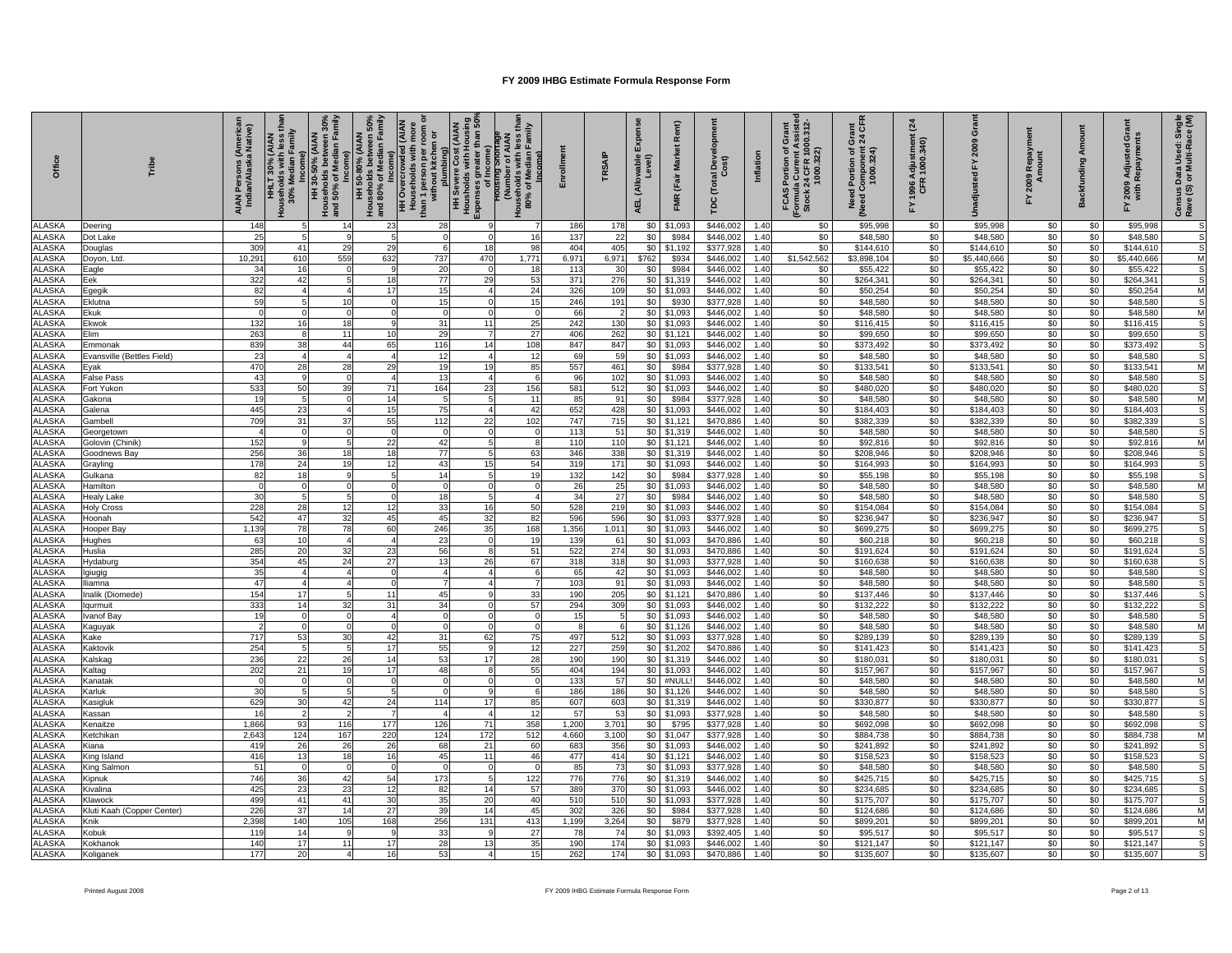| Office                | Tribe                      | AIAN Persons (American<br>Indian/Alaska Native) | Households with less ti<br>30% Median Family<br>HHLT 30% (AIAN | Households between 30%<br>and 50% of Median Family<br>Income)<br>HH 30-50% (AIAN<br>Income) | HH 50-80% (AIAN<br>Households between 50%<br>and 80% of Median Family<br>Income) | than 1 person per room or<br>without kitchen or<br>plumbing)<br><b>HH Overcrowded (AIAN</b><br>Households with more | HH Severe Cost (AIAN<br>Housholds with Housing<br>Housholds with Housing<br>Expenses greater than 50%<br>$\mathbf{r}$ | less tha<br>Family<br>₹<br>Rousing Short<br>Number of Al<br>Median<br>' চ<br>Househ<br>80% | Enrollment   | TRSAIP       | Expense<br>(Allowable<br>Level)<br><b>AEL</b> | Rent)<br>Market<br>(Fair<br><b>FMR</b> | TDC (Total Developm<br>Cost) | Inflation    | <b>urrent Assisted</b><br>;FR 1000.312-<br>FCAS Portion of Grant<br>24 CFR 100<br>1000.322)<br>Formula C<br>Stock 24 | Need Portion of Grant<br>(Need Component 24 CFR<br>1000.324) | (24)<br>FY 1996 Adjustment<br>CFR 1000.340) | Gra<br>2009<br>놊<br>adiusted | 09 Repay<br>Amount<br>2009<br>놊 | Amount<br>Backfunding | 2009 Adjusted Gr<br>with Repayments<br>ᇫ | Census Data Used: Single<br>Rave (S) or Multi-Race (M) |
|-----------------------|----------------------------|-------------------------------------------------|----------------------------------------------------------------|---------------------------------------------------------------------------------------------|----------------------------------------------------------------------------------|---------------------------------------------------------------------------------------------------------------------|-----------------------------------------------------------------------------------------------------------------------|--------------------------------------------------------------------------------------------|--------------|--------------|-----------------------------------------------|----------------------------------------|------------------------------|--------------|----------------------------------------------------------------------------------------------------------------------|--------------------------------------------------------------|---------------------------------------------|------------------------------|---------------------------------|-----------------------|------------------------------------------|--------------------------------------------------------|
| LASKA                 | Deering                    | 148                                             |                                                                | 14                                                                                          | 23                                                                               |                                                                                                                     |                                                                                                                       |                                                                                            | 186          | 178          | \$0                                           | \$1,093                                | \$446,002                    | 1.40         | \$0                                                                                                                  | \$95,998                                                     | \$0                                         | \$95.998                     | \$0                             | \$0                   | \$95,998                                 | S                                                      |
| ALASKA                | Dot Lake                   | 25                                              |                                                                |                                                                                             | 5                                                                                |                                                                                                                     |                                                                                                                       | 16                                                                                         | 137          | 22           | \$0                                           | \$984                                  | \$446,002                    | 1.40         | \$0                                                                                                                  | \$48,580                                                     | \$0                                         | \$48,580                     | \$0                             | \$0                   | \$48,580                                 | Ś                                                      |
| LASKA                 | Douglas                    | 309                                             | 41                                                             | 29                                                                                          | 29                                                                               |                                                                                                                     | 18                                                                                                                    | 98                                                                                         | 404          | 405          | \$0                                           | \$1,192                                | \$377,928                    | 1.40         | \$0                                                                                                                  | \$144,610                                                    | \$0                                         | \$144,610                    | \$0                             | \$0                   | \$144,610                                | S                                                      |
| LASKA                 | Doyon, Ltd                 | 10,29                                           | 610                                                            | 559                                                                                         | 632                                                                              | 737                                                                                                                 | 470                                                                                                                   | 1,771                                                                                      | 6,971        | 6,971        | \$762                                         | \$934                                  | \$446,002                    | 1.40         | \$1,542,562                                                                                                          | \$3,898,104                                                  | \$0                                         | \$5,440,666                  | \$0                             | \$0                   | \$5,440,666                              | M                                                      |
| LASKA                 | Eagle                      | 34                                              | 16<br>42                                                       |                                                                                             |                                                                                  | 20                                                                                                                  | 29                                                                                                                    | 18                                                                                         | 113          | 30           | \$0                                           | \$984                                  | \$446,002                    | 1.40         | \$0                                                                                                                  | \$55,422                                                     | \$0                                         | \$55,422                     | \$0                             | \$0                   | \$55,422                                 |                                                        |
| LASKA<br>LASKA        | Eek<br>Egegik              | 322<br>82                                       |                                                                |                                                                                             | 17                                                                               | 77<br>15                                                                                                            |                                                                                                                       | 53<br>24                                                                                   | 37'<br>326   | 276<br>109   | \$0<br>\$0                                    | \$1,319<br>\$1,093                     | \$446,002<br>\$446,002       | 1.40<br>1.40 | \$0<br>\$0                                                                                                           | \$264,341<br>\$50,254                                        | \$0<br>\$0                                  | \$264,341<br>\$50,254        | \$0<br>\$0                      | \$0<br>\$0            | \$264,341<br>\$50,254                    |                                                        |
| LASKA                 | Eklutna                    | 59                                              |                                                                | 10                                                                                          | $\Omega$                                                                         | 15                                                                                                                  |                                                                                                                       | 15                                                                                         | 246          | 191          | \$0                                           | \$930                                  | \$377,928                    | 1.40         | \$0                                                                                                                  | \$48,580                                                     | \$0                                         | \$48,580                     | \$0                             | \$0                   | \$48,580                                 |                                                        |
| LASKA                 | Ekuk                       |                                                 |                                                                |                                                                                             | $\Omega$                                                                         |                                                                                                                     |                                                                                                                       |                                                                                            | 66           | - 2          | \$0                                           | \$1,093                                | \$446,002                    | 1.40         | \$0                                                                                                                  | \$48,580                                                     | \$0                                         | \$48,580                     | \$0                             | \$0                   | \$48,580                                 | M                                                      |
| LASKA                 | Ekwok                      | 132                                             | 16                                                             | 18                                                                                          | $\mathbf{Q}$                                                                     | 31                                                                                                                  | 11                                                                                                                    | 25                                                                                         | 242          | 130          | \$0                                           | \$1,093                                | \$446,002                    | 1.40         | \$0                                                                                                                  | \$116,415                                                    | \$0                                         | \$116,415                    | \$0                             | \$0                   | \$116,415                                |                                                        |
| LASKA                 | Elim                       | 263                                             |                                                                | 11                                                                                          | 10                                                                               | 29                                                                                                                  |                                                                                                                       | 27                                                                                         | 406          | 262          | \$0                                           | \$1,12'                                | \$446,002                    | 1.40         | \$0                                                                                                                  | \$99,650                                                     | \$0                                         | \$99,650                     | \$0                             | \$0                   | \$99,650                                 |                                                        |
| LASKA                 | Emmonak                    | 839                                             | 38                                                             | 44                                                                                          | 65                                                                               | 116                                                                                                                 | 14                                                                                                                    | 108                                                                                        | 847          | 847          | \$0                                           | \$1,093                                | \$446,002                    | 1.40         | \$0                                                                                                                  | \$373,492                                                    | \$0                                         | \$373,492                    | \$0                             | \$0                   | \$373,492                                |                                                        |
| ALASKA                | Evansville (Bettles Field) | 23                                              |                                                                |                                                                                             |                                                                                  | 12                                                                                                                  |                                                                                                                       | 12                                                                                         | 69           | 59           | \$0                                           | \$1,093                                | \$446,002                    | 1.40         | \$0                                                                                                                  | \$48,580                                                     | \$0                                         | \$48,580                     | \$0                             | \$0                   | \$48,580                                 |                                                        |
| <b>LASKA</b>          | Eyak                       | 470                                             | 28                                                             | 28                                                                                          | 29                                                                               | 19                                                                                                                  | 19                                                                                                                    | 85                                                                                         | 557          | 461          | \$0                                           | \$984                                  | \$377,928                    | 1.40         | \$0                                                                                                                  | \$133,541                                                    | \$0                                         | \$133,541                    | \$0                             | \$0                   | \$133,541                                | M                                                      |
| LASKA                 | False Pass                 | 43                                              |                                                                |                                                                                             |                                                                                  | 13                                                                                                                  |                                                                                                                       |                                                                                            | 96           | 102          | \$0                                           | \$1,093                                | \$446,002                    | 1.40         | \$0                                                                                                                  | \$48,580                                                     | \$0                                         | \$48,580                     | \$0                             | \$0                   | \$48,580                                 | S                                                      |
| LASKA                 | Fort Yukon                 | 533                                             | 50                                                             | 39                                                                                          | 71                                                                               | 164                                                                                                                 | 23                                                                                                                    | 156                                                                                        | 581          | 512          | \$0                                           | \$1,093                                | \$446,002                    | 1.40         | \$0                                                                                                                  | \$480,020                                                    | \$0                                         | \$480,020                    | \$0                             | \$0                   | \$480,020                                |                                                        |
| LASKA                 | Gakona                     | 1 <sup>c</sup>                                  |                                                                |                                                                                             | 14                                                                               |                                                                                                                     |                                                                                                                       | 11                                                                                         | 85           | 91           | \$0                                           | \$984                                  | \$377,928                    | 1.40         | \$0                                                                                                                  | \$48,580                                                     | \$0                                         | \$48,580                     | \$0                             | \$0                   | \$48,580                                 |                                                        |
| LASKA                 | Galena                     | 445                                             | 2:                                                             |                                                                                             | 15                                                                               | 75                                                                                                                  |                                                                                                                       | 42                                                                                         | 652          | 428          | \$0                                           | \$1,093                                | \$446,002                    | 1.40         | \$0                                                                                                                  | \$184,403                                                    | \$0                                         | \$184,403                    | \$0                             | \$0                   | \$184,403                                |                                                        |
| LASKA                 | <b>Gambell</b>             | 709                                             | 31                                                             | 37                                                                                          | 55                                                                               | 112                                                                                                                 | 22                                                                                                                    | 102                                                                                        | 747          | 715          | \$0                                           | \$1,121                                | \$470,886                    | 1.40         | \$0                                                                                                                  | \$382.339                                                    | \$0                                         | \$382,339                    | \$0                             | \$0                   | \$382,339                                |                                                        |
| LASKA                 | Georgetown                 |                                                 |                                                                |                                                                                             | $\Omega$                                                                         |                                                                                                                     |                                                                                                                       |                                                                                            | 113          | 51           | \$0                                           | \$1,319                                | \$446,00                     | 1.40         | \$0                                                                                                                  | \$48,580                                                     | \$0                                         | \$48,580                     | \$0                             | \$0                   | \$48,580                                 |                                                        |
| LASKA                 | Golovin (Chinik            | 152                                             |                                                                |                                                                                             | 22                                                                               | 42                                                                                                                  |                                                                                                                       |                                                                                            | 110          | 110          | \$0                                           | \$1,12                                 | \$446,00                     | 1.40         | \$0                                                                                                                  | \$92,816                                                     | \$0                                         | \$92,81                      | \$0                             | \$0                   | \$92,816                                 | M                                                      |
| LASKA                 | Goodnews Bay               | 256                                             | 36                                                             | 18                                                                                          | 18                                                                               | 77                                                                                                                  |                                                                                                                       | 63                                                                                         | 346          | 338          | \$0                                           | \$1,319                                | \$446,002                    | 1.40         | \$0                                                                                                                  | \$208,946                                                    | \$0                                         | \$208,946                    | \$0                             | \$0                   | \$208,946                                |                                                        |
| LASKA                 | Grayling                   | 178                                             | 24                                                             | 19                                                                                          | 12                                                                               | 43                                                                                                                  | 15                                                                                                                    | 54                                                                                         | 315          | 171          | \$0                                           | \$1,093                                | \$446,002                    | 1.40         | \$0                                                                                                                  | \$164,993                                                    | \$0                                         | \$164,993                    | \$0                             | \$0                   | \$164,993                                |                                                        |
| LASKA                 | Gulkana                    | 82                                              |                                                                |                                                                                             |                                                                                  | 14                                                                                                                  |                                                                                                                       | 19                                                                                         | 132          | 142          | \$0                                           | \$984                                  | \$377,928                    | 1.40         | \$0                                                                                                                  | \$55,198                                                     | \$0                                         | \$55,198                     | \$0                             | \$0                   | \$55,198                                 |                                                        |
| ALASKA                | Hamilton                   |                                                 |                                                                |                                                                                             | $\Omega$                                                                         |                                                                                                                     |                                                                                                                       |                                                                                            | 26           | 25           | \$0                                           | \$1,093                                | \$446,002                    | 1.40         | \$0                                                                                                                  | \$48,580                                                     | \$0                                         | \$48,580                     | \$0                             | $\frac{6}{30}$        | \$48,580                                 | M                                                      |
| LASKA                 | <b>Healy Lake</b>          | 30                                              |                                                                |                                                                                             | $\Omega$                                                                         | 18                                                                                                                  |                                                                                                                       |                                                                                            | 34           | 27           | \$0                                           | \$984                                  | \$446,002                    | 1.40         | \$0                                                                                                                  | \$48,580                                                     | \$0                                         | \$48,580                     | \$0                             | \$0                   | \$48,580                                 | s                                                      |
| <b>LASKA</b>          | <b>Holy Cross</b>          | 228                                             | 28                                                             | 12                                                                                          | 12                                                                               | 33                                                                                                                  | 16                                                                                                                    | 50                                                                                         | 528          | 219          | \$0                                           | \$1,093                                | \$446,002                    | 1.40         | \$0                                                                                                                  | \$154,084                                                    | \$0                                         | \$154,084                    | \$0                             | \$0                   | \$154,084                                |                                                        |
| LASKA<br>LASKA        | Hoonah                     | 542<br>1,139                                    | 47<br>78                                                       | 32<br>78                                                                                    | 45                                                                               | 45<br>246                                                                                                           | 32<br>35                                                                                                              | 82<br>168                                                                                  | 596          | 596<br>1,011 | \$0<br>\$0                                    | \$1,093<br>\$1,093                     | \$377,928<br>\$446,002       | 1.40<br>1.40 | \$0<br>\$0                                                                                                           | \$236,947                                                    | \$0<br>\$0                                  | \$236,947<br>\$699,275       | \$0<br>\$0                      | \$0                   | \$236,947<br>\$699,275                   |                                                        |
| LASKA                 | Hooper Bay                 | 63                                              | 10                                                             |                                                                                             | 60                                                                               | 23                                                                                                                  |                                                                                                                       | 19                                                                                         | 1,356<br>139 | 61           | \$0                                           | \$1,093                                | \$470,886                    | 1.40         | \$0                                                                                                                  | \$699,275<br>\$60,218                                        | \$0                                         | \$60,218                     | \$0                             | \$0<br>\$0            | \$60,218                                 |                                                        |
| LASKA                 | Hughes<br><b>Huslia</b>    | 285                                             | 20                                                             | 32                                                                                          | 23                                                                               | 56                                                                                                                  |                                                                                                                       | 51                                                                                         | 522          | 274          | \$0                                           | \$1,093                                | \$470,88                     | 1.40         | \$0                                                                                                                  | \$191,624                                                    | \$0                                         | \$191,624                    | \$0                             | \$0                   | \$191,624                                |                                                        |
| LASKA                 | Hydabur                    | 354                                             | 45                                                             | 24                                                                                          | 27                                                                               | 13                                                                                                                  | 26                                                                                                                    | 67                                                                                         | 318          | 318          | \$0                                           | \$1,093                                | \$377,928                    | 1.40         | \$0                                                                                                                  | \$160,638                                                    | \$0                                         | \$160,638                    | \$0                             | \$0                   | \$160,638                                |                                                        |
| LASKA                 | Igiugig                    | 35                                              |                                                                |                                                                                             | $\Omega$                                                                         |                                                                                                                     |                                                                                                                       |                                                                                            | 65           | 42           | \$0                                           | \$1,093                                | \$446,00                     | 1.40         | \$0                                                                                                                  | \$48,580                                                     | \$0                                         | \$48,580                     | \$0                             | \$0                   | \$48,580                                 |                                                        |
| LASKA                 | liamna                     | 47                                              |                                                                |                                                                                             |                                                                                  |                                                                                                                     |                                                                                                                       |                                                                                            | 103          | 91           | \$0                                           | \$1,093                                | \$446,002                    | 1.40         | \$0                                                                                                                  | \$48,580                                                     | \$0                                         | \$48,580                     | \$0                             | \$0                   | \$48,580                                 |                                                        |
| LASKA                 | nalik (Diomede)            | 154                                             | 17                                                             |                                                                                             | 11                                                                               | 45                                                                                                                  |                                                                                                                       | 33                                                                                         | 190          | 205          | \$0                                           | \$1,121                                | \$470,886                    | 1.40         | \$0                                                                                                                  | \$137,446                                                    | \$0                                         | \$137,446                    | \$0                             | \$0                   | \$137,446                                |                                                        |
| LASKA                 | qurmuit                    | 333                                             |                                                                |                                                                                             | 31                                                                               | 34                                                                                                                  |                                                                                                                       | 57                                                                                         | 294          | 309          | \$0                                           | \$1,093                                | \$446,002                    | 1.40         | \$0                                                                                                                  | \$132,222                                                    | \$0                                         | \$132,222                    | \$0                             | \$0                   | \$132,222                                |                                                        |
| LASKA                 | vanof Ba                   | 19                                              |                                                                |                                                                                             |                                                                                  |                                                                                                                     |                                                                                                                       |                                                                                            | 15           |              | \$0                                           | \$1,093                                | \$446,002                    | 1.40         | \$0                                                                                                                  | \$48,580                                                     | \$0                                         | \$48,580                     | \$0                             | \$0                   | \$48,580                                 | S                                                      |
| LASKA                 | Kaguyak                    |                                                 |                                                                |                                                                                             |                                                                                  |                                                                                                                     |                                                                                                                       |                                                                                            |              |              | \$0                                           | \$1,126                                | \$446,002                    | 1.40         | \$0                                                                                                                  | \$48,580                                                     | \$0                                         | \$48,580                     | \$0                             | \$0                   | \$48,580                                 | M                                                      |
| LASKA                 | Kake                       | 717                                             | 53                                                             | 30                                                                                          | 42                                                                               | 31                                                                                                                  | 62                                                                                                                    | 75                                                                                         | 497          | 512          | \$0                                           | \$1.093                                | \$377,928                    | 1.40         | \$0                                                                                                                  | \$289,139                                                    | \$0                                         | \$289,139                    | \$0                             | \$0                   | \$289,139                                |                                                        |
| LASKA                 | Kaktovik                   | 254                                             |                                                                |                                                                                             | 17                                                                               | 55                                                                                                                  |                                                                                                                       | 12                                                                                         | 227          | 259          | \$0                                           | \$1,202                                | \$470,886                    | 1.40         | \$0                                                                                                                  | \$141,423                                                    | \$0                                         | \$141,423                    | \$0                             | \$0                   | \$141,423                                |                                                        |
| LASKA                 | Kalskag                    | 236                                             | 2 <sup>2</sup>                                                 | 26                                                                                          | 14                                                                               | 5:                                                                                                                  | 17                                                                                                                    | 28                                                                                         | 190          | 190          | \$0                                           | \$1,319                                | \$446,002                    | 1.40         | \$0                                                                                                                  | \$180,031                                                    | \$0                                         | \$180,031                    | \$0                             | \$0                   | \$180,031                                |                                                        |
| LASKA                 | Kaltag                     | 202                                             | 21                                                             | 19                                                                                          | 17                                                                               | 48                                                                                                                  |                                                                                                                       | 55                                                                                         | 404          | 194          | \$0                                           | \$1,093                                | \$446,00                     | 1.40         | \$0                                                                                                                  | \$157,967                                                    | \$0                                         | \$157,967                    | \$0                             | \$0                   | \$157,967                                |                                                        |
| LASKA                 | Kanatak                    |                                                 |                                                                |                                                                                             | $\Omega$                                                                         |                                                                                                                     |                                                                                                                       |                                                                                            | 133          | 57           | \$0                                           | #NULI                                  | \$446,00                     | 1.40         | \$0                                                                                                                  | \$48,580                                                     | \$0                                         | \$48,580                     | \$0                             | \$0                   | \$48,580                                 | M                                                      |
| LASKA                 | Karluk                     | $\overline{3}$                                  |                                                                |                                                                                             |                                                                                  |                                                                                                                     |                                                                                                                       |                                                                                            | 186          | 186          | \$0                                           | \$1,126                                | \$446,002                    | 1.40         | \$0                                                                                                                  | \$48,580                                                     | \$0                                         | \$48,580                     | \$0                             | \$0                   | \$48,580                                 |                                                        |
| LASKA                 | Kasigluk                   | 629                                             | 30                                                             | 42                                                                                          | 24                                                                               | 114                                                                                                                 | 17                                                                                                                    | 85                                                                                         | 607          | 603          | \$0                                           | \$1,31                                 | \$446,002                    | 1.40         | \$0                                                                                                                  | \$330,877                                                    | \$0                                         | \$330,877                    | \$0                             | \$0                   | \$330,877                                |                                                        |
| LASKA                 | Kassan                     | 1 <sub>1</sub>                                  |                                                                |                                                                                             |                                                                                  |                                                                                                                     |                                                                                                                       | 12                                                                                         | 57           | 53           | \$0                                           | \$1,093                                | \$377,928                    | 1.40         | \$0                                                                                                                  | \$48,580                                                     | \$0                                         | \$48,580                     | \$0                             | \$0                   | \$48,580                                 |                                                        |
| ALASKA                | Kenaitze                   | 1,866                                           | 93                                                             | 116                                                                                         | 177                                                                              | 126                                                                                                                 | 71                                                                                                                    | 358                                                                                        | 1,200        | 3,701        | \$0                                           | \$795                                  | \$377,928                    | 1.40         | \$0                                                                                                                  | \$692,098                                                    | \$0                                         | \$692,098                    | \$0                             | \$0                   | \$692,098                                |                                                        |
| <b>LASKA</b><br>LASKA | <b>Ketchikan</b>           | 2,643<br>419                                    | 124                                                            | 167                                                                                         | 220                                                                              | 124<br>68                                                                                                           | 172<br>21                                                                                                             | 512                                                                                        | 4,660<br>683 | 3,100<br>356 | \$0<br>\$0                                    | \$1,047<br>\$1,093                     | \$377,928                    | 1.40         | \$0<br>\$0                                                                                                           | \$884,738<br>\$241,892                                       | \$0<br>\$0                                  | \$884,738<br>\$241,892       | \$0<br>\$0                      | \$0<br>\$0            | \$884,738<br>\$241,892                   | M<br>s                                                 |
| LASKA                 | Kiana<br>King Island       | 416                                             | 26<br>13                                                       | 26<br>18                                                                                    | 26<br>16                                                                         | 45                                                                                                                  | 11                                                                                                                    | 60<br>46                                                                                   | 477          | 414          | \$0                                           | \$1,121                                | \$446,002<br>\$446,002       | 1.40<br>1.40 | \$0                                                                                                                  | \$158,523                                                    | \$0                                         | \$158,523                    | \$0                             | \$0                   | \$158,523                                |                                                        |
| LASKA                 | King Salmon                | 51                                              |                                                                |                                                                                             | $\Omega$                                                                         |                                                                                                                     |                                                                                                                       |                                                                                            | 85           | 73           | \$0                                           | \$1,093                                | \$377,928                    | 1.40         | \$0                                                                                                                  | \$48,580                                                     | \$0                                         | \$48,580                     | \$0                             | \$0                   | \$48,580                                 |                                                        |
| LASKA                 | Kipnuk                     | 746                                             | 36                                                             | 42                                                                                          | 54                                                                               | 173                                                                                                                 | 51                                                                                                                    | 122                                                                                        | 776          | 776          | \$0                                           | \$1,319                                | \$446,002                    | 1.40         | \$0                                                                                                                  | \$425,715                                                    | \$0                                         | \$425,715                    | \$0                             | \$0                   | \$425,715                                |                                                        |
| LASKA                 | Kivalina                   | 425                                             | 2:                                                             | 23                                                                                          | 12                                                                               | 82                                                                                                                  | 14                                                                                                                    | 57                                                                                         | 389          | 370          | \$0                                           | \$1,093                                | \$446,002                    | 1.40         | \$0                                                                                                                  | \$234.685                                                    | \$0                                         | \$234,685                    | \$0                             | \$0                   | \$234,685                                |                                                        |
| LASKA                 | Klawock                    | 499                                             | 41                                                             | 41                                                                                          | 30                                                                               | 35                                                                                                                  | 20                                                                                                                    | 40                                                                                         | 510          | 510          | \$0                                           | \$1,093                                | \$377,928                    | 1.40         | \$0                                                                                                                  | \$175,707                                                    | \$0                                         | \$175,707                    | \$0                             | \$0                   | \$175,707                                |                                                        |
| LASKA                 | Kluti Kaah (Copper Center) | 226                                             | 37                                                             | 14                                                                                          | 27                                                                               | 39                                                                                                                  | 14                                                                                                                    | 45                                                                                         | 302          | 326          | \$0                                           | \$984                                  | \$377,928                    | 1.40         | \$0                                                                                                                  | \$124,686                                                    | \$0                                         | \$124,686                    | \$0                             | \$0                   | \$124,686                                | M                                                      |
| LASKA                 | Knik                       | 2,398                                           | 140                                                            | 105                                                                                         | 168                                                                              | 256                                                                                                                 | 131                                                                                                                   | 413                                                                                        | 1,199        | 3,264        | \$0                                           | \$879                                  | \$377,928                    | 1.40         | \$0                                                                                                                  | \$899,201                                                    | \$0                                         | \$899,201                    | \$0                             | \$0                   | \$899,201                                | M                                                      |
| LASKA                 | Kobuk                      | 11 <sub>5</sub>                                 | 14                                                             |                                                                                             |                                                                                  | 33                                                                                                                  |                                                                                                                       | 27                                                                                         |              | 74           | \$0                                           | \$1,093                                | \$392,405                    | 1.40         | \$0                                                                                                                  | \$95,517                                                     | \$0                                         | \$95,517                     | \$0                             | \$0                   | \$95,517                                 |                                                        |
| ALASKA                | Kokhanok                   | 140                                             | 17                                                             | 11                                                                                          | 17                                                                               | 28                                                                                                                  | 13                                                                                                                    | 35                                                                                         | 190          | 174          | \$0                                           | \$1,093                                | \$446,002                    | 1.40         | \$0                                                                                                                  | \$121,147                                                    | \$0                                         | \$121,147                    | \$0                             | \$0                   | \$121,147                                |                                                        |
| <b>ALASKA</b>         | Koliganek                  | 177                                             | $\mathfrak{p}$                                                 |                                                                                             | 16                                                                               | 53                                                                                                                  |                                                                                                                       | 15                                                                                         | 262          | 174          | \$0                                           | \$1,093                                | \$470.886                    | 1.40         | \$0                                                                                                                  | \$135.607                                                    | \$0                                         | \$135,607                    | \$0                             | \$0                   | \$135,607                                |                                                        |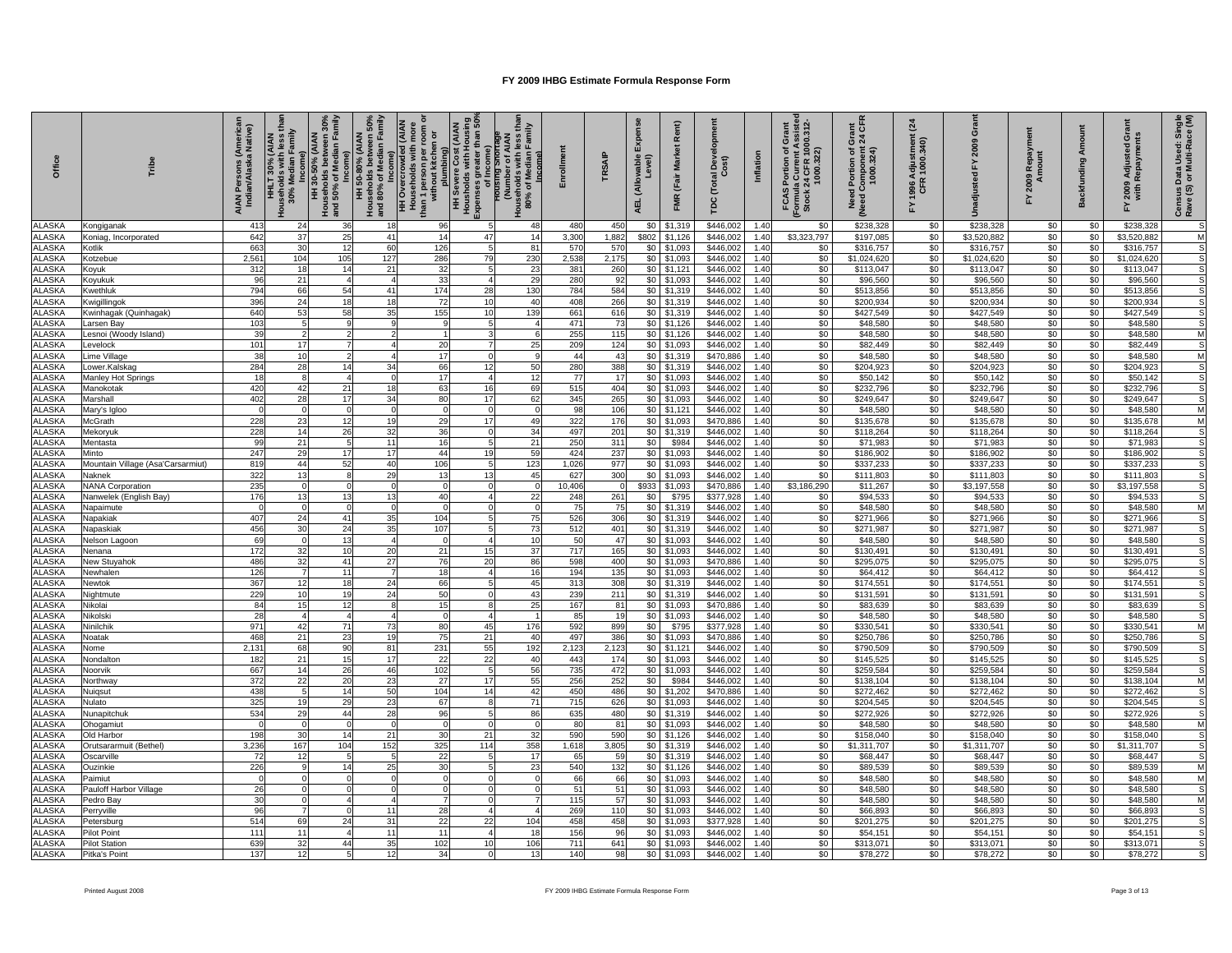| <b>Office</b>                  | Tribe                                                                                                                                                                                                                                                                                                   | AIAN Persons (Americaı<br>Indian/Alaska Native)<br><b>AIAN</b><br>30% (A<br>s with<br>splouesnoµ<br>Households | h less th<br>Family<br>Income)<br>30% Median | Households between 30%<br>and 50% of Median Family<br>HH 30-50% (AIAN<br>Income) | HH 50-80% (AIAN<br>Households between 50%<br>and 80% of Median Family<br>Income) | <b>HH Overcrowded (AIAN</b><br>Households with more<br>than 1 person per room or<br>without kitchen or | HH Severe Cost (AIAN<br>Housholds with Housing<br>Housholds with Housing<br>Expenses greater than 50%<br>of Income) | less tha<br>Family<br>NVI<br>Ge1<br>Rumber of All<br>Mumber of All<br>Median<br>with<br>혼호<br>Househ<br>80% | nrollme     | <b>SAIP</b><br>Æ | Expe<br>Level)<br><b>wable</b><br>ड<br><b>AEL</b> | Rent)<br><b>Market</b><br>(Fair<br>FMR | Developme<br>:ost)<br><b>Total</b><br>rpc | Inflation    | nt Assisted<br>1000.312-<br>FCAS Portion of Grant<br>1 CFR 100<br>000.322)<br>Current<br>Formula C<br>Stock 24 | ៖្លូ<br>------on of Gra.<br>  Component 24<br>  100.324)<br>Need<br>(Need ( | (24)<br>i Adjustment (<br>R 1000.340)<br>FY 1996 A<br>CFR | Gra<br>2009<br>ፚ       | 09 Repay<br>Amount<br>2009<br>놊 | Amount<br>Backfunding | 2009 Adjusted Gr<br>with Repayments<br>ᇫ | Census Data Used: Single<br>Rave (S) or Multi-Race (M) |
|--------------------------------|---------------------------------------------------------------------------------------------------------------------------------------------------------------------------------------------------------------------------------------------------------------------------------------------------------|----------------------------------------------------------------------------------------------------------------|----------------------------------------------|----------------------------------------------------------------------------------|----------------------------------------------------------------------------------|--------------------------------------------------------------------------------------------------------|---------------------------------------------------------------------------------------------------------------------|-------------------------------------------------------------------------------------------------------------|-------------|------------------|---------------------------------------------------|----------------------------------------|-------------------------------------------|--------------|----------------------------------------------------------------------------------------------------------------|-----------------------------------------------------------------------------|-----------------------------------------------------------|------------------------|---------------------------------|-----------------------|------------------------------------------|--------------------------------------------------------|
| <b>ALASKA</b>                  | iongiganak                                                                                                                                                                                                                                                                                              | 413                                                                                                            | 24                                           | 36                                                                               | 18                                                                               |                                                                                                        |                                                                                                                     | 48                                                                                                          | 480         | 450              | \$0                                               | \$1,319                                | \$446,002                                 | 1.4          | \$0                                                                                                            | \$238,328                                                                   | \$0                                                       | \$238,328              | \$0                             | \$0                   | \$238,328                                | S                                                      |
| <b>ALASKA</b>                  | Koniag, Incorporated                                                                                                                                                                                                                                                                                    | 642                                                                                                            | 37                                           | 25                                                                               | 41                                                                               | 14                                                                                                     | 47                                                                                                                  | 14                                                                                                          | 3.300       | 1.882            | \$802                                             | \$1,126                                | \$446.002                                 | 1.40         | \$3,323,797                                                                                                    | \$197.085                                                                   | \$0                                                       | \$3,520,882            | \$0                             | $\mathcal{S}$ 0       | \$3,520.882                              | M                                                      |
| <b>ALASKA</b>                  | <otlik< td=""><td>663</td><td>30</td><td>12</td><td>60</td><td>126</td><td></td><td>81</td><td>570</td><td>570</td><td>\$0</td><td>\$1,093</td><td>\$446,002</td><td>1.40</td><td>\$0</td><td>\$316,757</td><td>\$0</td><td>\$316,757</td><td>\$0</td><td>\$0</td><td>\$316,757</td><td>s</td></otlik<> | 663                                                                                                            | 30                                           | 12                                                                               | 60                                                                               | 126                                                                                                    |                                                                                                                     | 81                                                                                                          | 570         | 570              | \$0                                               | \$1,093                                | \$446,002                                 | 1.40         | \$0                                                                                                            | \$316,757                                                                   | \$0                                                       | \$316,757              | \$0                             | \$0                   | \$316,757                                | s                                                      |
| <b>ALASKA</b>                  | <b>Cotzebue</b>                                                                                                                                                                                                                                                                                         | 2,561                                                                                                          | 104                                          | 105                                                                              | 127                                                                              | 286                                                                                                    | 79                                                                                                                  | 230                                                                                                         | 2.538       | 2,175            | \$0                                               | \$1,093                                | \$446,002                                 | 1.40         | \$0                                                                                                            | \$1,024,620                                                                 | \$0                                                       | \$1,024,620            | \$0                             | \$0                   | \$1,024,620                              | S                                                      |
| <b>ALASKA</b>                  | .oyuk                                                                                                                                                                                                                                                                                                   | 312                                                                                                            | 18                                           | 14                                                                               | 21                                                                               | 32                                                                                                     |                                                                                                                     | 23                                                                                                          | 381         | 260              | \$0                                               | \$1,121                                | \$446,002                                 | 1.40         | \$0                                                                                                            | \$113,047                                                                   | \$0                                                       | \$113,047              | \$0                             | \$0                   | \$113,047                                |                                                        |
| <b>ALASKA</b>                  | (oyukuk                                                                                                                                                                                                                                                                                                 | 96                                                                                                             | 21                                           |                                                                                  |                                                                                  | 33                                                                                                     |                                                                                                                     | 29                                                                                                          | 280         | 92               | \$0                                               | \$1,093                                | \$446,002                                 | 1.40         | \$0                                                                                                            | \$96,560                                                                    | \$0                                                       | \$96,560               | \$0                             | \$0                   | \$96,560                                 |                                                        |
| <b>ALASKA</b>                  | wethluk                                                                                                                                                                                                                                                                                                 | 794                                                                                                            | 66                                           | 54                                                                               | 41                                                                               | 174                                                                                                    | 28                                                                                                                  | 130                                                                                                         | 784         | 584              | \$0                                               | \$1,319                                | \$446,002                                 | 1.40         | \$0                                                                                                            | \$513,856                                                                   | \$0                                                       | \$513,856              | \$0                             | \$0                   | \$513,856                                |                                                        |
| <b>ALASKA</b>                  | wigillingol                                                                                                                                                                                                                                                                                             | 396                                                                                                            | 24                                           | 18                                                                               | 18                                                                               | 72                                                                                                     | 10                                                                                                                  | 40                                                                                                          | 408         | 266              | \$0                                               | \$1,319                                | \$446,002                                 | 1.40         | \$0                                                                                                            | \$200,934                                                                   | \$0                                                       | \$200,934              | \$0                             | \$0                   | \$200,934                                |                                                        |
| <b>ALASKA</b>                  | Kwinhagak (Quinhagak)                                                                                                                                                                                                                                                                                   | 640                                                                                                            | 53                                           | 58                                                                               | 35                                                                               | 155                                                                                                    | 10                                                                                                                  | 139                                                                                                         | 661         | 616              | \$0                                               | \$1,319                                | \$446,002                                 | 1.40         | \$0                                                                                                            | \$427,549                                                                   | \$0                                                       | \$427,549              | \$0                             | \$0                   | \$427,549                                | S                                                      |
| <b>ALASKA</b>                  | arsen Bay                                                                                                                                                                                                                                                                                               | 103                                                                                                            | 5                                            |                                                                                  |                                                                                  | $\mathbf{Q}$                                                                                           |                                                                                                                     | $\overline{4}$                                                                                              | 471         | 73               | \$0                                               | \$1,126                                | \$446.002                                 | 1.40         | \$0                                                                                                            | \$48,580                                                                    | \$0                                                       | \$48,580               | \$0                             | \$0                   | \$48,580                                 |                                                        |
| <b>ALASKA</b>                  | esnoi (Woody Island)                                                                                                                                                                                                                                                                                    | 39                                                                                                             |                                              |                                                                                  |                                                                                  |                                                                                                        |                                                                                                                     | 6                                                                                                           | 255         | 115              | \$0                                               | \$1,126                                | \$446,002                                 | 1.40         | \$0                                                                                                            | \$48,580                                                                    | \$0                                                       | \$48,580               | \$0                             | \$0                   | \$48,580                                 | M                                                      |
| <b>ALASKA</b>                  | evelock                                                                                                                                                                                                                                                                                                 | 101                                                                                                            | 17                                           |                                                                                  |                                                                                  | 20                                                                                                     |                                                                                                                     | 25                                                                                                          | 209         | 124              | \$0                                               | \$1,093                                | \$446,002                                 | 1.40         | \$0                                                                                                            | \$82,449                                                                    | \$0                                                       | \$82,449               | \$0                             | \$0                   | \$82,449                                 |                                                        |
| <b>ALASKA</b>                  | ime Village                                                                                                                                                                                                                                                                                             | 38                                                                                                             | 10                                           |                                                                                  |                                                                                  | 17                                                                                                     |                                                                                                                     | 9                                                                                                           | 44          | 43               | \$0                                               | \$1,319                                | \$470,886                                 | 1.40         | \$0                                                                                                            | \$48,580                                                                    | \$0                                                       | \$48,580               | \$0                             | \$0                   | \$48,580                                 | M                                                      |
| <b>ALASKA</b><br><b>ALASKA</b> | ower.Kalskag                                                                                                                                                                                                                                                                                            | 284<br>18                                                                                                      | 28                                           | 14                                                                               | 34                                                                               | 66                                                                                                     | 12                                                                                                                  | 50                                                                                                          | 280         | 388              | \$0<br>\$0                                        | \$1,319                                | \$446,002                                 | 1.40         | \$0                                                                                                            | \$204,923                                                                   | \$0                                                       | \$204,923              | \$0<br>\$0                      | \$0<br>\$0            | \$204,923<br>\$50,142                    | s<br>s                                                 |
| <b>ALASKA</b>                  | Manley Hot Springs<br><b>Aanokotak</b>                                                                                                                                                                                                                                                                  | 420                                                                                                            | 42                                           | 21                                                                               | 18                                                                               | 17<br>63                                                                                               | 16                                                                                                                  | 12<br>69                                                                                                    | 77<br>515   | 17<br>404        | \$0                                               | \$1,093<br>\$1,093                     | \$446,002<br>\$446,002                    | 1.40<br>1.40 | \$0<br>\$0                                                                                                     | \$50,142<br>\$232,796                                                       | \$0<br>\$0                                                | \$50,142<br>\$232,796  | \$0                             | \$0                   | \$232,796                                |                                                        |
| <b>ALASKA</b>                  |                                                                                                                                                                                                                                                                                                         | 402                                                                                                            | 28                                           | 17                                                                               | 34                                                                               | 80                                                                                                     | 17                                                                                                                  | 62                                                                                                          | 345         | 265              | \$0                                               | \$1,093                                | \$446,002                                 | 1.40         | \$0                                                                                                            | \$249,647                                                                   | \$0                                                       | \$249,647              | \$0                             | \$0                   | \$249,647                                |                                                        |
| ALASKA                         | Aarshall<br>Mary's Igloo                                                                                                                                                                                                                                                                                |                                                                                                                |                                              |                                                                                  |                                                                                  |                                                                                                        |                                                                                                                     | $\Omega$                                                                                                    | 98          | 106              | \$0                                               | \$1,121                                | \$446,002                                 | 1.40         | \$0                                                                                                            | \$48,580                                                                    | \$0                                                       | \$48,580               | \$0                             | \$0                   | \$48,580                                 |                                                        |
| <b>ALASKA</b>                  | McGrath                                                                                                                                                                                                                                                                                                 | 228                                                                                                            | 23                                           | 12                                                                               | 19                                                                               | 29                                                                                                     | 17                                                                                                                  | 49                                                                                                          | 322         | 176              | \$0                                               | \$1,093                                | \$470,886                                 | 1.40         | \$0                                                                                                            | \$135,678                                                                   | \$0                                                       | \$135,678              | \$0                             | \$0                   | \$135,678                                | M                                                      |
| <b>ALASKA</b>                  | Mekoryuk                                                                                                                                                                                                                                                                                                | 228                                                                                                            | 14                                           | 26                                                                               | 32                                                                               | 36                                                                                                     |                                                                                                                     | 34                                                                                                          | 497         | 201              | \$0                                               | \$1,319                                | \$446,002                                 | 1.40         | \$0                                                                                                            | \$118,264                                                                   | \$0                                                       | \$118,264              | \$0                             | \$0                   | \$118,264                                |                                                        |
| <b>ALASKA</b>                  | Aentasta                                                                                                                                                                                                                                                                                                | 99                                                                                                             | 21                                           |                                                                                  | 11                                                                               | 16                                                                                                     |                                                                                                                     | 21                                                                                                          | 250         | 311              | \$0                                               | \$984                                  | \$446,002                                 | 1.40         | \$0                                                                                                            | \$71,983                                                                    | \$0                                                       | \$71,983               | \$0                             | \$0                   | \$71,983                                 |                                                        |
| <b>ALASKA</b>                  | Ainto                                                                                                                                                                                                                                                                                                   | 247                                                                                                            | 29                                           | 17                                                                               | 17                                                                               | 44                                                                                                     | 19                                                                                                                  | 59                                                                                                          | 424         | 237              | \$0                                               | \$1,093                                | \$446,002                                 | 1.40         | \$0                                                                                                            | \$186,902                                                                   | \$0                                                       | \$186,902              | \$0                             | \$0                   | \$186,902                                |                                                        |
| <b>ALASKA</b>                  | Mountain Village (Asa'Carsarmiut)                                                                                                                                                                                                                                                                       | 819                                                                                                            | 44                                           | 52                                                                               | 40                                                                               | 106                                                                                                    |                                                                                                                     | 123                                                                                                         | 1,026       | 977              | \$0                                               | \$1,093                                | \$446,002                                 | 1.40         | \$0                                                                                                            | \$337,233                                                                   | \$0                                                       | \$337,233              | \$0                             | \$0                   | \$337,233                                | S                                                      |
| <b>ALASKA</b>                  | <b>Jaknek</b>                                                                                                                                                                                                                                                                                           | 322                                                                                                            | 13                                           |                                                                                  | 29                                                                               | 13                                                                                                     | 13                                                                                                                  | 45                                                                                                          | 627         | 300              | \$0                                               | \$1,093                                | \$446.002                                 | 1.40         | \$0                                                                                                            | \$111.803                                                                   | \$0                                                       | \$111.803              | \$0                             | \$0                   | \$111.803                                |                                                        |
| <b>ALASKA</b>                  | <b>JANA Corporation</b>                                                                                                                                                                                                                                                                                 | 235                                                                                                            | $\Omega$                                     | $\Omega$                                                                         |                                                                                  | $\Omega$                                                                                               |                                                                                                                     | $\Omega$                                                                                                    | 10,406      | $\Omega$         | \$933                                             | \$1,093                                | \$470,886                                 | 1.40         | \$3,186,290                                                                                                    | \$11,267                                                                    | \$0                                                       | \$3,197,558            | \$0                             | \$0                   | \$3,197,558                              | S                                                      |
| <b>ALASKA</b>                  | Vanwelek (English Bay)                                                                                                                                                                                                                                                                                  | 176                                                                                                            | 13                                           | 13                                                                               | 13                                                                               | 40                                                                                                     |                                                                                                                     | 22                                                                                                          | 248         | 261              | \$0                                               | \$795                                  | \$377,928                                 | 1.40         | \$0                                                                                                            | \$94,533                                                                    | \$0                                                       | \$94,533               | \$0                             | \$0                   | \$94,533                                 |                                                        |
| <b>ALASKA</b>                  | <b>Japaimute</b>                                                                                                                                                                                                                                                                                        | $\Omega$                                                                                                       |                                              |                                                                                  |                                                                                  |                                                                                                        |                                                                                                                     |                                                                                                             | 75          | 75               | \$0                                               | \$1,319                                | \$446,002                                 | 1.41         | \$0                                                                                                            | \$48,580                                                                    | \$0                                                       | \$48,580               | \$0                             | \$0                   | \$48,580                                 | M                                                      |
| <b>ALASKA</b>                  | lapakiak                                                                                                                                                                                                                                                                                                | 407                                                                                                            | 24                                           | 41                                                                               | 35                                                                               | 104                                                                                                    |                                                                                                                     | 75                                                                                                          | 526         | 306              | \$0                                               | \$1,319                                | \$446,002                                 | 1.40         | \$0                                                                                                            | \$271,966                                                                   | \$0                                                       | \$271,966              | \$0                             | \$0                   | \$271,966                                |                                                        |
| <b>ALASKA</b>                  | Napaskiak                                                                                                                                                                                                                                                                                               | 456                                                                                                            | 30                                           | 24                                                                               | 35                                                                               | 107                                                                                                    |                                                                                                                     | 73                                                                                                          | 512         | 401              | \$0                                               | \$1,319                                | \$446,002                                 | 1.40         | \$0                                                                                                            | \$271,987                                                                   | \$0                                                       | \$271,987              | \$0                             | \$0                   | \$271,987                                |                                                        |
| <b>ALASKA</b>                  | <b>Jelson Lagoon</b>                                                                                                                                                                                                                                                                                    | 69                                                                                                             | $\Omega$                                     | 13                                                                               |                                                                                  | $\Omega$                                                                                               |                                                                                                                     | 10                                                                                                          | 50          | 47               | \$0                                               | \$1,093                                | \$446.002                                 | 1.40         | \$0                                                                                                            | \$48.580                                                                    | \$0                                                       | \$48,580               | \$0                             | \$0                   | \$48,580                                 |                                                        |
| <b>ALASKA</b>                  | venana                                                                                                                                                                                                                                                                                                  | 172                                                                                                            | 32                                           | 10                                                                               | 20                                                                               | 21                                                                                                     | 15                                                                                                                  | 37                                                                                                          | 717         | 165              | \$0                                               | \$1,093                                | \$446,002                                 | 1.40         | \$0                                                                                                            | \$130,491                                                                   | \$0                                                       | \$130,491              | \$0                             | \$0                   | \$130,491                                |                                                        |
| <b>ALASKA</b>                  | <b>Vew Stuyahok</b>                                                                                                                                                                                                                                                                                     | 486                                                                                                            | 32                                           | 41                                                                               | 27                                                                               | 76                                                                                                     | 20                                                                                                                  | 86                                                                                                          | 598         | 400              | \$0                                               | \$1,093                                | \$470,886                                 | 1.40         | \$0                                                                                                            | \$295,075                                                                   | \$0                                                       | \$295,075              | \$0                             | \$0                   | \$295,075                                |                                                        |
| <b>ALASKA</b>                  | <b>Jewhalen</b>                                                                                                                                                                                                                                                                                         | 126                                                                                                            | $\overline{7}$                               | 11                                                                               | $\overline{7}$                                                                   | 18                                                                                                     |                                                                                                                     | 16                                                                                                          | 194         | 135              | \$0                                               | \$1,093                                | \$446,002                                 | 1.40         | \$0                                                                                                            | \$64,412                                                                    | \$0                                                       | \$64,412               | \$0                             | \$0                   | \$64,412                                 |                                                        |
| <b>ALASKA</b>                  | lewtok                                                                                                                                                                                                                                                                                                  | 367                                                                                                            | 12                                           | 18                                                                               | 24                                                                               | 66                                                                                                     |                                                                                                                     | 45                                                                                                          | 313         | 308              | \$0                                               | \$1,319                                | \$446,002                                 | 1.40         | \$0                                                                                                            | \$174,551                                                                   | \$0                                                       | \$174,551              | \$0                             | \$0                   | \$174,551                                |                                                        |
| <b>ALASKA</b>                  | lightmute                                                                                                                                                                                                                                                                                               | 229                                                                                                            | 10                                           | 19                                                                               | 24                                                                               | 50                                                                                                     |                                                                                                                     | 43                                                                                                          | 239         | 211              | \$0                                               | \$1,319                                | \$446,002                                 | 1.40         | \$0                                                                                                            | \$131,591                                                                   | \$0                                                       | \$131,591              | \$0                             | \$0                   | \$131,591                                |                                                        |
| <b>ALASKA</b>                  | Vikolai                                                                                                                                                                                                                                                                                                 | 84                                                                                                             | 15                                           | 12                                                                               |                                                                                  | 15                                                                                                     |                                                                                                                     | 25                                                                                                          | 167         | 81               | \$0                                               | \$1,093                                | \$470,886                                 | 1.40         | \$0                                                                                                            | \$83,639                                                                    | \$0                                                       | \$83,639               | \$0                             | \$0                   | \$83.639                                 |                                                        |
| <b>ALASKA</b>                  | <b>Vikolski</b>                                                                                                                                                                                                                                                                                         | 28                                                                                                             |                                              | $\overline{4}$                                                                   |                                                                                  | $\Omega$                                                                                               |                                                                                                                     |                                                                                                             | 85          | 19               | \$0                                               | \$1,093                                | \$446,002                                 | 1.40         | \$0                                                                                                            | \$48,580                                                                    | \$0                                                       | \$48,580               | \$0                             | \$0                   | \$48,580                                 | S<br>M                                                 |
| <b>ALASKA</b>                  | Ninilchil                                                                                                                                                                                                                                                                                               | 971                                                                                                            | 42                                           | 71                                                                               | 73<br>19                                                                         | 80                                                                                                     | 45                                                                                                                  | 176                                                                                                         | 592         | 899              | \$0                                               | \$795                                  | \$377,928                                 | 1.40         | \$0                                                                                                            | \$330,541                                                                   | \$0                                                       | \$330,541              | \$0                             | \$0                   | \$330,541                                |                                                        |
| <b>ALASKA</b><br><b>ALASKA</b> | <b>Joatak</b>                                                                                                                                                                                                                                                                                           | 468<br>2,13                                                                                                    | 21<br>68                                     | 23<br>90                                                                         | 81                                                                               | 75<br>231                                                                                              | 21<br>55                                                                                                            | 40<br>192                                                                                                   | 497<br>2,12 | 386<br>2,123     | \$0<br>\$0                                        | \$1,093<br>\$1,121                     | \$470,886<br>\$446,002                    | 1.40<br>1.40 | \$0<br>\$0                                                                                                     | \$250,786<br>\$790,509                                                      | \$0<br>\$0                                                | \$250,786<br>\$790,509 | \$0<br>\$0                      | \$0<br>\$0            | \$250,786<br>\$790,509                   |                                                        |
| <b>ALASKA</b>                  | vome<br>londalton                                                                                                                                                                                                                                                                                       | 182                                                                                                            | 21                                           | 15                                                                               | 17                                                                               | 22                                                                                                     | 22                                                                                                                  | 40                                                                                                          | 443         | 174              | \$0                                               | \$1,093                                | \$446,002                                 | 1.40         | \$0                                                                                                            | \$145,525                                                                   | \$0                                                       | \$145,525              | \$0                             | \$0                   | \$145,525                                |                                                        |
| <b>ALASKA</b>                  | <b>Joorvik</b>                                                                                                                                                                                                                                                                                          | 667                                                                                                            | 14                                           | 26                                                                               | 46                                                                               | 102                                                                                                    | 5                                                                                                                   | 56                                                                                                          | 735         | 472              | \$0                                               | \$1,093                                | \$446,002                                 | 1.40         | \$0                                                                                                            | \$259,584                                                                   | \$0                                                       | \$259,584              | \$0                             | \$0                   | \$259,584                                |                                                        |
| <b>ALASKA</b>                  | Northway                                                                                                                                                                                                                                                                                                | 372                                                                                                            | 22                                           | 20                                                                               | 23                                                                               | 27                                                                                                     | 17                                                                                                                  | 55                                                                                                          | 256         | 252              | \$0                                               | \$984                                  | \$446,002                                 | 1.40         | \$0                                                                                                            | \$138,104                                                                   | \$0                                                       | \$138,104              | \$0                             | \$0                   | \$138,104                                | M                                                      |
| <b>ALASKA</b>                  | <b>Juigsut</b>                                                                                                                                                                                                                                                                                          | 438                                                                                                            | -5                                           | 14                                                                               | 50                                                                               | 104                                                                                                    | 14                                                                                                                  | 42                                                                                                          | 450         | 486              | \$0                                               | \$1,202                                | \$470,886                                 | 1.40         | \$0                                                                                                            | \$272.462                                                                   | \$0                                                       | \$272,462              | \$0                             | \$0                   | \$272,462                                |                                                        |
| <b>ALASKA</b>                  | lulato                                                                                                                                                                                                                                                                                                  | 325                                                                                                            | 19                                           | 29                                                                               | 23                                                                               | 67                                                                                                     |                                                                                                                     | 71                                                                                                          | 715         | 626              | \$0                                               | \$1,093                                | \$446,002                                 | 1.40         | \$0                                                                                                            | \$204,545                                                                   | \$0                                                       | \$204,545              | \$0                             | \$0                   | \$204,545                                |                                                        |
| <b>ALASKA</b>                  | lunapitchul                                                                                                                                                                                                                                                                                             | 534                                                                                                            | 29                                           | 44                                                                               | 28                                                                               | 96                                                                                                     |                                                                                                                     | 86                                                                                                          | 635         | 480              | \$0                                               | \$1,319                                | \$446,002                                 | 1.40         | \$0                                                                                                            | \$272,926                                                                   | \$0                                                       | \$272,926              | \$0                             | \$0                   | \$272,926                                |                                                        |
| <b>ALASKA</b>                  | <b>Chogamiut</b>                                                                                                                                                                                                                                                                                        | $\overline{0}$                                                                                                 | $\mathbf 0$                                  | $^{\circ}$                                                                       |                                                                                  | $\mathbf 0$                                                                                            |                                                                                                                     | $\mathbf 0$                                                                                                 | 80          | 81               | \$0                                               | \$1,093                                | \$446,002                                 | 1.40         | \$0                                                                                                            | \$48,580                                                                    | \$0                                                       | \$48,580               | \$0                             | \$0                   | \$48,580                                 | M                                                      |
| <b>ALASKA</b>                  | <b>Old Harbor</b>                                                                                                                                                                                                                                                                                       | 198                                                                                                            | 30                                           | 14                                                                               | 21                                                                               | 30                                                                                                     | 21                                                                                                                  | 32                                                                                                          | 590         | 590              | \$0                                               | \$1,126                                | \$446,002                                 | 1.40         | \$0                                                                                                            | \$158,040                                                                   | \$0                                                       | \$158,040              | \$0                             | \$0                   | \$158,040                                | S                                                      |
| <b>ALASKA</b>                  | Irutsararmuit (Bethel)                                                                                                                                                                                                                                                                                  | 3,236                                                                                                          | 167                                          | 104                                                                              | 152                                                                              | 325                                                                                                    | 114                                                                                                                 | 358                                                                                                         | 1,618       | 3,805            | \$0                                               | \$1,319                                | \$446,002                                 | 1.40         | \$0                                                                                                            | \$1,311,707                                                                 | \$0                                                       | \$1,311,707            | \$0                             | \$0                   | \$1,311,707                              |                                                        |
| <b>ALASKA</b>                  | <b>Oscarville</b>                                                                                                                                                                                                                                                                                       | 72                                                                                                             | 12                                           |                                                                                  |                                                                                  | 22                                                                                                     |                                                                                                                     | 17                                                                                                          | 65          | 59               | \$0                                               | \$1,319                                | \$446,002                                 | 1.40         | \$0                                                                                                            | \$68,447                                                                    | \$0                                                       | \$68,447               | \$0                             | \$0                   | \$68,447                                 |                                                        |
| <b>ALASKA</b>                  | )uzinkie                                                                                                                                                                                                                                                                                                | 226                                                                                                            |                                              | 14                                                                               | 25                                                                               | 30                                                                                                     |                                                                                                                     | 23                                                                                                          | 540         | 132              | \$0                                               | \$1,126                                | \$446,002                                 | 1.40         | \$0                                                                                                            | \$89,539                                                                    | \$0                                                       | \$89,539               | \$0                             | \$0                   | \$89,539                                 |                                                        |
| ALASKA                         | 'aimiut                                                                                                                                                                                                                                                                                                 |                                                                                                                |                                              |                                                                                  |                                                                                  |                                                                                                        |                                                                                                                     |                                                                                                             | 66          | 66               | \$0                                               | \$1,093                                | \$446,002                                 | 1.40         | \$0                                                                                                            | \$48,580                                                                    | \$0                                                       | \$48,580               | \$0                             | \$0                   | \$48,580                                 |                                                        |
| <b>ALASKA</b>                  | Pauloff Harbor Village                                                                                                                                                                                                                                                                                  | 26                                                                                                             |                                              |                                                                                  |                                                                                  | $\Omega$                                                                                               |                                                                                                                     | $\Omega$                                                                                                    | 51          | 51               | \$0                                               | \$1,093                                | \$446,002                                 | 1.40         | \$0                                                                                                            | \$48,580                                                                    | \$0                                                       | \$48,580               | \$0                             | \$0                   | \$48,580                                 |                                                        |
| <b>ALASKA</b>                  | Pedro Bay                                                                                                                                                                                                                                                                                               | 30                                                                                                             |                                              |                                                                                  |                                                                                  |                                                                                                        |                                                                                                                     |                                                                                                             | 115         | 57               | \$0                                               | \$1,093                                | \$446,002                                 | 1.40         | \$0                                                                                                            | \$48,580                                                                    | \$0                                                       | \$48,580               | \$0                             | \$0                   | \$48,580                                 | M                                                      |
| <b>ALASKA</b>                  | erryville                                                                                                                                                                                                                                                                                               | 96                                                                                                             |                                              |                                                                                  | 11                                                                               | 28                                                                                                     |                                                                                                                     |                                                                                                             | 269         | 110              | \$0                                               | \$1,093                                | \$446,002                                 | 1.40         | \$0                                                                                                            | \$66,893                                                                    | \$0                                                       | \$66,893               | \$0                             | \$0                   | \$66,893                                 |                                                        |
| <b>ALASKA</b>                  | etersburg                                                                                                                                                                                                                                                                                               | 514                                                                                                            | 69                                           | 24                                                                               | 31                                                                               | 22                                                                                                     | 22                                                                                                                  | 104                                                                                                         | 458         | 458              | \$0                                               | \$1,093                                | \$377,928                                 | 1.40         | \$0                                                                                                            | \$201,275                                                                   | \$0                                                       | \$201,275              | \$0                             | \$0                   | \$201,275                                |                                                        |
| <b>ALASKA</b>                  | Pilot Point                                                                                                                                                                                                                                                                                             | 111<br>639                                                                                                     | 11<br>32                                     |                                                                                  | 11<br>35                                                                         | 11<br>102                                                                                              | 10                                                                                                                  | 18                                                                                                          | 156<br>711  | 96<br>641        | \$0                                               | \$1,093<br>\$1,093                     | \$446,002<br>\$446.002                    | 1.40         | \$0                                                                                                            | \$54,151<br>\$313.071                                                       | \$0<br>\$0                                                | \$54,151<br>\$313.071  | \$0<br>\$0                      | \$0<br>\$0            | \$54,151<br>\$313.071                    | s                                                      |
| <b>ALASKA</b><br><b>ALASKA</b> | Pilot Station<br>Pitka's Point                                                                                                                                                                                                                                                                          | 137                                                                                                            |                                              | 44                                                                               |                                                                                  | 34                                                                                                     |                                                                                                                     | 106                                                                                                         | 140         | 98               | \$0<br>\$0                                        | \$1.093                                | \$446.002                                 | 1.40<br>140  | \$0<br>\$0                                                                                                     | \$78.272                                                                    | \$0                                                       | \$78,272               | \$0                             | \$0                   | \$78.272                                 |                                                        |
|                                |                                                                                                                                                                                                                                                                                                         |                                                                                                                |                                              |                                                                                  |                                                                                  |                                                                                                        |                                                                                                                     |                                                                                                             |             |                  |                                                   |                                        |                                           |              |                                                                                                                |                                                                             |                                                           |                        |                                 |                       |                                          |                                                        |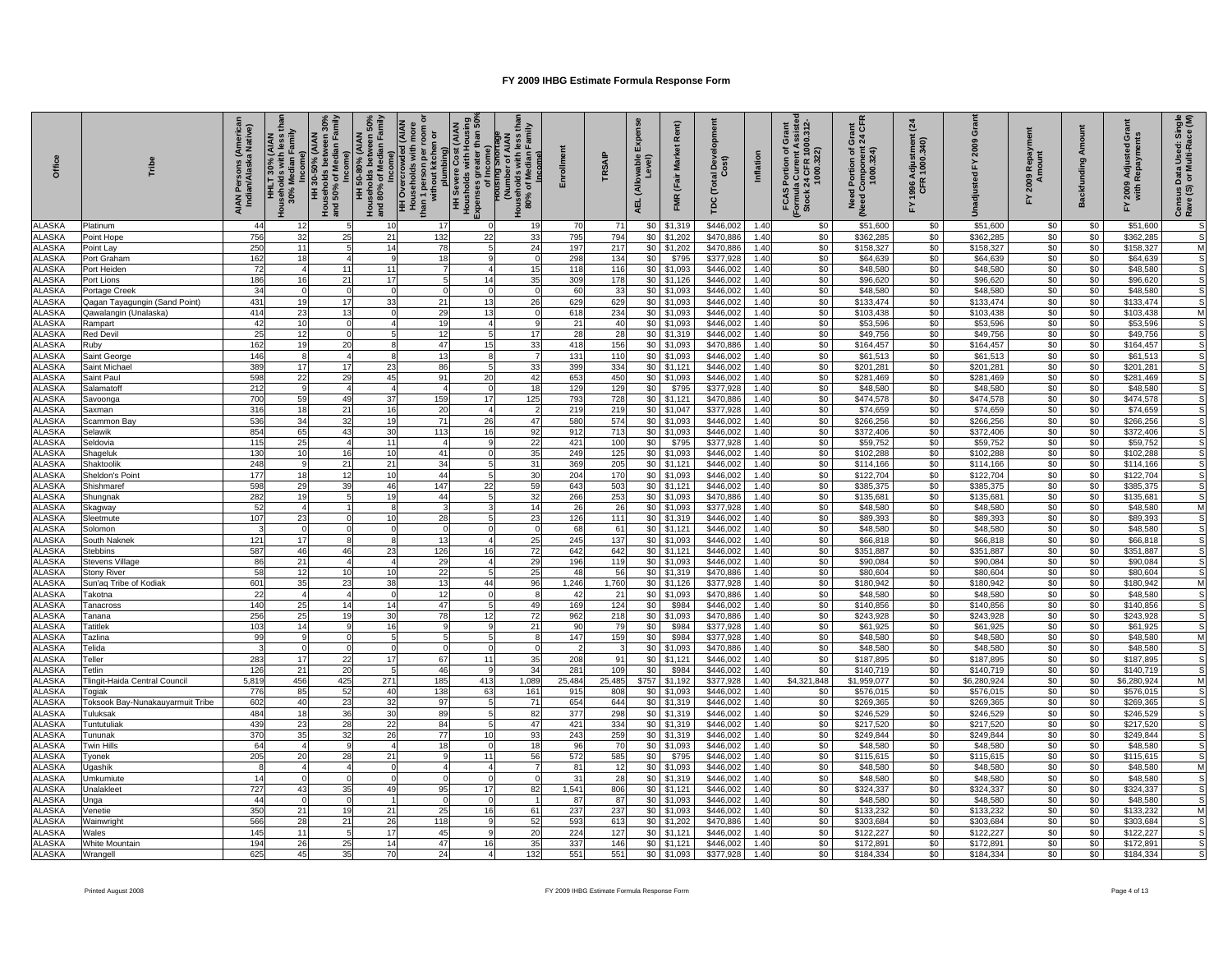| Office          | Tribe                            | AIAN Persons (Americar<br>Indian/Alaska Native) | Households with less tl<br>30% Median Family<br>HHLT 30% (AIAN | s between 30%<br>Median Family<br>Income)<br>HH 30-50% (AIAN<br>Income)<br>Households be<br>and 50% of Mec | HH 50-80% (AIAN<br>Households between 50%<br>and 80% of Median Family<br>Income) | than 1 person per room or<br>without kitchen or<br>HH Overcrowded (AIAN)<br>Households with more | Premiuming)<br>HH Severe Cost (AIAN<br>Housholds with Housing<br>Expenses greater than 50%<br>৳ | less that<br>Family<br>Z<br>Median<br>đ<br>nousing<br>Number<br>Househol<br>80% of | Enrollment | <b>SAIP</b><br>E | Expense<br>adswo<br>Level)<br>(Allo<br><b>AEL</b> | Rent)<br>Market<br>(Fair<br><b>FMR</b> | Devi<br>ost)<br>Ĕ<br>rpc | Inflation    | ant<br>24 CFR 1000.312-<br>1000.322)<br>Grant<br>৳<br><b>FCAS Portion</b><br>Formula C<br>Stock 24 ( | $\frac{1}{6}$ $\overline{5}$<br>$\frac{a}{24}$<br>Need Pors<br>Need Component 2<br>1000.324) | (24)<br>FY 1996 Adjustment<br>CFR 1000.340) | Gra<br>2009<br>ř<br>adiusted | 09 Repayı<br>Amount<br>2009<br>놊 | Amount<br>Backfunding | 西岸<br>9 Adjusted<br>Repaymen<br>2009<br>with F<br>≿. | Census Data Used: Single<br>Rave (S) or Multi-Race (M) |
|-----------------|----------------------------------|-------------------------------------------------|----------------------------------------------------------------|------------------------------------------------------------------------------------------------------------|----------------------------------------------------------------------------------|--------------------------------------------------------------------------------------------------|-------------------------------------------------------------------------------------------------|------------------------------------------------------------------------------------|------------|------------------|---------------------------------------------------|----------------------------------------|--------------------------|--------------|------------------------------------------------------------------------------------------------------|----------------------------------------------------------------------------------------------|---------------------------------------------|------------------------------|----------------------------------|-----------------------|------------------------------------------------------|--------------------------------------------------------|
|                 |                                  |                                                 |                                                                |                                                                                                            |                                                                                  |                                                                                                  |                                                                                                 |                                                                                    |            |                  |                                                   |                                        |                          |              |                                                                                                      |                                                                                              |                                             |                              |                                  |                       |                                                      |                                                        |
| LASKA           | Platinum                         | 44                                              |                                                                |                                                                                                            | 10                                                                               |                                                                                                  |                                                                                                 |                                                                                    | 70         | 71               | \$0                                               | \$1,319                                | \$446,002                | 1.40         | \$0                                                                                                  | \$51,600                                                                                     | \$0                                         | \$51,600                     | \$0                              | \$0                   | \$51,600                                             | S                                                      |
| ALASKA          | Point Hope                       | 756                                             | 32<br>11                                                       | 25                                                                                                         | 21<br>14                                                                         | 132<br>78                                                                                        | 22                                                                                              | 33                                                                                 | 795<br>197 | 794              | \$0                                               | \$1,202                                | \$470,886                | 1.40         | \$0                                                                                                  | \$362,285                                                                                    | \$0                                         | \$362,285                    | \$0                              | \$0                   | \$362.285                                            | <sub>N</sub>                                           |
| LASKA<br>LASKA  | Point Lay<br>Port Graham         | 250<br>162                                      | 18                                                             |                                                                                                            |                                                                                  | 18                                                                                               |                                                                                                 | 24                                                                                 | 298        | 217<br>134       | \$0<br>\$0                                        | \$1,202<br>\$795                       | \$470,886<br>\$377,928   | 1.40<br>1.40 | \$0<br>\$0                                                                                           | \$158,327<br>\$64,639                                                                        | \$0<br>\$0                                  | \$158,327<br>\$64,639        | \$0<br>\$0                       | \$0<br>\$0            | \$158,327<br>\$64,639                                | S.                                                     |
| LASKA           | Port Heiden                      | 72                                              |                                                                | 11                                                                                                         | 11                                                                               |                                                                                                  |                                                                                                 | 15                                                                                 | 118        | 116              | \$0                                               | \$1,093                                | \$446,002                | 1.40         | \$0                                                                                                  | \$48,580                                                                                     | \$0                                         | \$48,580                     | \$0                              | \$0                   | \$48,580                                             |                                                        |
| LASKA           | Port Lions                       | 186                                             | 16                                                             | 21                                                                                                         | 17                                                                               |                                                                                                  | 14                                                                                              | 35                                                                                 | 309        | 178              | \$0                                               | \$1,126                                | \$446,002                | 1.40         | \$0                                                                                                  | \$96,620                                                                                     | \$0                                         | \$96,620                     | \$0                              | \$0                   | \$96,620                                             |                                                        |
| LASKA           | Portage Creek                    | 34                                              |                                                                |                                                                                                            |                                                                                  |                                                                                                  |                                                                                                 |                                                                                    | 60         | 33               | \$0                                               | \$1,093                                | \$446,002                | 1.40         | \$0                                                                                                  | \$48,580                                                                                     | \$0                                         | \$48,580                     | \$0                              | \$0                   | \$48,580                                             |                                                        |
| LASKA           | Qagan Tayagungin (Sand Point)    | 431                                             | 1 <sup>c</sup>                                                 | 17                                                                                                         | 33                                                                               | 21                                                                                               | 13                                                                                              | 26                                                                                 | 629        | 629              | \$0                                               | \$1.093                                | \$446,002                | 1.40         | \$0                                                                                                  | \$133,474                                                                                    | \$0                                         | \$133,474                    | \$0                              | \$0                   | \$133,474                                            |                                                        |
| LASKA           | Qawalangin (Unalaska)            | 414                                             | 23                                                             | 13                                                                                                         |                                                                                  | 29                                                                                               | 13                                                                                              |                                                                                    | 618        | 234              | \$0                                               | \$1,093                                | \$446,002                | 1.40         | \$0                                                                                                  | \$103,438                                                                                    | \$0                                         | \$103,438                    | \$0                              | \$0                   | \$103,438                                            | <sub>N</sub>                                           |
| LASKA           | Rampart                          | 42                                              | 10                                                             |                                                                                                            |                                                                                  | 19                                                                                               |                                                                                                 | $\mathbf{Q}$                                                                       | 21         | 40               | \$0                                               | \$1,093                                | \$446,002                | 1.40         | \$0                                                                                                  | \$53,596                                                                                     | \$0                                         | \$53,596                     | \$0                              | \$0                   | \$53,596                                             |                                                        |
| LASKA           | Red Devil                        | 25                                              | 12                                                             |                                                                                                            |                                                                                  | 12                                                                                               | 5                                                                                               | 17                                                                                 | 28         | 28               | \$0                                               | \$1,319                                | \$446,002                | 1.40         | \$0                                                                                                  | \$49,756                                                                                     | \$0                                         | \$49,756                     | \$0                              | \$0                   | \$49,756                                             |                                                        |
| LASKA           | Ruby                             | 162                                             | 1 <sup>c</sup>                                                 | 20                                                                                                         |                                                                                  | 47                                                                                               | 15                                                                                              | 33                                                                                 | 418        | 156              | \$0                                               | \$1,093                                | \$470,886                | 1.40         | \$0                                                                                                  | \$164,457                                                                                    | \$0                                         | \$164,457                    | \$0                              | \$0                   | \$164,457                                            |                                                        |
| <b>ILASKA</b>   | Saint George                     | 146                                             |                                                                |                                                                                                            |                                                                                  | 13                                                                                               |                                                                                                 |                                                                                    | 131        | 110              | \$0                                               | \$1,093                                | \$446,002                | 1.40         | \$0                                                                                                  | \$61,513                                                                                     | \$0                                         | \$61,513                     | \$0                              | \$0                   | \$61,513                                             |                                                        |
| <b>LASKA</b>    | Saint Michae                     | 389                                             | 17                                                             | 17                                                                                                         | 23                                                                               | 86                                                                                               |                                                                                                 | 33                                                                                 | 399        | 334              | \$0                                               | \$1,121                                | \$446,002                | 1.40         | \$0                                                                                                  | \$201,281                                                                                    | \$0                                         | \$201,28                     | \$0                              | \$0                   | \$201,281                                            |                                                        |
| LASKA           | Saint Paul                       | 598                                             | 22                                                             | 29                                                                                                         | 45                                                                               | 91                                                                                               | 20                                                                                              | 42                                                                                 | 653        | 450              | \$0                                               | \$1,093                                | \$446,002                | 1.40         | \$0                                                                                                  | \$281,469                                                                                    | \$0                                         | \$281,469                    | \$0                              | \$0                   | \$281,469                                            |                                                        |
| LASKA           | Salamatoff                       | 212                                             |                                                                |                                                                                                            |                                                                                  |                                                                                                  |                                                                                                 | 18                                                                                 | 129        | 129              | \$0                                               | \$795                                  | \$377,928                | 1.40         | \$0                                                                                                  | \$48,580                                                                                     | \$0                                         | \$48,580                     | \$0                              | \$0                   | \$48,580                                             |                                                        |
| LASKA           | Savoonga                         | 700                                             | 59                                                             | 49                                                                                                         | 37                                                                               | 159                                                                                              | 17                                                                                              | 125                                                                                | 793        | 728              | \$0                                               | \$1,121                                | \$470,886                | 1.40         | \$0                                                                                                  | \$474,578                                                                                    | \$0                                         | \$474,578                    | \$0                              | \$0                   | \$474,578                                            |                                                        |
| LASKA           | Saxman                           | 316                                             | 18                                                             | 21                                                                                                         | 16                                                                               | 20                                                                                               |                                                                                                 |                                                                                    | 219        | 219              | \$0                                               | \$1,047                                | \$377,928                | 1.40         | \$0                                                                                                  | \$74,659                                                                                     | \$0                                         | \$74,659                     | \$0                              | \$0                   | \$74,659                                             |                                                        |
| LASKA           | Scammon Bay                      | 536                                             | 34                                                             | 32                                                                                                         | 19                                                                               | 71                                                                                               | 26                                                                                              | 47                                                                                 | 580        | 574              | \$0                                               | \$1.093                                | \$446,002                | 1.40         | \$0                                                                                                  | \$266,256                                                                                    | \$0                                         | \$266,256                    | \$0                              | \$0                   | \$266,256                                            |                                                        |
| LASKA           | Selawik                          | 854                                             | 65                                                             | 43                                                                                                         | 30                                                                               | 113                                                                                              | 16                                                                                              | 92                                                                                 | 912        | 713              | \$0                                               | \$1,093                                | \$446,002                | 1.40         | \$0                                                                                                  | \$372,406                                                                                    | \$0                                         | \$372,406                    | \$0                              | \$0                   | \$372,406                                            |                                                        |
| LASKA           | Seldovia                         | 115                                             | 25                                                             |                                                                                                            | 11                                                                               |                                                                                                  |                                                                                                 | 22                                                                                 | 421        | 100              | \$0                                               | \$795                                  | \$377,92                 | 1.40         | \$0                                                                                                  | \$59,752                                                                                     | \$0                                         | \$59,752                     | \$0                              | \$0                   | \$59,752                                             |                                                        |
| LASKA           | Shageluk                         | 130                                             | 10                                                             | 16                                                                                                         | 10                                                                               | 41                                                                                               | $\Omega$<br>5                                                                                   | 35                                                                                 | 249        | 125              | \$0                                               | \$1,093                                | \$446,002                | 1.40         | \$0                                                                                                  | \$102,288                                                                                    | \$0                                         | \$102,288                    | \$0                              | \$0                   | \$102,288                                            |                                                        |
| LASKA           | Shaktoolik                       | 248                                             | 18                                                             | 21                                                                                                         | 21                                                                               | 34                                                                                               |                                                                                                 | 31<br>30                                                                           | 369        | 205              | \$0                                               | \$1,121                                | \$446,002<br>\$446,002   | 1.40         | \$0<br>\$0                                                                                           | \$114,166                                                                                    | \$0                                         | \$114,166                    | \$0                              | \$0<br>\$0            | \$114,166<br>\$122,704                               |                                                        |
| LASKA<br>LASKA  | Sheldon's Point<br>Shishmaref    | 177<br>598                                      | 29                                                             | 12<br>39                                                                                                   | 10<br>46                                                                         | 44<br>147                                                                                        | 22                                                                                              | 59                                                                                 | 204<br>643 | 170<br>503       | \$0<br>\$0                                        | \$1,093<br>\$1,121                     | \$446,002                | 1.40<br>1.40 | \$0                                                                                                  | \$122,704<br>\$385,375                                                                       | \$0<br>\$0                                  | \$122,704<br>\$385,375       | \$0<br>\$0                       | \$0                   | \$385,375                                            |                                                        |
| LASKA           | Shungnak                         | 282                                             | 19                                                             |                                                                                                            | 19                                                                               | 44                                                                                               |                                                                                                 | 32                                                                                 | 266        | 253              | \$0                                               | \$1,093                                | \$470,886                | 1.40         | \$0                                                                                                  | \$135,681                                                                                    | \$0                                         | \$135,681                    | \$0                              | \$0                   | \$135,681                                            | S.                                                     |
| <b>LASKA</b>    | Skagway                          | 52                                              |                                                                |                                                                                                            |                                                                                  |                                                                                                  |                                                                                                 | 14                                                                                 | 26         | 26               | \$0                                               | \$1,093                                | \$377,928                | 1.40         | \$0                                                                                                  | \$48,580                                                                                     | \$0                                         | \$48,580                     | \$0                              | \$0                   | \$48,580                                             | <sub>N</sub>                                           |
| LASKA           | Sleetmute                        | 107                                             | 2:                                                             |                                                                                                            |                                                                                  | 28                                                                                               |                                                                                                 | 23                                                                                 | 126        | 111              | \$0                                               | \$1,319                                | \$446,002                | 1.40         | \$0                                                                                                  | \$89,393                                                                                     | \$0                                         | \$89,393                     | \$0                              | \$0                   | \$89,393                                             |                                                        |
| LASKA           | Solomon                          |                                                 |                                                                |                                                                                                            |                                                                                  |                                                                                                  |                                                                                                 |                                                                                    | 68         | 61               | \$0                                               | \$1,121                                | \$446,002                | 1.40         | \$0                                                                                                  | \$48,580                                                                                     | \$0                                         | \$48,580                     | \$0                              | \$0                   | \$48,580                                             |                                                        |
| LASKA           | South Naknek                     | 121                                             | 17                                                             |                                                                                                            |                                                                                  | 13                                                                                               |                                                                                                 | 25                                                                                 | 245        | 137              | \$0                                               | \$1,093                                | \$446,002                | 1.40         | \$0                                                                                                  | \$66,818                                                                                     | \$0                                         | \$66,818                     | \$0                              | \$0                   | \$66,818                                             |                                                        |
| LASKA           | <b>Stebbins</b>                  | 587                                             | 46                                                             | 46                                                                                                         | 23                                                                               | 126                                                                                              | 16                                                                                              | 72                                                                                 | 642        | 642              | \$0                                               | \$1,121                                | \$446.00                 | 1.40         | \$0                                                                                                  | \$351,887                                                                                    | \$0                                         | \$351,887                    | \$0                              | \$0                   | \$351,887                                            |                                                        |
| LASKA           | <b>Stevens Village</b>           | 86                                              | 21                                                             |                                                                                                            |                                                                                  | 29                                                                                               |                                                                                                 | 29                                                                                 | 196        | 119              | \$0                                               | \$1,093                                | \$446,002                | 1.40         | \$0                                                                                                  | \$90,084                                                                                     | \$0                                         | \$90,084                     | \$0                              | \$0                   | \$90,084                                             |                                                        |
| LASKA           | <b>Stony River</b>               | 58                                              | 12                                                             | 10                                                                                                         | 10                                                                               | 22                                                                                               | 5                                                                                               | 25                                                                                 | 48         | 56               | \$0                                               | \$1,319                                | \$470,886                | 1.40         | \$0                                                                                                  | \$80,604                                                                                     | \$0                                         | \$80,604                     | \$0                              | \$0                   | \$80,604                                             |                                                        |
| LASKA           | Sun'aq Tribe of Kodiak           | 60 <sup>1</sup>                                 | 35                                                             | 23                                                                                                         | 38                                                                               | 12                                                                                               | 44                                                                                              | 96                                                                                 | 1,246      | 1,760            | \$0                                               | \$1,126                                | \$377,928                | 1.40         | \$0                                                                                                  | \$180,942                                                                                    | \$0                                         | \$180,942                    | \$0                              | \$0                   | \$180,942                                            |                                                        |
| LASKA           | <b>Takotna</b>                   | 22                                              |                                                                |                                                                                                            |                                                                                  | 12                                                                                               |                                                                                                 |                                                                                    | 42         | 21               | \$0                                               | \$1,093                                | \$470,886                | 1.40         | \$0                                                                                                  | \$48,580                                                                                     | \$0                                         | \$48,580                     | \$0                              | \$0                   | \$48,580                                             |                                                        |
| LASKA           | anacross                         | 140                                             |                                                                | 14                                                                                                         | 14                                                                               | 47                                                                                               |                                                                                                 | 49                                                                                 | 169        | 124              | \$0                                               | \$984                                  | \$446,002                | 1.40         | \$0                                                                                                  | \$140,856                                                                                    | \$0                                         | \$140,856                    | \$0                              | \$0                   | \$140,856                                            |                                                        |
| LASKA           | Tanana                           | 256                                             | 25                                                             | 19                                                                                                         | 30                                                                               | 78                                                                                               | 12                                                                                              | 72                                                                                 | 962        | 218              | \$0                                               | \$1,093                                | \$470,886                | 1.40         | \$0                                                                                                  | \$243,928                                                                                    | \$0                                         | \$243,928                    | \$0                              | \$0                   | \$243,928                                            |                                                        |
| LASKA           | atitlek                          | 103                                             | 14                                                             |                                                                                                            | 16                                                                               |                                                                                                  | 5                                                                                               | 21                                                                                 | 90         | 79               | \$0                                               | \$984                                  | \$377,928                | 1.40         | \$0                                                                                                  | \$61,925                                                                                     | \$0                                         | \$61,925                     | \$0                              | \$0                   | \$61,925                                             |                                                        |
| LASKA<br>LASKA  | azlina<br>Telida                 | 99                                              |                                                                |                                                                                                            |                                                                                  |                                                                                                  |                                                                                                 |                                                                                    | 147        | 159              | \$0<br>\$0                                        | \$984<br>\$1,093                       | \$377,928<br>\$470,886   | 1.40<br>1.40 | \$0<br>\$0                                                                                           | \$48,580<br>\$48,580                                                                         | \$0<br>\$0                                  | \$48,580<br>\$48,580         | \$0<br>\$0                       | \$0<br>\$0            | \$48,580<br>\$48,580                                 |                                                        |
| LASKA           | eller                            | 283                                             | 17                                                             | 22                                                                                                         | 17                                                                               | 67                                                                                               | 11                                                                                              | 35                                                                                 | 208        | 91               | \$0                                               | \$1,121                                | \$446,002                | 1.40         | \$0                                                                                                  | \$187,895                                                                                    | \$0                                         | \$187,895                    | \$0                              | \$0                   | \$187,895                                            |                                                        |
| LASKA           | <b>Tetlin</b>                    | 126                                             | 21                                                             | 20                                                                                                         |                                                                                  | 46                                                                                               |                                                                                                 | 34                                                                                 | 281        | 109              | \$0                                               | \$984                                  | \$446,002                | 1.40         | \$0                                                                                                  | \$140,719                                                                                    | \$0                                         | \$140,719                    | \$0                              | \$0                   | \$140,719                                            |                                                        |
| LASKA           | Tingit-Haida Central Council     | 5,819                                           | 456                                                            | 425                                                                                                        | 271                                                                              | 185                                                                                              | 413                                                                                             | 1,089                                                                              | 25,484     | 25,485           | \$757                                             | \$1,192                                | \$377,928                | 1.40         | \$4,321,848                                                                                          | \$1,959,077                                                                                  | \$0                                         | \$6,280,924                  | \$0                              | \$0                   | \$6,280,924                                          |                                                        |
| LASKA           | Togiak                           | 776                                             | 85                                                             | 52                                                                                                         | 40                                                                               | 138                                                                                              | 63                                                                                              | 161                                                                                | 915        | 808              | \$0                                               | \$1,093                                | \$446,002                | 1.40         | \$0                                                                                                  | \$576,015                                                                                    | \$0                                         | \$576,015                    | \$0                              | \$0                   | \$576,015                                            |                                                        |
| LASKA           | Toksook Bay-Nunakauyarmuit Tribe | 602                                             | 40                                                             | 23                                                                                                         | 32                                                                               | 97                                                                                               | 5                                                                                               | 71                                                                                 | 654        | 644              | \$0                                               | \$1,319                                | \$446,002                | 1.40         | \$0                                                                                                  | \$269,365                                                                                    | \$0                                         | \$269,365                    | \$0                              | \$0                   | \$269,365                                            |                                                        |
| LASKA           | uluksak                          | 484                                             | 18                                                             | 36                                                                                                         | 30                                                                               | 89                                                                                               |                                                                                                 | 82                                                                                 | 377        | 298              | \$0                                               | \$1,319                                | \$446,002                | 1.40         | \$0                                                                                                  | \$246,529                                                                                    | \$0                                         | \$246,529                    | \$0                              | \$0                   | \$246,529                                            |                                                        |
| <b>LASKA</b>    | untutuliak                       | 439                                             | 23                                                             | 28                                                                                                         | 22                                                                               | 84                                                                                               |                                                                                                 | 47                                                                                 | 421        | 334              | \$0                                               | \$1,319                                | \$446,002                | 1.40         | \$0                                                                                                  | \$217,520                                                                                    | \$0                                         | \$217,520                    | \$0                              | \$0                   | \$217,520                                            |                                                        |
| LASKA           | Tununak                          | 370                                             | 35                                                             | 32                                                                                                         | 26                                                                               | 77                                                                                               | 10                                                                                              | 93                                                                                 | 243        | 259              | \$0                                               | \$1,319                                | \$446,002                | 1.40         | \$0                                                                                                  | \$249,844                                                                                    | \$0                                         | \$249,844                    | \$0                              | \$0                   | \$249,844                                            |                                                        |
| LASKA           | win Hills                        | 64                                              |                                                                |                                                                                                            |                                                                                  | 18                                                                                               |                                                                                                 | 18                                                                                 | 96         | 70               | \$0                                               | \$1,093                                | \$446,002                | 1.40         | \$0                                                                                                  | \$48,580                                                                                     | \$0                                         | \$48,580                     | \$0                              | \$0                   | \$48,580                                             |                                                        |
| LASKA           | Tyonek                           | 205                                             | 20                                                             | 28                                                                                                         | 21                                                                               |                                                                                                  | 11                                                                                              | 56                                                                                 | 572        | 585              | \$0                                               | \$795                                  | \$446,002                | 1.40         | \$0                                                                                                  | \$115,615                                                                                    | \$0                                         | \$115,615                    | \$0                              | \$0                   | \$115,615                                            |                                                        |
| LASKA           | Jgashik                          |                                                 |                                                                |                                                                                                            |                                                                                  |                                                                                                  |                                                                                                 |                                                                                    | 81         | 12               | \$0                                               | \$1,093                                | \$446,002                | 1.40         | \$0                                                                                                  | \$48,580                                                                                     | \$0                                         | \$48,580                     | \$0                              | \$0                   | \$48,580                                             | N                                                      |
| LASKA           | Umkumiute                        | 14                                              |                                                                |                                                                                                            |                                                                                  |                                                                                                  |                                                                                                 |                                                                                    | 31         | 28               | \$0                                               | \$1,319                                | \$446,002                | 1.40         | \$0                                                                                                  | \$48,580                                                                                     | \$0                                         | \$48,580                     | \$0                              | \$0                   | \$48,580                                             |                                                        |
| LASKA           | Jnalakleet                       | 727                                             | 43                                                             | 35                                                                                                         | 49                                                                               | 95                                                                                               | 17                                                                                              | 82                                                                                 | 1,541      | 806              | \$0                                               | \$1.121                                | \$446,002                | 1.40         | \$0                                                                                                  | \$324.337                                                                                    | \$0                                         | \$324.337                    | \$0                              | \$0                   | \$324,337                                            |                                                        |
| LASKA           | Jnga                             | 44                                              |                                                                |                                                                                                            |                                                                                  |                                                                                                  |                                                                                                 |                                                                                    | 87         | 87               | \$0                                               | \$1,093                                | \$446,002                | 1.40         | \$0                                                                                                  | \$48,580                                                                                     | \$0                                         | \$48,580                     | \$0                              | \$0                   | \$48,580                                             |                                                        |
| LASKA           | Venetie                          | 350                                             | 21                                                             | 19                                                                                                         | 21                                                                               | 25                                                                                               | 16                                                                                              | 61                                                                                 | 237        | 237              | \$0                                               | \$1,093                                | \$446,002                | 1.40         | \$0                                                                                                  | \$133,232                                                                                    | \$0                                         | \$133,232                    | \$0                              | \$0                   | \$133,232                                            | <sub>N</sub>                                           |
| LASKA           | Wainwright                       | 566                                             | 28                                                             | 21                                                                                                         | 26                                                                               | 118                                                                                              | -9<br>9                                                                                         | 52                                                                                 | 593        | 613              | \$0                                               | \$1,202                                | \$470,886                | 1.40         | \$0                                                                                                  | \$303,684                                                                                    | \$0                                         | \$303,684                    | \$0                              | \$0                   | \$303,684                                            |                                                        |
| LASKA<br>ALASKA | Wales                            | 145<br>194                                      | 11<br>26                                                       | 25                                                                                                         | 17<br>14                                                                         | 45<br>47                                                                                         | 16                                                                                              | 20<br>35                                                                           | 224<br>337 | 127<br>146       | \$0<br>\$0                                        | \$1,12                                 | \$446,002<br>\$446,002   | 1.40<br>1.40 | \$0<br>\$0                                                                                           | \$122,227<br>\$172,891                                                                       | \$0<br>\$0                                  | \$122,227<br>\$172,891       | \$0<br>\$0                       | \$0<br>\$0            | \$122,227<br>\$172,891                               |                                                        |
| <b>ALASKA</b>   | White Mountain<br>Wrangell       | 625                                             | 45                                                             | 35                                                                                                         | 70                                                                               | 24                                                                                               |                                                                                                 | 132                                                                                | 551        | 551              | \$0                                               | \$1,121<br>\$1,093                     | \$377.928                | 1.40         | \$0                                                                                                  | \$184.334                                                                                    | \$0                                         | \$184.334                    | \$0                              | \$0                   | \$184.334                                            |                                                        |
|                 |                                  |                                                 |                                                                |                                                                                                            |                                                                                  |                                                                                                  |                                                                                                 |                                                                                    |            |                  |                                                   |                                        |                          |              |                                                                                                      |                                                                                              |                                             |                              |                                  |                       |                                                      |                                                        |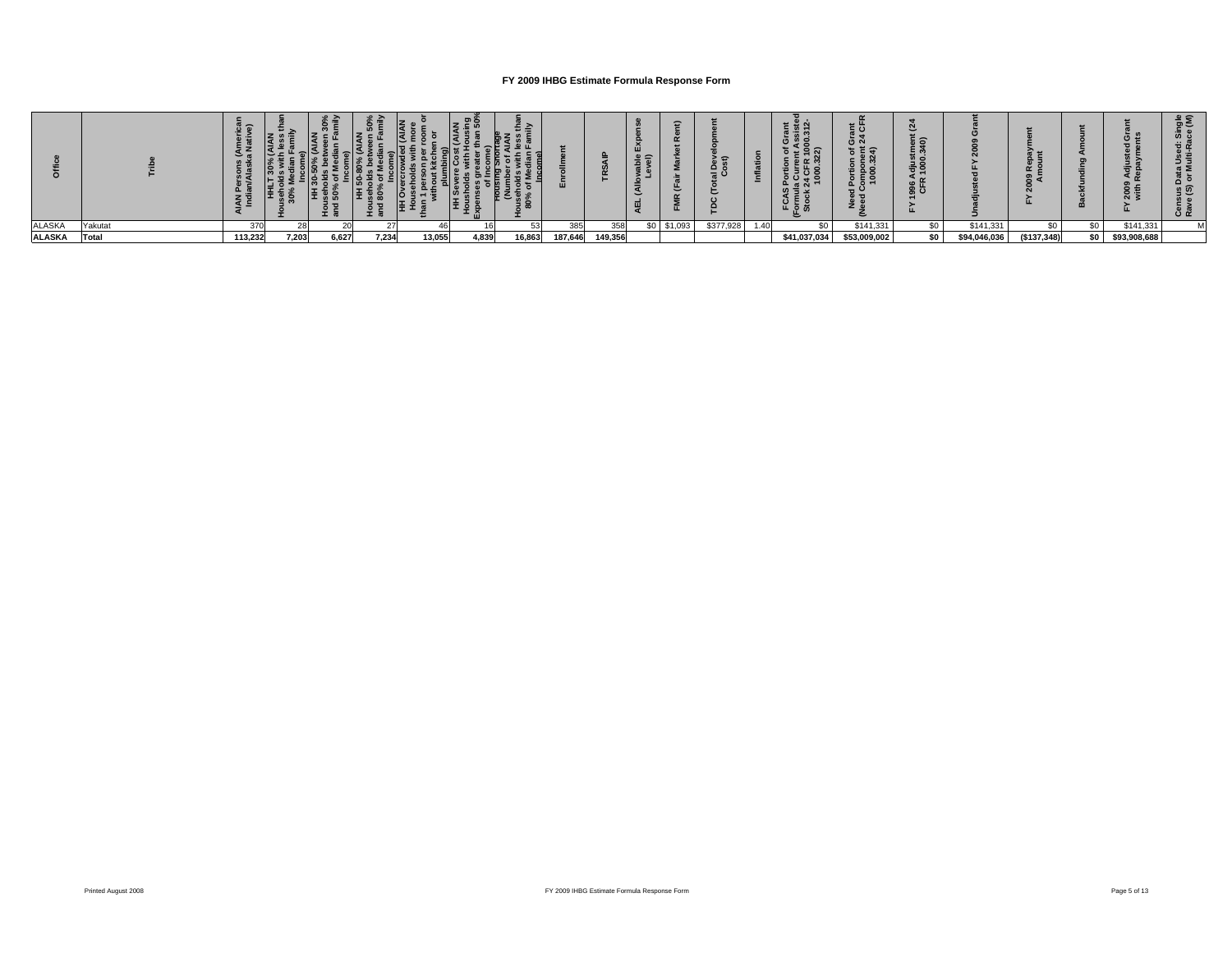|               |              | $\overline{\phantom{0}}$<br>ت |       | ェ .   |       |        | m a   | ' ന    |         |         | $\sim$ |              | $= 0$     |                 |              | 혼농<br>$\bar{c}$ $\bar{c}$<br>'চ ই <del>ব</del><br>း ဋိ ဠ<br>$E$ o | N<br>55<br>djustme.<br>1000.34<br>98<br>CF |              | $\alpha$<br>െ<br>$\sim$ |      | ு<br>г.<br>--<br>$\sim$ | ≘≞<br>ਙ≥<br>ບ≃ |
|---------------|--------------|-------------------------------|-------|-------|-------|--------|-------|--------|---------|---------|--------|--------------|-----------|-----------------|--------------|-------------------------------------------------------------------|--------------------------------------------|--------------|-------------------------|------|-------------------------|----------------|
| ALASKA        | Yakutat      |                               |       |       |       |        |       |        |         | 358     |        | $9 - $1,093$ | \$377,928 | .4 <sub>1</sub> |              | \$141,331                                                         |                                            | \$141,331    |                         |      | \$141,331               |                |
| <b>ALASKA</b> | <b>Total</b> | 113,232                       | 7,203 | 6,627 | 7.234 | 13,055 | 4,839 | 16,863 | 187.646 | 149,356 |        |              |           |                 | \$41,037,034 | \$53,009,002                                                      | \$0                                        | \$94,046,036 | (\$137,348)             | SO I | \$93,908,688            |                |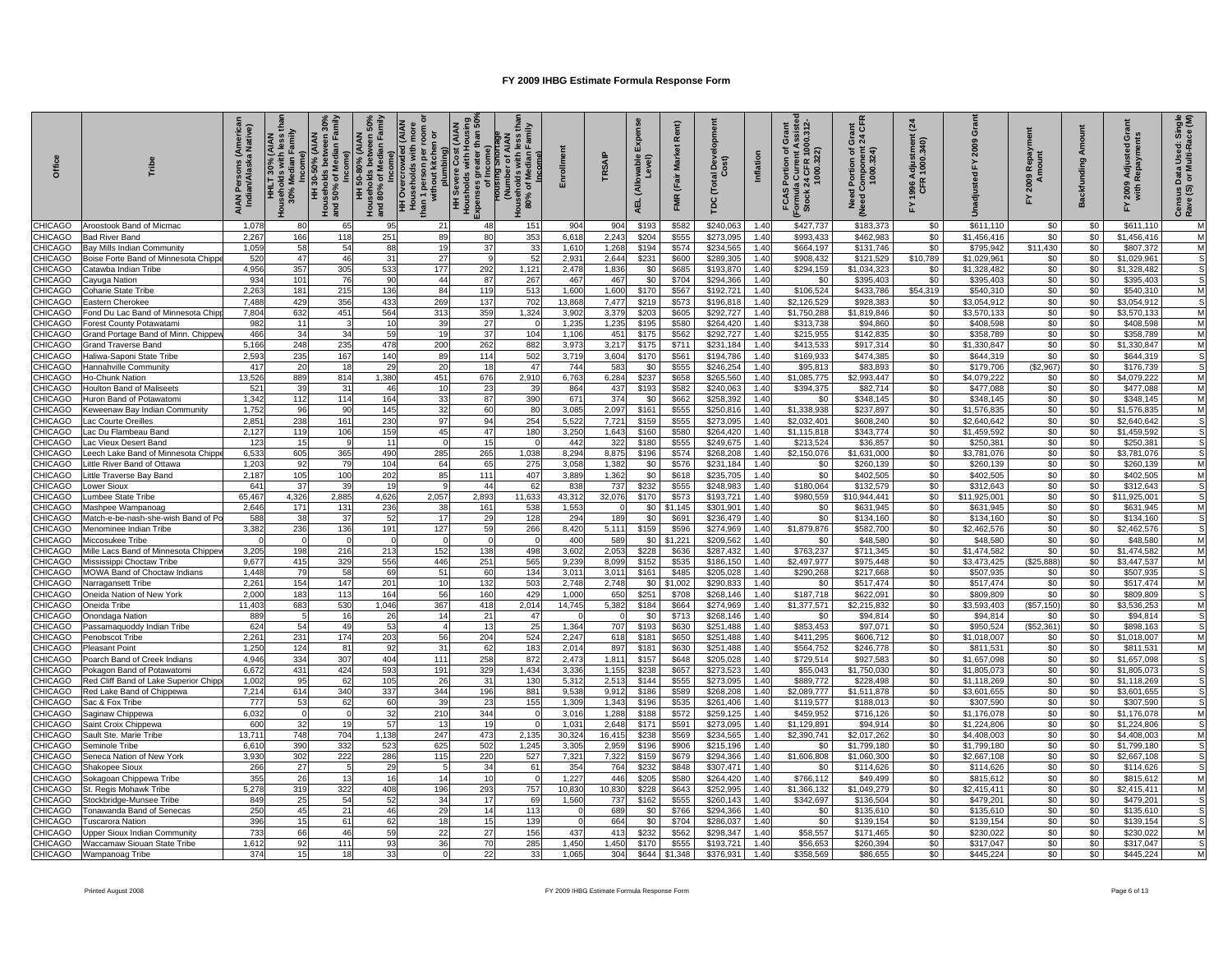| <b>Office</b>                  |                                                       | (America<br>a Native)<br>Persons (<br>ian/Alaska<br>iAN<br>India | (AIAN<br>h less th<br>Family<br>ţ<br>HHLT 30<br>louseho<br>30% l | 50% (AIAN<br>s between 30%<br>Median Family<br>Income)<br>Households<br>and 50% of M<br>Ŧ | 1 50-80% (AIAN<br>holds between 50%<br>% of Median Family<br>Income)<br>sehol<br>80%<br>Put<br>운 | rowded (AIAN<br>Ids with more<br>room<br>ŏ<br>with i<br><b>HH Overcrow</b><br>Households<br>than 1 person  <br>without kite | HH Severe Cost<br>Housholds with <b>F</b><br>Expenses greater<br>Expenses greater | less tha<br>Family<br>Median<br>ncomo<br>naqum<br>Taun<br>৳<br>Househ<br>80% | 틀<br>È          | <b>TRSAIP</b>  | wable<br>≤<br>핕 | Rent)<br>Mar<br>(Fair<br><b>FMR</b> | Devel<br>ost)<br>(Total<br>pc | Inflation    | ant<br>FR 1000.312-<br>0.322)<br>ō<br>৳<br>Portion<br>ā<br>$rac{1}{2}$<br>FCAS<br>Formula<br>Stock2 | 营능<br>డ్ న<br>ortion of G<br>Imponent<br>1000.324)<br>Portion<br>ర్రె<br>Need | $\mathfrak{F}$<br>Adjustment<br>R 1000.340)<br>1996 A | ò<br>2009<br>ᇫ<br>Jnadjus  | 09 Repay<br>Amount<br>2009<br>놊 | Ę<br><b>Backfund</b> | £<br>ō<br><b>Adjusted</b><br>Repaymer<br>2009<br>with I<br>ᇎ | ទី ខ្ញុំ<br>a Used:<br>Multi-Ra<br>흡ㅎ<br>$\frac{1}{2}$ $\frac{1}{2}$<br>Cens<br>Rave |
|--------------------------------|-------------------------------------------------------|------------------------------------------------------------------|------------------------------------------------------------------|-------------------------------------------------------------------------------------------|--------------------------------------------------------------------------------------------------|-----------------------------------------------------------------------------------------------------------------------------|-----------------------------------------------------------------------------------|------------------------------------------------------------------------------|-----------------|----------------|-----------------|-------------------------------------|-------------------------------|--------------|-----------------------------------------------------------------------------------------------------|-------------------------------------------------------------------------------|-------------------------------------------------------|----------------------------|---------------------------------|----------------------|--------------------------------------------------------------|--------------------------------------------------------------------------------------|
| <b>HICAGO</b>                  | Aroostook Band of Micmac                              | 1,078                                                            | 80                                                               | 65                                                                                        |                                                                                                  |                                                                                                                             | 48                                                                                | 151                                                                          | 90              |                | \$193           | \$582                               | \$240.063                     | 1.40         | \$427,737                                                                                           | \$183,373                                                                     | \$0                                                   | \$611,110                  | \$0                             | \$0                  | \$611.110                                                    | M                                                                                    |
| CHICAGO                        | Bad River Band                                        | 2.267                                                            | 166                                                              | 118                                                                                       | 251                                                                                              | 89                                                                                                                          | 80                                                                                | 353                                                                          | 6.618           | 2.243          | \$204           | \$555                               | \$273,095                     | 1.40         | \$993.433                                                                                           | \$462.983                                                                     | \$0                                                   | \$1,456,416                | \$0                             | \$0                  | \$1.456.416                                                  | M                                                                                    |
| <b>HICAGO</b>                  | Bay Mills Indian Community                            | 1,059                                                            | 58                                                               | 54                                                                                        | 88                                                                                               | 19                                                                                                                          | 37                                                                                | 33                                                                           | 1,610           | 1,268          | \$194           | \$574                               | \$234,565                     | 1.40         | \$664.197                                                                                           | \$131,746                                                                     | \$0                                                   | \$795,942                  | \$11,430                        | \$0                  | \$807,372                                                    | M                                                                                    |
| HICAGO                         | Boise Forte Band of Minnesota Chippe                  | 520                                                              | 47                                                               | 46                                                                                        | 31                                                                                               | 27                                                                                                                          |                                                                                   | 52                                                                           | 2,931           | 2,644          | \$231           | \$600                               | \$289,305                     | 1.40         | \$908,432                                                                                           | \$121,529                                                                     | \$10,789                                              | \$1,029,961                | \$0                             | \$0                  | \$1,029,961                                                  | S                                                                                    |
| <b>HICAGO</b>                  | atawba Indian Tribe                                   | 4,956                                                            | 357                                                              | 305                                                                                       | 533                                                                                              | 177                                                                                                                         | 292                                                                               | 1.12                                                                         | 2,478           | 1,836          | \$0             | \$685                               | \$193,870                     | 1.40         | \$294,159                                                                                           | \$1,034,323                                                                   | \$0                                                   | \$1,328,482                | \$0                             | \$0                  | \$1,328,482                                                  | S                                                                                    |
| <b>HICAGO</b>                  | ≿ayuga Nation                                         | 934                                                              | 101                                                              | 76                                                                                        | 90                                                                                               | 44                                                                                                                          | 87                                                                                | 267                                                                          | 467             | 467            | \$0             | \$704                               | \$294,366                     | 1.40         | \$0                                                                                                 | \$395,403                                                                     | \$0                                                   | \$395,403                  | \$0                             | \$0                  | \$395,403                                                    |                                                                                      |
| CHICAGO<br><b>HICAGO</b>       | <b>Coharie State Tribe</b>                            | 2,263<br>7.488                                                   | 181                                                              | 215                                                                                       | 136                                                                                              | 84                                                                                                                          | 119                                                                               | 513                                                                          | 1,600<br>13.868 | 1,600<br>7.477 | \$170<br>\$219  | \$567                               | \$192.721                     | 1.40<br>1.40 | \$106,524                                                                                           | \$433,786                                                                     | \$54,319                                              | \$540,310                  | \$0                             | \$0                  | \$540.310                                                    | M                                                                                    |
| <b>HICAGO</b>                  | astern Cherokee<br>Fond Du Lac Band of Minnesota Chip | 7,804                                                            | 429<br>632                                                       | 356<br>451                                                                                | 433<br>564                                                                                       | 269<br>313                                                                                                                  | 137<br>359                                                                        | 702<br>1,324                                                                 | 3,902           | 3,379          | \$203           | \$573<br>\$605                      | \$196,818<br>\$292,727        | 1.40         | \$2,126,529<br>\$1,750,288                                                                          | \$928,383<br>\$1,819,846                                                      | \$0<br>\$0                                            | \$3,054,912<br>\$3,570,133 | \$0<br>\$0                      | \$0<br>\$0           | \$3,054,912<br>\$3,570,133                                   | S<br>M                                                                               |
| CHICAGO                        | orest County Potawatami                               | 982                                                              | 11                                                               |                                                                                           | 10                                                                                               | 39                                                                                                                          | 27                                                                                |                                                                              | 1,235           | 1,235          | \$195           | \$580                               | \$264,420                     | 1.40         | \$313,738                                                                                           | \$94,860                                                                      | \$0                                                   | \$408,598                  | \$0                             | \$0                  | \$408,598                                                    | M                                                                                    |
| <b>HICAGO</b>                  | Grand Portage Band of Minn. Chippe                    | 466                                                              | 34                                                               | 34                                                                                        | 59                                                                                               | 19                                                                                                                          | 37                                                                                | 104                                                                          | 1,10            | 451            | \$175           | \$562                               | \$292,727                     | 1.40         | \$215,955                                                                                           | \$142,835                                                                     | \$0                                                   | \$358,789                  | \$0                             | \$0                  | \$358,789                                                    | M                                                                                    |
| <b>HICAGO</b>                  | <b>Srand Traverse Band</b>                            | 5,166                                                            | 248                                                              | 235                                                                                       | 478                                                                                              | 200                                                                                                                         | 262                                                                               | 882                                                                          | 3,97            | 3,217          | \$175           | \$711                               | \$231,184                     | 1.40         | \$413,533                                                                                           | \$917,314                                                                     | \$0                                                   | \$1,330,847                | \$0                             | \$0                  | \$1,330,847                                                  | M                                                                                    |
| CHICAGO                        | laliwa-Saponi State Tribe                             | 2,593                                                            | 235                                                              | 167                                                                                       | 140                                                                                              | 89                                                                                                                          | 114                                                                               | 502                                                                          | 3,719           | 3,604          | \$170           | \$561                               | \$194,786                     | 1.40         | \$169,933                                                                                           | \$474,385                                                                     | \$0                                                   | \$644,319                  | \$0                             | \$0                  | \$644,319                                                    | S                                                                                    |
| CHICAGO                        | Iannahville Community                                 | 417                                                              | 20                                                               | 18                                                                                        | 2 <sup>c</sup>                                                                                   | 20                                                                                                                          | 18                                                                                | 47                                                                           | 744             | 583            | \$0             | \$555                               | \$246,254                     | 1.40         | \$95,813                                                                                            | \$83,893                                                                      | \$0                                                   | \$179,706                  | (\$2,967)                       | \$0                  | \$176,739                                                    | s                                                                                    |
| <b>HICAGO</b>                  | Ho-Chunk Nation                                       | 13,526                                                           | 889                                                              | 814                                                                                       | 1,380                                                                                            | 451                                                                                                                         | 676                                                                               | 2,910                                                                        | 6,763           | 6,284          | \$237           | \$658                               | \$265,560                     | 1.40         | \$1,085,775                                                                                         | \$2,993,447                                                                   | \$0                                                   | \$4,079,222                | \$0                             | \$0                  | \$4,079,222                                                  | M                                                                                    |
| <b>HICAGO</b>                  | loulton Band of Maliseets                             | 521                                                              | 39                                                               | 31                                                                                        |                                                                                                  | 10                                                                                                                          | 23                                                                                |                                                                              | 864             | 437            | \$193           | \$582                               | \$240,063                     | 1.40         | \$394,375                                                                                           | \$82,714                                                                      | \$0                                                   | \$477,088                  | \$0                             | \$0                  | \$477,088                                                    | M                                                                                    |
| <b>HICAGO</b>                  | luron Band of Potawatomi                              | 1,342                                                            | 112                                                              | 114                                                                                       | 164                                                                                              | 33                                                                                                                          | 87                                                                                | 390                                                                          | 671             | 374            | \$0             | \$662                               | \$258,392                     | 1.40         | \$0                                                                                                 | \$348,145                                                                     | \$0                                                   | \$348,145                  | \$0                             | \$0                  | \$348,145                                                    | M                                                                                    |
| <b>HICAGO</b>                  | Geweenaw Bay Indian Community                         | 1,752                                                            | 96                                                               | 90                                                                                        | 145                                                                                              | 32                                                                                                                          | 60                                                                                | 80                                                                           | 3,085           | 2,097          | \$161           | \$555                               | \$250,816                     | 1.40         | \$1,338,938                                                                                         | \$237,897                                                                     | \$0                                                   | \$1,576,835                | \$0                             | \$0                  | \$1,576,835                                                  | M                                                                                    |
| CHICAGO                        | ac Courte Oreilles                                    | 2.851                                                            | 238                                                              | 161                                                                                       | 230                                                                                              | 97                                                                                                                          | 94                                                                                | 254                                                                          | 5.522           | 7.721          | \$159           | \$555                               | \$273.095                     | 1.40         | \$2.032.401                                                                                         | \$608,240                                                                     | \$0                                                   | \$2,640,642                | \$0                             | \$0                  | \$2.640.642                                                  |                                                                                      |
| <b>HICAGO</b>                  | ac Du Flambeau Band                                   | 2,127                                                            | 119                                                              | 106                                                                                       | 159                                                                                              | 45                                                                                                                          | 47                                                                                | 180                                                                          | 3,250           | 1,643          | \$160           | \$580                               | \$264,420                     | 1.40         | \$1,115,818                                                                                         | \$343,774                                                                     | \$0                                                   | \$1,459,592                | \$0                             | \$0                  | \$1,459,592                                                  | S                                                                                    |
| <b>HICAGO</b>                  | ac Vieux Desert Band                                  | 123                                                              | 15                                                               |                                                                                           | 11                                                                                               |                                                                                                                             | 15                                                                                |                                                                              | 442             | 322            | \$180           | \$555                               | \$249,675                     | 1.40         | \$213.524                                                                                           | \$36,857                                                                      | \$0                                                   | \$250.381                  | \$0                             | \$0                  | \$250.381                                                    |                                                                                      |
| <b>HICAGO</b>                  | eech Lake Band of Minnesota Chipp                     | 6.533                                                            | 605                                                              | 365                                                                                       | 490                                                                                              | 285                                                                                                                         | 265                                                                               | 1.038                                                                        | 8.29            | 8.875          | \$196           | \$574                               | \$268,208                     | 1.40         | \$2,150,076                                                                                         | \$1,631,000                                                                   | \$0                                                   | \$3,781,076                | \$0                             | \$0                  | \$3.781.076                                                  |                                                                                      |
| CHICAGO                        | ittle River Band of Ottawa                            | 1,203                                                            | 92<br>105                                                        | 79<br>100                                                                                 | 104                                                                                              | 64                                                                                                                          | 65                                                                                | 275                                                                          | 3,058           | 1,382          | \$0             | \$576                               | \$231,184                     | 1.40         | \$0<br>\$0                                                                                          | \$260,139                                                                     | \$0                                                   | \$260,139                  | \$0<br>\$0                      | \$0                  | \$260,139                                                    | M                                                                                    |
| <b>HICAGO</b><br><b>HICAGO</b> | ittle Traverse Bay Band<br>ower Sioux                 | 2,187<br>641                                                     | 37                                                               | 39                                                                                        | 202<br>19                                                                                        | 85<br>9                                                                                                                     | 111<br>44                                                                         | 407<br>62                                                                    | 3,889<br>838    | 1,362<br>737   | \$0<br>\$232    | \$618<br>\$555                      | \$235,705<br>\$248,983        | 1.40<br>1.40 | \$180,064                                                                                           | \$402,505<br>\$132,579                                                        | \$0<br>\$0                                            | \$402,505<br>\$312,643     | \$0                             | \$0<br>\$0           | \$402,505<br>\$312,643                                       | M<br>s                                                                               |
| <b>HICAGO</b>                  | umbee State Tribe                                     | 65,467                                                           | 4,326                                                            | 2,885                                                                                     | 4,626                                                                                            | 2,057                                                                                                                       | 2,893                                                                             | 11,633                                                                       | 43,312          | 32,076         | \$170           | \$573                               | \$193,721                     | 1.40         | \$980,559                                                                                           | \$10,944,441                                                                  | \$0                                                   | \$11,925,001               | \$0                             | \$0                  | \$11,925,001                                                 | S                                                                                    |
| <b>HICAGO</b>                  | Aashpee Wampanoag                                     | 2.646                                                            | 171                                                              | 131                                                                                       | 236                                                                                              | 38                                                                                                                          | 161                                                                               | 538                                                                          | 1.553           |                | \$0             | \$1.145                             | \$301.901                     | 1.40         | \$0                                                                                                 | \$631,945                                                                     | \$0                                                   | \$631.945                  | \$0                             | \$0                  | \$631.945                                                    | M                                                                                    |
| <b>HICAGO</b>                  | Aatch-e-be-nash-she-wish Band of P                    | 588                                                              | 38                                                               | 37                                                                                        | 52                                                                                               | 17                                                                                                                          | 29                                                                                | 128                                                                          | 294             | 189            | \$0             | \$691                               | \$236,479                     | 1.40         | \$0                                                                                                 | \$134,160                                                                     | \$0                                                   | \$134,160                  | \$0                             | \$0                  | \$134,160                                                    | S                                                                                    |
| <b>HICAGO</b>                  | Menominee Indian Tribe                                | 3,382                                                            | 236                                                              | 136                                                                                       | 191                                                                                              | 127                                                                                                                         | 59                                                                                | 266                                                                          | 8,420           | 5,111          | \$159           | \$596                               | \$274,969                     | 1.40         | \$1,879,876                                                                                         | \$582,700                                                                     | \$0                                                   | \$2,462,576                | \$0                             | \$0                  | \$2,462,576                                                  | s                                                                                    |
| <b>HICAGO</b>                  | Aiccosukee Tribe                                      |                                                                  |                                                                  |                                                                                           |                                                                                                  |                                                                                                                             |                                                                                   |                                                                              | 400             | 589            | \$0             | \$1,221                             | \$209,562                     | 1.40         | \$0                                                                                                 | \$48,580                                                                      | \$0                                                   | \$48,580                   | \$0                             | \$0                  | \$48,580                                                     | M                                                                                    |
| <b>HICAGO</b>                  | <b>Aille Lacs Band of Minnesota Chipper</b>           | 3,205                                                            | 198                                                              | 216                                                                                       | 213                                                                                              | 152                                                                                                                         | 138                                                                               | 498                                                                          | 3,602           | 2,053          | \$228           | \$636                               | \$287.432                     | 1.40         | \$763,237                                                                                           | \$711.345                                                                     | \$0                                                   | \$1,474,582                | \$0                             | \$0                  | \$1.474.582                                                  | M                                                                                    |
| <b>HICAGO</b>                  | Mississippi Choctaw Tribe                             | 9,677                                                            | 415                                                              | 329                                                                                       | 556                                                                                              | 446                                                                                                                         | 251                                                                               | 565                                                                          | 9,239           | 8,099          | \$152           | \$535                               | \$186,150                     | 1.40         | \$2,497,977                                                                                         | \$975,448                                                                     | \$0                                                   | \$3,473,425                | (\$25,888)                      | \$0                  | \$3,447,537                                                  | M                                                                                    |
| CHICAGO                        | <b>JOWA Band of Choctaw Indians</b>                   | 1.448                                                            | 79                                                               | 58                                                                                        | 69                                                                                               | 51                                                                                                                          | 60                                                                                | 134                                                                          | 3.01            | 3.011          | \$161           | \$485                               | \$205.028                     | 1.40         | \$290,268                                                                                           | \$217,668                                                                     | \$0                                                   | \$507.935                  | \$0                             | \$0                  | \$507.935                                                    |                                                                                      |
| <b>HICAGO</b>                  | larragansett Tribe                                    | 2,26'                                                            | 154                                                              | 147                                                                                       | 201                                                                                              | 10                                                                                                                          | 132                                                                               | 503                                                                          | 2.748           | 2,748          | \$0             | \$1.002                             | \$290,833                     | 1.40         | \$0                                                                                                 | \$517,474                                                                     | \$0                                                   | \$517,474                  | \$0                             | \$0                  | \$517,474                                                    | M                                                                                    |
| <b>HICAGO</b>                  | Ineida Nation of New York                             | 2,000                                                            | 183                                                              | 113                                                                                       | 164                                                                                              | 56                                                                                                                          | 160                                                                               | 429                                                                          | 1,000           | 650            | \$251           | \$708                               | \$268,146                     | 1.40         | \$187,718                                                                                           | \$622,091                                                                     | \$0                                                   | \$809,809                  | \$0                             | \$0                  | \$809,809                                                    |                                                                                      |
| CHICAGO                        | neida Tribe                                           | 11,403                                                           | 683                                                              | 530                                                                                       | 1,046                                                                                            | 367                                                                                                                         | 418                                                                               | 2,014                                                                        | 14,745          | 5,382          | \$184           | \$664                               | \$274,969                     | 1.40         | \$1,377,571                                                                                         | \$2,215,832                                                                   | \$0                                                   | \$3,593,403                | (\$57,150                       | \$0                  | \$3,536,253                                                  | M                                                                                    |
| <b>HICAGO</b><br><b>HICAGO</b> | )nondaga Nation                                       | 889<br>624                                                       | 54                                                               | 16<br>49                                                                                  | 26<br>53                                                                                         | 14<br>$\overline{4}$                                                                                                        | 21<br>13                                                                          | 47<br>25                                                                     | 1,364           | - 0<br>707     | \$0<br>\$193    | \$713<br>\$630                      | \$268,146<br>\$251,488        | 1.40<br>1.40 | \$0<br>\$853,453                                                                                    | \$94,814<br>\$97,071                                                          | \$0<br>\$0                                            | \$94,814<br>\$950,524      | \$0<br>(\$52,361                | \$0<br>\$0           | \$94,814<br>\$898,163                                        | S<br>s                                                                               |
| <b>HICAGO</b>                  | assamaquoddy Indian Tribe<br>enobscot Tribe           | 2.26'                                                            | 231                                                              | 174                                                                                       | 203                                                                                              | 56                                                                                                                          | 204                                                                               | 524                                                                          | 2.247           | 618            | \$181           | \$650                               | \$251,488                     | 1.40         | \$411.295                                                                                           | \$606.712                                                                     | \$0                                                   | \$1,018,007                | \$0                             | \$0                  | \$1.018.007                                                  | M                                                                                    |
| <b>HICAGO</b>                  | leasant Point                                         | 1,250                                                            | 124                                                              | 81                                                                                        | 92                                                                                               | 31                                                                                                                          | 62                                                                                | 183                                                                          | 2,01            | 897            | \$181           | \$630                               | \$251,488                     | 1.40         | \$564,752                                                                                           | \$246,778                                                                     | \$0                                                   | \$811,531                  | \$0                             | \$0                  | \$811,531                                                    | M                                                                                    |
| <b>HICAGO</b>                  | oarch Band of Creek Indians                           | 4,946                                                            | 334                                                              | 307                                                                                       | 404                                                                                              | 111                                                                                                                         | 258                                                                               | 872                                                                          | 2,47            | 1,811          | \$157           | \$648                               | \$205,028                     | 1.40         | \$729,514                                                                                           | \$927,583                                                                     | \$0                                                   | \$1,657,098                | \$0                             | \$0                  | \$1,657,098                                                  |                                                                                      |
| <b>HICAGO</b>                  | 'okagon Band of Potawatomi                            | 6,672                                                            | 431                                                              | 424                                                                                       | 593                                                                                              | 191                                                                                                                         | 329                                                                               | 1,434                                                                        | 3,336           | 1.155          | \$238           | \$657                               | \$273.523                     | 1.40         | \$55,043                                                                                            | \$1,750,030                                                                   | \$0                                                   | \$1,805,073                | \$0                             | \$0                  | \$1,805,073                                                  |                                                                                      |
| <b>HICAGO</b>                  | Red Cliff Band of Lake Superior Chipp                 | 1,002                                                            | 95                                                               | 62                                                                                        | 105                                                                                              | 26                                                                                                                          | 31                                                                                | 130                                                                          | 5,312           | 2,513          | \$144           | \$555                               | \$273,095                     | 1.40         | \$889,772                                                                                           | \$228,498                                                                     | \$0                                                   | \$1,118,269                | \$0                             | \$0                  | \$1,118,269                                                  |                                                                                      |
| <b>HICAGO</b>                  | ed Lake Band of Chippewa                              | 7,214                                                            | 614                                                              | 340                                                                                       | 337                                                                                              | 344                                                                                                                         | 196                                                                               | 881                                                                          | 9.53            | 9,912          | \$186           | \$589                               | \$268,208                     | 1.40         | \$2,089,777                                                                                         | \$1,511,878                                                                   | \$0                                                   | \$3,601,655                | \$0                             | \$0                  | \$3,601,655                                                  |                                                                                      |
| <b>HICAGO</b>                  | Sac & Fox Tribe                                       | 777                                                              | 53                                                               | 62                                                                                        | 60                                                                                               | 39                                                                                                                          | 23                                                                                | 155                                                                          | 1.30            | 1,343          | \$196           | \$535                               | \$261.406                     | 1.40         | \$119.577                                                                                           | \$188,013                                                                     | \$0                                                   | \$307.590                  | \$0                             | \$0                  | \$307.590                                                    |                                                                                      |
| <b>HICAGO</b>                  | Saginaw Chippewa                                      | 6,032                                                            | $\Omega$                                                         |                                                                                           | 32                                                                                               | 210                                                                                                                         | 344                                                                               |                                                                              | 3,01            | 1,288          | \$188           | \$572                               | \$259,125                     | 1.40         | \$459,952                                                                                           | \$716,126                                                                     | \$0                                                   | \$1,176,078                | \$0                             | \$0                  | \$1,176,078                                                  | M                                                                                    |
| CHICAGO                        | Saint Croix Chippewa                                  | 600                                                              | 32                                                               | 19                                                                                        | 57                                                                                               | 13                                                                                                                          | 19                                                                                |                                                                              | 1,03            | 2,648          | \$171           | \$591                               | \$273,095                     | 1.40         | \$1,129,891                                                                                         | \$94,914                                                                      | \$0                                                   | \$1,224,806                | \$0                             | \$0                  | \$1,224,806                                                  |                                                                                      |
| <b>HICAGO</b>                  | Sault Ste. Marie Tribe                                | 13,711                                                           | 748                                                              | 704                                                                                       | 1,138                                                                                            | 247                                                                                                                         | 473                                                                               | 2,135                                                                        | 30,324          | 16,415         | \$238           | \$569                               | \$234,565                     | 1.40         | \$2,390,741                                                                                         | \$2,017,262                                                                   | \$0                                                   | \$4,408,003                | \$0                             | \$0                  | \$4,408,003                                                  | M                                                                                    |
| <b>HICAGO</b>                  | Seminole Tribe                                        | 6,610                                                            | 390                                                              | 332                                                                                       | 523                                                                                              | 625                                                                                                                         | 502                                                                               | 1,245                                                                        | 3,305           | 2,959          | \$196           | \$906                               | \$215,196                     | 1.40         | \$0                                                                                                 | \$1,799,180                                                                   | \$0                                                   | \$1,799,180                | \$0                             | \$0                  | \$1,799,180                                                  | S                                                                                    |
| CHICAGO                        | Seneca Nation of New York                             | 3,930                                                            | 302                                                              | 222                                                                                       | 286                                                                                              | 115                                                                                                                         | 220                                                                               | 527                                                                          | 7.321           | 7,322          | \$159           | \$679                               | \$294,366                     | 1.40         | \$1,606,808                                                                                         | \$1,060,300                                                                   | \$0                                                   | \$2,667,108                | \$0                             | \$0                  | \$2,667,108                                                  |                                                                                      |
| <b>HICAGO</b>                  | Shakopee Sioux                                        | 266<br>355                                                       | 27<br>26                                                         | 13                                                                                        |                                                                                                  | 5                                                                                                                           | 34<br>10                                                                          | 61                                                                           | 354             | 764            | \$232<br>\$205  | \$848<br>\$580                      | \$307,471                     | 1.40         | \$0                                                                                                 | \$114,626                                                                     | \$0                                                   | \$114,626                  | \$0<br>\$0                      | \$0                  | \$114,626                                                    | S<br>M                                                                               |
| CHICAGO<br>CHICAGO             | Sokagoan Chippewa Tribe                               | 5.278                                                            | 319                                                              | 322                                                                                       | 16<br>408                                                                                        | 14<br>196                                                                                                                   | 293                                                                               | 757                                                                          | 1,227<br>10.830 | 446<br>10.830  | \$228           | \$643                               | \$264,420<br>\$252,995        | 1.40<br>1.40 | \$766,112<br>\$1,366,132                                                                            | \$49,499<br>\$1.049.279                                                       | \$0<br>\$0                                            | \$815,612<br>\$2.415.411   | \$0                             | \$0<br>\$0           | \$815,612<br>\$2.415.411                                     | M                                                                                    |
| CHICAGO                        | St. Regis Mohawk Tribe<br>itockbridge-Munsee Tribe    | 849                                                              | 25                                                               | 54                                                                                        | 52                                                                                               | 34                                                                                                                          | 17                                                                                | 69                                                                           | 1,560           | 737            | \$162           | \$555                               | \$260,143                     | 1.40         | \$342,697                                                                                           | \$136,504                                                                     | \$0                                                   | \$479,201                  | \$0                             | \$0                  | \$479,201                                                    | S                                                                                    |
| CHICAGO                        | Tonawanda Band of Senecas                             | 250                                                              | 45                                                               | 21                                                                                        | 46                                                                                               | 29                                                                                                                          | 14                                                                                | 113                                                                          |                 | 689            | \$0             | \$766                               | \$294,366                     | 1.40         | \$0                                                                                                 | \$135,610                                                                     | \$0                                                   | \$135,610                  | \$0                             | \$0                  | \$135,610                                                    | S                                                                                    |
| CHICAGO                        | uscarora Nation                                       | 396                                                              | 15                                                               | 61                                                                                        | 62                                                                                               | 18                                                                                                                          | 15                                                                                | 139                                                                          |                 | 664            | \$0             | \$704                               | \$286,037                     | 1.40         | \$0                                                                                                 | \$139,154                                                                     | \$0                                                   | \$139,154                  | \$0                             | \$0                  | \$139,154                                                    | S                                                                                    |
| CHICAGO                        | Jpper Sioux Indian Community                          | 733                                                              | 66                                                               | 46                                                                                        | 59                                                                                               | 22                                                                                                                          | 27                                                                                | 156                                                                          | 437             | 413            | \$232           | \$562                               | \$298,347                     | 1.40         | \$58,557                                                                                            | \$171,465                                                                     | \$0                                                   | \$230,022                  | \$0                             | \$0                  | \$230,022                                                    | M                                                                                    |
| CHICAGO                        | Waccamaw Siouan State Tribe                           | 1,612                                                            | 92                                                               | 111                                                                                       | 93                                                                                               | 36                                                                                                                          | 70                                                                                | 285                                                                          | 1.450           | 1,450          | \$170           | \$555                               | \$193,721                     | 1.40         | \$56,653                                                                                            | \$260.394                                                                     | \$0                                                   | \$317.047                  | \$0                             | \$0                  | \$317.047                                                    | s                                                                                    |
| <b>CHICAGO</b>                 | Wampanoag Tribe                                       | 374                                                              |                                                                  |                                                                                           |                                                                                                  |                                                                                                                             |                                                                                   |                                                                              | 1.065           | 304            | \$644           | \$1,348                             | \$376.931                     | 1.40         | \$358.569                                                                                           | \$86,655                                                                      | \$0                                                   | \$445.224                  | \$0                             | \$0                  | \$445.224                                                    | M                                                                                    |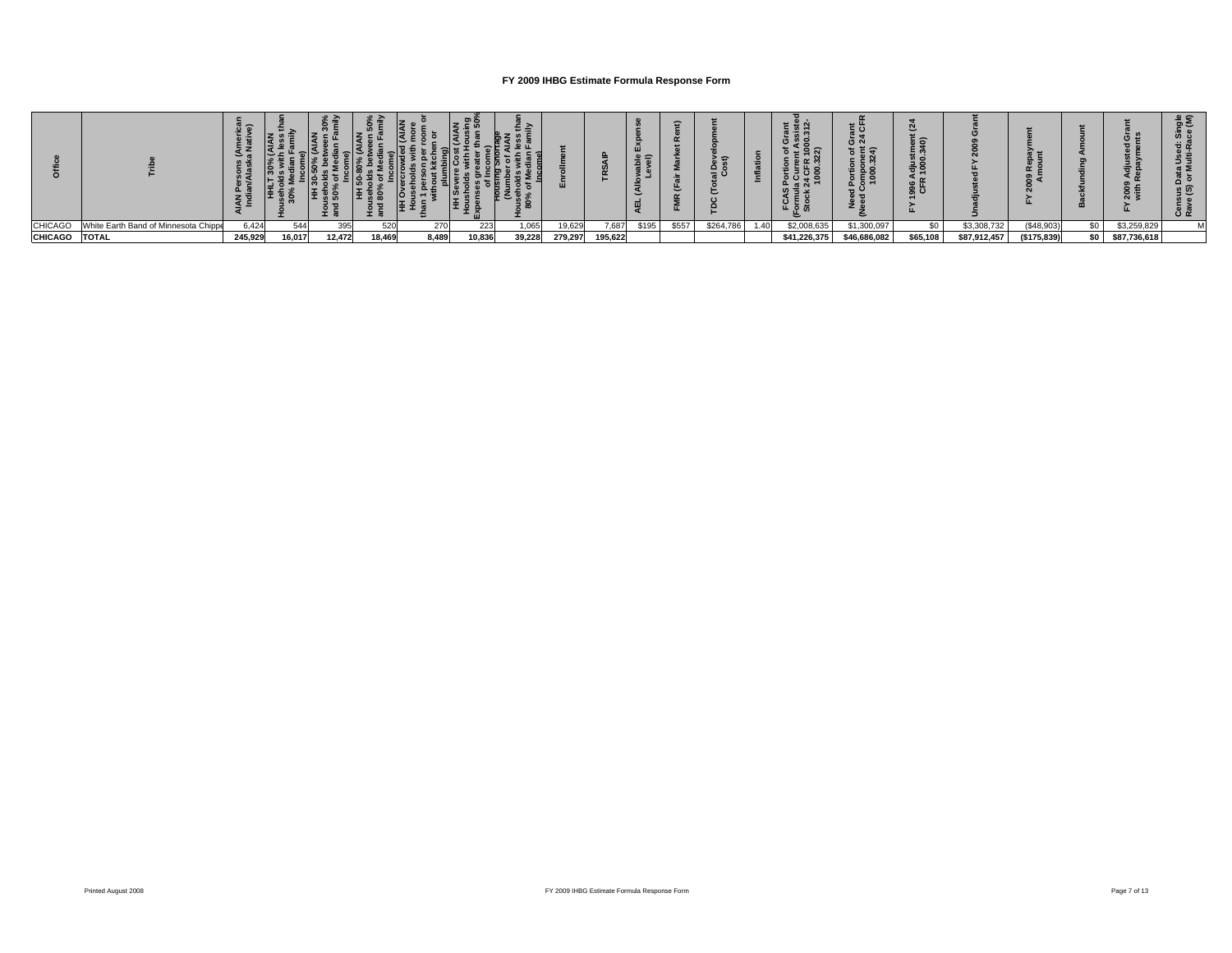|               |                                      | $\overline{\phantom{0}}$<br>، ت |        | ェ .    |        |       | <b>D</b> o<br><b>.</b> |        |         |         | ∘≏    |       | ≏<br>$= 0$ |      |              | 혼.<br>(5N)<br>n of<br>nent<br>324)<br>nmpol<br>1000.3 | $\mathbf{a}$<br>ະ ຣ<br>djustme.<br>1000<br>$\circ$ $\circ$<br>នី ចិ |              | െ<br>ă٠     |     | ت ن<br>2009<br>with | ៖€<br>ಷೆ (೧<br>ັບ ແ |
|---------------|--------------------------------------|---------------------------------|--------|--------|--------|-------|------------------------|--------|---------|---------|-------|-------|------------|------|--------------|-------------------------------------------------------|---------------------------------------------------------------------|--------------|-------------|-----|---------------------|---------------------|
| CHICAGO       | White Earth Band of Minnesota Chippe | 6,424                           |        | 395    | 520    | 27    | 223                    | 1,065  | 19,629  | 7,687   | \$195 | \$557 | \$264,786  | 1.40 | \$2,008,635  | \$1,300,097                                           |                                                                     | \$3,308,732  | (\$48,903)  | \$0 | \$3,259,829         |                     |
| CHICAGO TOTAL |                                      | 245,929                         | 16,017 | 12,472 | 18,469 | 8,489 | 10,836                 | 39,228 | 279,297 | 195,622 |       |       |            |      | \$41,226,375 | \$46,686,082                                          | \$65,108                                                            | \$87,912,457 | (\$175,839) |     | \$0 \$87,736,618    |                     |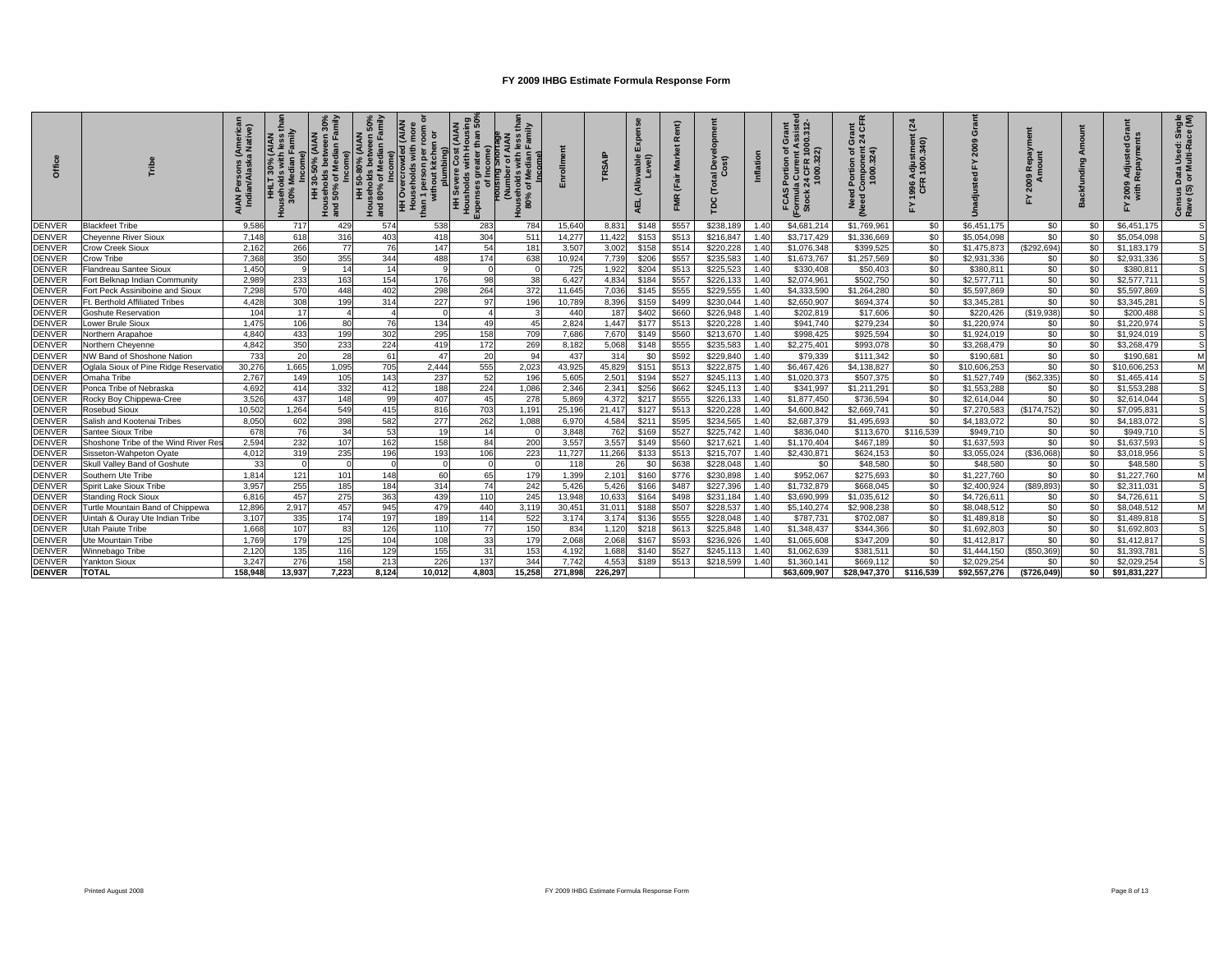| δ             |                                      | America<br>Native)<br><b>AIAN</b> | <b>MAIA</b><br>『<br>louseno<br>  30% | between 30%<br>ledian Family<br>Iseholds b<br>50% of Me<br>Ŧ<br>로<br>and | $50\%$<br>HH 50-80% (AIAN<br>useholds between 50's<br>180% of Median Famil<br>Income)<br>$\frac{1}{2}$<br>운 | ੁਰ<br><b>NAIN</b> pal<br>room<br>more<br>n or<br>11 person per r<br>without kitcher<br><b>HH Overcrowde</b><br>Households wi<br>than | ဇွာ<br>(AIA)<br>than<br>with Ho<br>eater tha<br>plumbing)<br>HH Severe Cost (<br>Housholds with <sup>H</sup><br>хремс<br>Houshold<br>xpenses | less tha<br>Family<br>ious ng Sugnor<br>lumber<br>holds w<br>of Medi<br>$rac{8}{3}$ | 5       | SAIP<br>E | kabl<br>⊴ | Ê<br>Rei<br>Nar<br>(Fair<br>$\alpha$<br>画 | ۵<br>ပ္မ  | Inflation | ະ໙<br>$\overline{31}$<br>t ÅS.<br>000.<br>ortion<br>$\circ$<br>CAS<br>$rac{5}{3}$<br>正 | <u>៖</u> ង<br>$5\frac{1}{2}$<br>ढ<br>e<br>18<br>उ<br>$\frac{8}{2}$ | $\mathfrak{F}$<br>Adjustment<br>R 1000.340)<br>98<br>CF |              | Repa<br>8    | ckfu | ) Adjusted<br>Repaymer<br>2009<br>with I | Single<br>ace (M)<br>Data Used:<br>) or Multi-Ra<br>្ធ ត<br>yev<br>ve<br>ဇီ ဇီ |
|---------------|--------------------------------------|-----------------------------------|--------------------------------------|--------------------------------------------------------------------------|-------------------------------------------------------------------------------------------------------------|--------------------------------------------------------------------------------------------------------------------------------------|----------------------------------------------------------------------------------------------------------------------------------------------|-------------------------------------------------------------------------------------|---------|-----------|-----------|-------------------------------------------|-----------|-----------|----------------------------------------------------------------------------------------|--------------------------------------------------------------------|---------------------------------------------------------|--------------|--------------|------|------------------------------------------|--------------------------------------------------------------------------------|
| <b>DENVER</b> | <b>Blackfeet Tribe</b>               | 9,586                             | 717                                  | 429                                                                      | 574                                                                                                         | 538                                                                                                                                  | 283                                                                                                                                          | 784                                                                                 | 15,640  | 8,831     | \$148     | \$557                                     | \$238,189 | 1.40      | \$4,681,214                                                                            | \$1,769,961                                                        | \$0                                                     | \$6,451,175  | \$0          | \$0  | \$6,451,175                              |                                                                                |
| <b>DENVER</b> | <b>Chevenne River Sioux</b>          | 7.148                             | 618                                  | 316                                                                      | 403                                                                                                         | 418                                                                                                                                  | 304                                                                                                                                          | 511                                                                                 | 14.277  | 11.422    | \$153     | \$513                                     | \$216,847 | 1.40      | \$3,717,429                                                                            | \$1,336,669                                                        | \$0                                                     | \$5.054.098  | \$0          | \$0  | \$5.054.098                              |                                                                                |
| DENVER        | Crow Creek Sioux                     | 2,162                             | 266                                  | 77                                                                       | 76                                                                                                          | 147                                                                                                                                  | 54                                                                                                                                           | 181                                                                                 | 3,50    | 3,002     | \$158     | \$514                                     | \$220,228 | 1.40      | \$1,076,348                                                                            | \$399,525                                                          | \$0                                                     | \$1,475,873  | (\$292,694   | \$0  | \$1,183,179                              |                                                                                |
| <b>DENVER</b> | Crow Tribe                           | 7,368                             | 350                                  | 355                                                                      | 344                                                                                                         | 488                                                                                                                                  | 174                                                                                                                                          | 638                                                                                 | 10,92   | 7,739     | \$206     | \$557                                     | \$235,583 | 1.40      | \$1,673,767                                                                            | \$1,257,569                                                        | \$0                                                     | \$2,931,336  | \$0          | \$0  | \$2,931,336                              |                                                                                |
| <b>DENVER</b> | Flandreau Santee Sioux               | 1.450                             |                                      | 14                                                                       | 14                                                                                                          |                                                                                                                                      |                                                                                                                                              |                                                                                     | 725     | 1,922     | \$204     | \$513                                     | \$225,523 | 1.40      | \$330,408                                                                              | \$50,403                                                           | \$0                                                     | \$380.81     | \$0          | \$0  | \$380.811                                |                                                                                |
| <b>DENVER</b> | Fort Belknap Indian Community        | 2,989                             | 233                                  | 163                                                                      | 154                                                                                                         | 176                                                                                                                                  | 98                                                                                                                                           | 38                                                                                  | 6,42    | 4,834     | \$184     | \$557                                     | \$226,133 | 1.40      | \$2,074,961                                                                            | \$502,750                                                          | \$0                                                     | \$2,577,71   | \$0          | \$0  | \$2,577,711                              |                                                                                |
| <b>DENVER</b> | Fort Peck Assiniboine and Sioux      | 7.298                             | 57C                                  | 448                                                                      | 402                                                                                                         | 298                                                                                                                                  | 264                                                                                                                                          | 372                                                                                 | 11.645  | 7.036     | \$145     | \$555                                     | \$229,555 | 1.40      | \$4,333,590                                                                            | \$1,264,280                                                        | \$0                                                     | \$5,597.869  | \$0          | \$0  | \$5,597,869                              |                                                                                |
| <b>DENVER</b> | Ft. Berthold Affiliated Tribes       | 4.428                             | 308                                  | 199                                                                      | 314                                                                                                         | 227                                                                                                                                  | 97                                                                                                                                           | 196                                                                                 | 10.78   | 8,396     | \$159     | \$499                                     | \$230.044 | 1.40      | \$2,650,907                                                                            | \$694.374                                                          | \$0                                                     | \$3.345.28   | \$0          | \$0  | \$3,345,281                              |                                                                                |
| <b>DENVER</b> | Goshute Reservation                  | 104                               | 17                                   |                                                                          |                                                                                                             |                                                                                                                                      |                                                                                                                                              |                                                                                     | 440     | 187       | \$402     | \$660                                     | \$226,948 | 1.40      | \$202.819                                                                              | \$17,606                                                           | \$0                                                     | \$220,426    | (S19.938)    | \$0  | \$200.488                                |                                                                                |
| DENVER        | Lower Brule Sioux                    | 1.475                             | 106                                  | 80                                                                       | 76                                                                                                          | 134                                                                                                                                  | 49                                                                                                                                           | 45                                                                                  | 2.824   | 1,447     | \$177     | \$513                                     | \$220,228 | 1.40      | \$941,740                                                                              | \$279.234                                                          | \$0                                                     | \$1,220,974  | \$0          | \$0  | \$1,220,974                              |                                                                                |
| <b>DENVER</b> | Northern Arapahoe                    | 4.840                             | 433                                  | 199                                                                      | 302                                                                                                         | 295                                                                                                                                  | 158                                                                                                                                          | 709                                                                                 | 7,686   | 7.670     | \$149     | \$560                                     | \$213,670 | 1.40      | \$998,425                                                                              | \$925,594                                                          | \$0                                                     | \$1,924,019  | \$0          | \$0  | \$1,924,019                              |                                                                                |
| <b>DENVER</b> | Northern Cheyenne                    | 4,842                             | 35C                                  | 233                                                                      | 224                                                                                                         | 419                                                                                                                                  | 172                                                                                                                                          | 269                                                                                 | 8,18    | 5,068     | \$148     | \$555                                     | \$235,583 | 1.40      | \$2,275,401                                                                            | \$993.078                                                          | \$0                                                     | \$3.268.479  | \$0          | \$0  | \$3.268.479                              |                                                                                |
| <b>DENVER</b> | NW Band of Shoshone Nation           | 733                               | 20                                   | 28                                                                       | 61                                                                                                          | 47                                                                                                                                   | 20                                                                                                                                           | 94                                                                                  | 437     | 314       | \$0       | \$592                                     | \$229,840 | 1.40      | \$79,339                                                                               | \$111.342                                                          | \$0                                                     | \$190.681    | \$0          | \$0  | \$190.68                                 | M                                                                              |
| <b>DENVER</b> | Oglala Sioux of Pine Ridge Reservati | 30,276                            | 1,665                                | 1,095                                                                    | 705                                                                                                         | 2,444                                                                                                                                | 555                                                                                                                                          | 2,023                                                                               | 43,925  | 45,829    | \$151     | \$51                                      | \$222,875 | 1.40      | \$6,467,426                                                                            | \$4,138,827                                                        | \$0                                                     | \$10,606,253 | \$0          | \$0  | \$10,606,253                             | M                                                                              |
| <b>DENVER</b> | Omaha Tribe                          | 2.767                             | 149                                  | 105                                                                      | 143                                                                                                         | 237                                                                                                                                  | 52                                                                                                                                           | 196                                                                                 | 5.605   | 2,501     | \$194     | \$527                                     | \$245,113 | 1.40      | \$1,020,373                                                                            | \$507,375                                                          | \$0                                                     | \$1,527,749  | (S62.335)    | \$0  | \$1,465,414                              |                                                                                |
| <b>DENVER</b> | Ponca Tribe of Nebraska              | 4.692                             | 414                                  | 332                                                                      | 412                                                                                                         | 188                                                                                                                                  | 224                                                                                                                                          | 1.086                                                                               | 2.346   | 2,341     | \$256     | \$662                                     | \$245,113 | 1.40      | \$341,997                                                                              | \$1,211,291                                                        | \$0                                                     | \$1,553,288  | \$0          | \$0  | \$1,553,288                              |                                                                                |
| <b>DENVER</b> | Rocky Boy Chippewa-Cree              | 3.526                             | 437                                  | 148                                                                      | 99                                                                                                          | 407                                                                                                                                  | 45                                                                                                                                           | 278                                                                                 | 5.86    | 4,372     | \$217     | \$555                                     | \$226,133 | 1.40      | \$1,877,450                                                                            | \$736,594                                                          | \$0                                                     | \$2,614,044  | \$0          | \$0  | \$2,614.044                              |                                                                                |
| <b>DENVER</b> | Rosebud Sioux                        | 10,502                            | 1,264                                | 549                                                                      | 415                                                                                                         | 816                                                                                                                                  | 703                                                                                                                                          | 1,191                                                                               | 25,196  | 21,417    | \$127     | \$51                                      | \$220,228 | 1.40      | \$4,600,842                                                                            | \$2,669,741                                                        | \$0                                                     | \$7,270,583  | (\$174, 752) | \$0  | \$7,095.831                              |                                                                                |
| <b>DENVER</b> | Salish and Kootenai Tribes           | 8.050                             | 602                                  | 398                                                                      | 582                                                                                                         | 277                                                                                                                                  | 262                                                                                                                                          | 1.088                                                                               | 6.97    | 4.584     | \$211     | \$595                                     | \$234,565 | 1.40      | \$2,687,379                                                                            | \$1,495,693                                                        | \$0                                                     | \$4,183,072  | \$0          | \$0  | \$4,183,072                              |                                                                                |
| <b>DENVER</b> | Santee Sioux Tribe                   | 678                               | 76                                   | 34                                                                       | 53                                                                                                          | 19                                                                                                                                   | 14                                                                                                                                           |                                                                                     | 3,848   | 762       | \$169     | \$527                                     | \$225,742 | 1.40      | \$836,040                                                                              | \$113,670                                                          | \$116,539                                               | \$949,710    | \$0          | \$0  | \$949,710                                |                                                                                |
| <b>DENVER</b> | Shoshone Tribe of the Wind River Res | 2.594                             | 232                                  | 107                                                                      | 162                                                                                                         | 158                                                                                                                                  | 84                                                                                                                                           | 200                                                                                 | 3.557   | 3.557     | \$149     | \$560                                     | \$217.621 | 1.40      | \$1,170,404                                                                            | \$467.189                                                          | \$0                                                     | \$1,637,593  | \$0          | \$0  | \$1,637,593                              |                                                                                |
| <b>DENVER</b> | Sisseton-Wahpeton Oyate              | 4,012                             | 319                                  | 235                                                                      | 196                                                                                                         | 193                                                                                                                                  | 106                                                                                                                                          | 223                                                                                 | 11,727  | 11,266    | \$133     | \$513                                     | \$215,707 | 1.40      | \$2,430,871                                                                            | \$624,153                                                          | \$0                                                     | \$3,055,024  | ( \$36,068)  | \$0  | \$3,018,956                              |                                                                                |
| <b>DENVER</b> | Skull Valley Band of Goshute         | 33                                |                                      | $\Omega$                                                                 |                                                                                                             | $\Omega$                                                                                                                             |                                                                                                                                              |                                                                                     | 118     | 26        | \$0       | \$638                                     | \$228,048 | 1.40      | \$0                                                                                    | \$48,580                                                           | \$0                                                     | \$48,580     | \$0          | \$0  | \$48,580                                 |                                                                                |
| <b>DENVER</b> | Southern Ute Tribe                   | 1.814                             | 121                                  | 101                                                                      | 148                                                                                                         | 60                                                                                                                                   | 65                                                                                                                                           | 179                                                                                 | 1,399   | 2,101     | \$160     | \$776                                     | \$230,898 | 1.40      | \$952.067                                                                              | \$275,693                                                          | \$0                                                     | \$1,227,760  | \$0          | \$0  | \$1,227,760                              | M                                                                              |
| <b>DENVER</b> | Spirit Lake Sioux Tribe              | 3.957                             | 255                                  | 185                                                                      | 184                                                                                                         | 314                                                                                                                                  | 74                                                                                                                                           | 242                                                                                 | 5.426   | 5.426     | \$166     | \$487                                     | \$227,396 | 1.40      | \$1,732,879                                                                            | \$668.045                                                          | \$0                                                     | \$2,400,924  | (\$89,893    | \$0  | \$2,311,031                              |                                                                                |
| <b>DENVER</b> | <b>Standing Rock Sioux</b>           | 6.816                             | 457                                  | 275                                                                      | 363                                                                                                         | 439                                                                                                                                  | 110                                                                                                                                          | 245                                                                                 | 13,948  | 10.633    | \$164     | \$498                                     | \$231,184 | 1.40      | \$3,690,999                                                                            | \$1,035,612                                                        | \$0                                                     | \$4,726.61   | \$0          | \$0  | \$4,726,611                              |                                                                                |
| <b>DENVER</b> | Turtle Mountain Band of Chippewa     | 12,896                            | 2.917                                | 457                                                                      | 945                                                                                                         | 479                                                                                                                                  | 440                                                                                                                                          | 3.119                                                                               | 30.45   | 31.011    | \$188     | \$507                                     | \$228,537 | 1.40      | \$5,140,274                                                                            | \$2,908,238                                                        | \$0                                                     | \$8,048,512  | \$0          | \$0  | \$8,048,512                              |                                                                                |
| <b>DENVER</b> | Uintah & Ouray Ute Indian Tribe      | 3.107                             | 335                                  | 174                                                                      | 197                                                                                                         | 189                                                                                                                                  | 114                                                                                                                                          | 522                                                                                 | 3.174   | 3,174     | \$136     | \$555                                     | \$228,048 | 1.40      | \$787.731                                                                              | \$702.087                                                          | \$0                                                     | \$1,489.81   | \$0          | \$0  | \$1,489,818                              |                                                                                |
| <b>DENVER</b> | Utah Paiute Tribe                    | 1,668                             | 107                                  | 83                                                                       | 126                                                                                                         | 110                                                                                                                                  | 77                                                                                                                                           | 150                                                                                 | 83      | 1.120     | \$218     | \$613                                     | \$225,848 | 1.40      | \$1,348,437                                                                            | \$344.366                                                          | \$0                                                     | \$1,692,803  | \$0          | \$0  | \$1,692,803                              |                                                                                |
| <b>DENVER</b> | Ute Mountain Tribe                   | 1.769                             | 179                                  | 125                                                                      | 104                                                                                                         | 108                                                                                                                                  | 33                                                                                                                                           | 179                                                                                 | 2.068   | 2,068     | \$167     | \$593                                     | \$236,926 | 1.40      | \$1,065,608                                                                            | \$347,209                                                          | \$0                                                     | \$1,412,817  | \$0          | \$0  | \$1,412,817                              |                                                                                |
| <b>DENVER</b> | Winnebago Tribe                      | 2.120                             | 135                                  | 116                                                                      | 129                                                                                                         | 155                                                                                                                                  | 31                                                                                                                                           | 153                                                                                 | 4,192   | 1.688     | \$140     | \$527                                     | \$245,113 | 1.40      | \$1,062,639                                                                            | \$381,511                                                          | \$0                                                     | \$1,444,150  | (\$50,369)   | \$0  | \$1,393,781                              |                                                                                |
| <b>DENVER</b> | <b>Yankton Sioux</b>                 | 3.247                             | 276                                  | 158                                                                      | 213                                                                                                         | 226                                                                                                                                  | 137                                                                                                                                          | 344                                                                                 | 7,742   | 4,553     | \$189     | \$513                                     | \$218,599 | 1.40      | \$1,360,141                                                                            | \$669,112                                                          | \$0                                                     | \$2.029.254  | \$0          | \$0  | \$2.029.254                              |                                                                                |
| <b>DENVER</b> | <b>TOTAL</b>                         | 158.948                           | 13.937                               | 7.223                                                                    | 8.124                                                                                                       | 10.012                                                                                                                               | 4.803                                                                                                                                        | 15.258                                                                              | 271.898 | 226.297   |           |                                           |           |           | \$63.609.907                                                                           | \$28.947.370                                                       | \$116,539                                               | \$92.557.276 | (\$726.049)  | \$0  | \$91.831.227                             |                                                                                |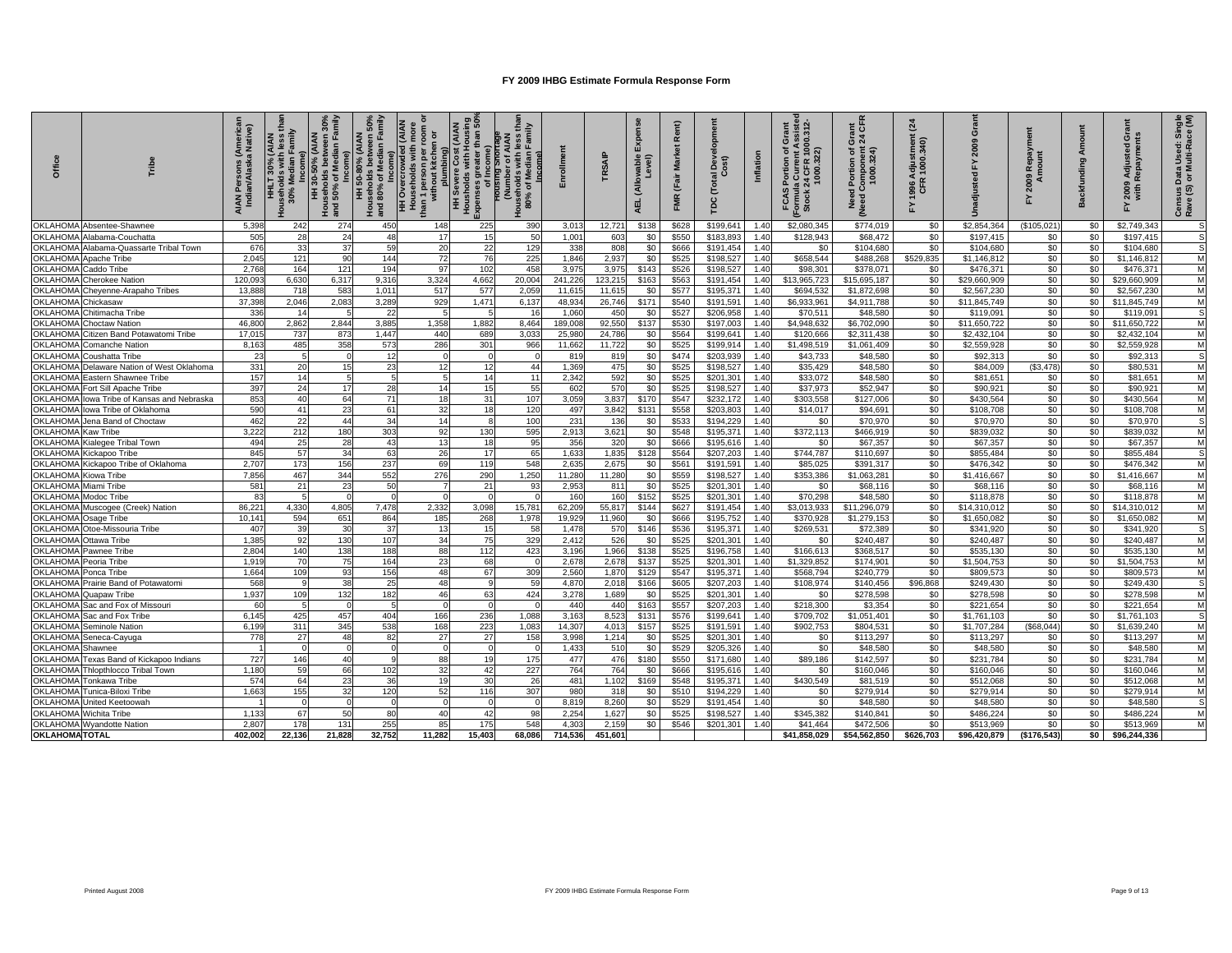|                             |                                               | (Americal)<br>a Native)<br>AIAN Persons (<br>Indian/Alaska | Family<br>less<br>틽<br>30% M | ween 30%<br>ian Family<br>(AIAN<br>Households betwe<br>and 50% of Median<br>Income)<br>HH 30- | ls between 50%<br>FMedian Family<br>HH 50-80% (AIAN<br>Households between 5<br>and 80% of Median Fan<br>Income) | AIAN<br>room<br>n or<br>with<br><b>HH Overcrow</b><br>Households<br>than 1 person  <br>without kite | ខ្នួនី<br>(AIAN<br>than<br>plumbing)<br>HH Severe Cost ( <i>J</i><br>Housholds with Ho<br>Expenses greater th<br>of Income) | less tha<br>Family<br><del>דו</del> סעפוזוק Sחסד<br>Number of Al<br>Median<br>তু 'চ<br>Househ<br>80% | nrollm  | SAIP<br>E | Шň<br>wable<br>Level)<br>ड<br><b>AEL</b> | Rent)<br><b>Market</b><br>(Fair<br><b>FMR</b> | $\overline{\mathbf{o}}$<br>Devi<br>05t)<br>$T$ otal<br>rpc | Inflation | <b>Current Assisted<br/>4 CFR 1000.312-<br/>1000.322)</b><br>Grant<br>prtion of<br>FCAS<br>Formula<br>Stock 2 | <b>ដូ ង</b><br>Gra $\frac{24}{ }$<br>pmponent<br>1000.324)<br>৳<br>Portion<br>යි<br>اندون<br>Need | $\mathbf{z}$<br>Adjustment<br>R 1000.340)<br>1996 | ō<br>2009<br>겂<br><b>Jnadiusted</b> | 2009 Repay  | <b>Backfunding</b> | £<br>ō<br>2009 Adjustee<br>with Repayme<br>놊 | : Single<br>: ace (M)<br>ta Used:<br>Multi-Ra<br>$\overline{a}$ $\overline{b}$<br>្ធ ត<br>Cens<br>Rave |
|-----------------------------|-----------------------------------------------|------------------------------------------------------------|------------------------------|-----------------------------------------------------------------------------------------------|-----------------------------------------------------------------------------------------------------------------|-----------------------------------------------------------------------------------------------------|-----------------------------------------------------------------------------------------------------------------------------|------------------------------------------------------------------------------------------------------|---------|-----------|------------------------------------------|-----------------------------------------------|------------------------------------------------------------|-----------|---------------------------------------------------------------------------------------------------------------|---------------------------------------------------------------------------------------------------|---------------------------------------------------|-------------------------------------|-------------|--------------------|----------------------------------------------|--------------------------------------------------------------------------------------------------------|
|                             | OKLAHOMA Absentee-Shawnee                     | 5.398                                                      | 242                          | 274                                                                                           | 450                                                                                                             | 148                                                                                                 | 225                                                                                                                         | 390                                                                                                  | 3.013   | 12.721    | \$138                                    | \$628                                         | \$199.641                                                  | 1.40      | \$2,080,345                                                                                                   | \$774.019                                                                                         | \$0                                               | \$2,854.364                         | (\$105.021  | \$0                | \$2,749,343                                  | <b>S</b>                                                                                               |
|                             | KLAHOMA Alabama-Couchatta                     | 505                                                        | 28                           | 24                                                                                            | 48                                                                                                              | 17                                                                                                  | 15                                                                                                                          | 50                                                                                                   | 1.001   | 603       | \$0                                      | \$550                                         | \$183,893                                                  | 1.40      | \$128,943                                                                                                     | \$68,472                                                                                          | \$0                                               | \$197.41                            | \$0         | \$0                | \$197.415                                    | S                                                                                                      |
|                             | KLAHOMA Alabama-Quassarte Tribal Town         | 676                                                        | 33                           | 37                                                                                            | 59                                                                                                              | -20                                                                                                 | 22                                                                                                                          | 129                                                                                                  | 338     | 808       | \$0                                      | \$666                                         | \$191.454                                                  | 1.40      | \$0                                                                                                           | \$104,680                                                                                         | \$0                                               | \$104,680                           | \$0         | \$0                | \$104,680                                    | S                                                                                                      |
|                             | <b>OKLAHOMA</b> Apache Tribe                  | 2.045                                                      | 121                          | 90                                                                                            | 144                                                                                                             | 72                                                                                                  | 76                                                                                                                          | 225                                                                                                  | 1.846   | 2,937     | \$0                                      | \$525                                         | \$198,527                                                  | 1.40      | \$658,544                                                                                                     | \$488.268                                                                                         | \$529.835                                         | \$1,146.81                          | \$0         | \$0                | \$1.146.812                                  | M                                                                                                      |
| OKLAHOMA Caddo Tribe        |                                               | 2,76                                                       | 164                          | 121                                                                                           | 194                                                                                                             | 97                                                                                                  | 102                                                                                                                         | 458                                                                                                  | 3.975   | 3,975     | \$143                                    | \$526                                         | \$198,527                                                  | 1.40      | \$98,301                                                                                                      | \$378,071                                                                                         | \$0                                               | \$476.37                            | \$0         | \$0                | \$476,371                                    | M                                                                                                      |
| <b>KLAHOMA</b>              | <b>Cherokee Nation</b>                        | 120.09                                                     | 6,630                        | 6,317                                                                                         | 9,316                                                                                                           | 3,324                                                                                               | 4,662                                                                                                                       | 20,004                                                                                               | 241,226 | 123,215   | \$163                                    | \$563                                         | \$191,454                                                  | 1.40      | \$13,965,723                                                                                                  | \$15,695,187                                                                                      | \$0                                               | \$29,660,909                        | \$0         | \$0                | \$29,660,909                                 | M                                                                                                      |
| <b>KLAHOMA</b>              | Cheyenne-Arapaho Tribes                       | 13,88                                                      | 71                           | 583                                                                                           | 1,01                                                                                                            | 517                                                                                                 | 577                                                                                                                         | 2,05                                                                                                 | 11,61   | 11,615    | \$0                                      | \$577                                         | \$195,371                                                  | 1.40      | \$694,532                                                                                                     | \$1,872,698                                                                                       | \$0                                               | \$2,567,230                         | \$0         | \$0                | \$2,567,230                                  | M                                                                                                      |
| <b>KLAHOMA</b>              | Chickasaw                                     | 37,39                                                      | 2,046                        | 2,083                                                                                         | 3,289                                                                                                           | 929                                                                                                 | 1,471                                                                                                                       | 6,137                                                                                                | 48,93   | 26,746    | \$171                                    | \$540                                         | \$191,591                                                  | 1.40      | \$6,933,961                                                                                                   | \$4,911,788                                                                                       | \$0                                               | \$11,845,749                        | \$0         | \$0                | \$11,845,749                                 | M                                                                                                      |
|                             | KLAHOMA Chitimacha Tribe                      | 336                                                        |                              |                                                                                               | 22                                                                                                              |                                                                                                     |                                                                                                                             |                                                                                                      | 1,06    | 450       | \$0                                      | \$527                                         | \$206,958                                                  | 1.4(      | \$70,511                                                                                                      | \$48,580                                                                                          | \$0                                               | \$119,091                           | \$0         | \$0                | \$119,091                                    |                                                                                                        |
|                             | <b>OKLAHOMA</b> Choctaw Nation                | 46.80                                                      | 2.862                        | 2.844                                                                                         | 3.885                                                                                                           | 1,358                                                                                               | 1.882                                                                                                                       | 8.464                                                                                                | 189.008 | 92.550    | \$137                                    | \$530                                         | \$197,003                                                  | 1.40      | \$4,948,632                                                                                                   | \$6,702.090                                                                                       | \$0                                               | \$11,650,722                        | \$0         | \$0                | \$11,650,722                                 | М                                                                                                      |
|                             | <b>DKLAHOMA Citizen Band Potawatomi Tribe</b> | 17.01                                                      | 737                          | 873                                                                                           | 1.447                                                                                                           | 440                                                                                                 | 689                                                                                                                         | 3.03                                                                                                 | 25.98   | 24.786    | \$0                                      | \$564                                         | \$199.641                                                  | 1.40      | \$120,666                                                                                                     | \$2.311.438                                                                                       | \$0                                               | \$2,432,104                         | \$0         | \$0                | \$2,432,104                                  | M                                                                                                      |
| <b>OKLAHOMA</b>             | <b>Comanche Nation</b>                        | 8,163                                                      | 485                          | 358                                                                                           | 573                                                                                                             | 286                                                                                                 | 301                                                                                                                         | 966                                                                                                  | 11,66   | 11,722    | \$0                                      | \$525                                         | \$199,914                                                  | 1.40      | \$1,498,519                                                                                                   | \$1,061,409                                                                                       | \$0                                               | \$2,559,928                         | \$0         | \$0                | \$2,559,928                                  | M                                                                                                      |
|                             | KLAHOMA Coushatta Tribe                       | 23                                                         |                              |                                                                                               |                                                                                                                 |                                                                                                     |                                                                                                                             |                                                                                                      | 81      | 819       | \$0                                      | \$474                                         | \$203,939                                                  | 1.40      | \$43,733                                                                                                      | \$48,580                                                                                          | \$0                                               | \$92,313                            | \$0         | \$0                | \$92,313                                     |                                                                                                        |
| <b>KLAHOMA</b>              | Delaware Nation of West Oklahoma              | 331                                                        | 2 <sup>0</sup>               | 15                                                                                            |                                                                                                                 | 12                                                                                                  | 12                                                                                                                          | 44                                                                                                   | 1,36    | 475       | \$0                                      | \$525                                         | \$198,527                                                  | 1.40      | \$35,429                                                                                                      | \$48,580                                                                                          | \$0                                               | \$84,009                            | (\$3,478)   | \$0                | \$80.531                                     | M                                                                                                      |
| <b>OKLAHOMA</b>             | <b>Eastern Shawnee Tribe</b>                  | 157                                                        | 14                           | -5                                                                                            |                                                                                                                 |                                                                                                     | 14                                                                                                                          | 11                                                                                                   | 2,342   | 592       | \$0                                      | \$525                                         | \$201,301                                                  | 1.40      | \$33,072                                                                                                      | \$48,580                                                                                          | \$0                                               | \$81,651                            | \$0         | \$0                | \$81,651                                     | M                                                                                                      |
|                             | <b>OKLAHOMA</b> Fort Sill Apache Tribe        | 397                                                        | 24                           | 17                                                                                            | 28                                                                                                              | 14                                                                                                  | 15                                                                                                                          | 55                                                                                                   | 602     | 570       | \$0                                      | \$525                                         | \$198,527                                                  | 1.40      | \$37,973                                                                                                      | \$52,947                                                                                          | \$0                                               | \$90.921                            | \$0         | \$0                | \$90,921                                     | M                                                                                                      |
| <b>KLAHOMA</b>              | lowa Tribe of Kansas and Nebraska             | 853                                                        | 40                           | 64                                                                                            | 71                                                                                                              | 18                                                                                                  | 31                                                                                                                          | 107                                                                                                  | 3,059   | 3,837     | \$170                                    | \$547                                         | \$232,172                                                  | 1.40      | \$303,558                                                                                                     | \$127,006                                                                                         | \$0                                               | \$430,564                           | \$0         | \$0                | \$430,564                                    | M                                                                                                      |
|                             | OKLAHOMA lowa Tribe of Oklahoma               | 590                                                        | 41                           | 23                                                                                            | 61                                                                                                              | 32                                                                                                  | 18                                                                                                                          | 120                                                                                                  | 497     | 3,842     | \$131                                    | \$558                                         | \$203,803                                                  | 1.40      | \$14.017                                                                                                      | \$94.691                                                                                          | \$0                                               | \$108,708                           | \$0         | \$0                | \$108,708                                    | M                                                                                                      |
| <b>OKLAHOMA</b>             | Jena Band of Choctaw                          | 462                                                        | 22                           | 44                                                                                            | 34                                                                                                              | 14                                                                                                  |                                                                                                                             | 100                                                                                                  | 231     | 136       | \$0                                      | \$533                                         | \$194.229                                                  | 1.40      | \$0                                                                                                           | \$70,970                                                                                          | \$0                                               | \$70,970                            | \$0         | \$0                | \$70,970                                     | <sub>S</sub>                                                                                           |
| <b>KLAHOMA</b>              | <b>Kaw Tribe</b>                              | 3.222                                                      | 212                          | 180                                                                                           | 303                                                                                                             | 92                                                                                                  | 130                                                                                                                         | 595                                                                                                  | 2.91    | 3,621     | \$0                                      | \$548                                         | \$195,371                                                  | 1.40      | \$372.113                                                                                                     | \$466,919                                                                                         | \$0                                               | \$839,032                           | \$0         | \$0                | \$839,032                                    | M                                                                                                      |
|                             | <b>OKLAHOMA Kialegee Tribal Town</b>          | 494                                                        | 25                           | 28                                                                                            | 43                                                                                                              | 13                                                                                                  | 18                                                                                                                          | 95                                                                                                   | 356     | 320       | \$0                                      | \$666                                         | \$195,616                                                  | 1.40      | \$0                                                                                                           | \$67,357                                                                                          | \$0                                               | \$67,357                            | \$0         | \$0                | \$67,357                                     | M                                                                                                      |
|                             | <b>OKLAHOMA Kickapoo Tribe</b>                | 845                                                        | 57                           | 34                                                                                            | 63                                                                                                              | 26                                                                                                  | 17                                                                                                                          | 65                                                                                                   | 1.63    | 1,835     | \$128                                    | \$564                                         | \$207,203                                                  | 1.40      | \$744,787                                                                                                     | \$110,697                                                                                         | \$0                                               | \$855,484                           | \$0         | \$0                | \$855,484                                    | s                                                                                                      |
|                             | <b>OKLAHOMA</b> Kickapoo Tribe of Oklahoma    | 2,707                                                      | 173                          | 156                                                                                           | 237                                                                                                             | 69                                                                                                  | 119                                                                                                                         | 548                                                                                                  | 2.63    | 2,675     | \$0                                      | \$561                                         | \$191,591                                                  | 1.40      | \$85,025                                                                                                      | \$391,317                                                                                         | \$0                                               | \$476,342                           | \$0         | \$0                | \$476,342                                    | M                                                                                                      |
| OKLAHOMA                    | Kiowa Tribe                                   | 7,856                                                      | 467                          | 344                                                                                           | 552                                                                                                             | 276                                                                                                 | 290                                                                                                                         | 1,250                                                                                                | 11,28   | 11,280    | \$0                                      | \$559                                         | \$198,527                                                  | 1.40      | \$353,386                                                                                                     | \$1,063,281                                                                                       | \$0                                               | \$1,416,667                         | \$0         | \$0                | \$1,416,667                                  | M                                                                                                      |
| <b>OKLAHOMA</b> Miami Tribe |                                               | 581                                                        | 21                           | 23                                                                                            | 50                                                                                                              |                                                                                                     | 21                                                                                                                          | 93                                                                                                   | 2,95    | 811       | \$0                                      | \$525                                         | \$201,301                                                  | 1.40      | \$0                                                                                                           | \$68,116                                                                                          | \$0                                               | \$68,116                            | \$0         | \$0                | \$68,116                                     | M                                                                                                      |
| <b>KLAHOMA</b>              | Modoc Tribe                                   | 83                                                         |                              |                                                                                               |                                                                                                                 |                                                                                                     |                                                                                                                             |                                                                                                      | 160     | 160       | \$152                                    | \$525                                         | \$201.301                                                  | 1.4(      | \$70,298                                                                                                      | \$48,580                                                                                          | \$0                                               | \$118,878                           | \$0         | \$0                | \$118,878                                    | M                                                                                                      |
|                             | <b>KLAHOMA</b> Muscogee (Creek) Nation        | 86.22                                                      | 4.330                        | 4.805                                                                                         | 7.478                                                                                                           | 2.332                                                                                               | 3.098                                                                                                                       | 15.78'                                                                                               | 62.209  | 55.817    | \$144                                    | \$627                                         | \$191.454                                                  | 1.40      | \$3.013.933                                                                                                   | \$11,296,079                                                                                      | \$0                                               | \$14,310,012                        | \$0         | \$0                | \$14,310,012                                 | M                                                                                                      |
|                             | KLAHOMA Osage Tribe                           | 10.14'                                                     | 594                          | 651                                                                                           | 864                                                                                                             | 185                                                                                                 | 268                                                                                                                         | 1.978                                                                                                | 19.92   | 11.960    | \$0                                      | \$666                                         | \$195,752                                                  | 1.40      | \$370.928                                                                                                     | \$1.279.153                                                                                       | \$0                                               | \$1,650,082                         | \$0         | \$0                | \$1,650,082                                  | M                                                                                                      |
|                             | OKLAHOMA Otoe-Missouria Tribe                 | 407                                                        | -39                          | 30                                                                                            | 37                                                                                                              | 13                                                                                                  | 15                                                                                                                          | 58                                                                                                   | 1.478   | 570       | \$146                                    | \$536                                         | \$195,371                                                  | 1.40      | \$269.531                                                                                                     | \$72,389                                                                                          | \$0                                               | \$341,920                           | \$0         | \$0                | \$341,920                                    | <sub>S</sub>                                                                                           |
|                             | <b>KLAHOMA</b> Ottawa Tribe                   | 1,385                                                      | 92                           | 130                                                                                           | 107                                                                                                             | 34                                                                                                  | 75                                                                                                                          | 329                                                                                                  | 2,412   | 526       | \$0                                      | \$525                                         | \$201,301                                                  | 1.40      | \$0                                                                                                           | \$240,487                                                                                         | \$0                                               | \$240,487                           | \$0         | \$0                | \$240,487                                    | M                                                                                                      |
| <b>DKLAHOMA</b>             | Pawnee Tribe                                  | 2,804                                                      | 140                          | 138                                                                                           | 188                                                                                                             | 88                                                                                                  | 112                                                                                                                         | 423                                                                                                  | 3,196   | 1,966     | \$138                                    | \$525                                         | \$196,758                                                  | 1.40      | \$166,613                                                                                                     | \$368,517                                                                                         | \$0                                               | \$535,130                           | \$0         | \$0                | \$535,130                                    | M                                                                                                      |
| OKLAHOMA Peoria Tribe       |                                               | 1,91                                                       | 70                           | 75                                                                                            | 164                                                                                                             | 23                                                                                                  | 68                                                                                                                          |                                                                                                      | 2,67    | 2,678     | \$137                                    | \$525                                         | \$201,301                                                  | 1.40      | \$1,329,852                                                                                                   | \$174,901                                                                                         | \$0                                               | \$1,504,753                         | \$0         | \$0                | \$1,504,753                                  | M                                                                                                      |
|                             | <b>KLAHOMA</b> Ponca Tribe                    | 1.664                                                      | 109                          | 93                                                                                            | 156                                                                                                             | 48                                                                                                  | 67                                                                                                                          | 309                                                                                                  | 2.560   | 1,870     | \$129                                    | \$547                                         | \$195,371                                                  | 1.4(      | \$568,794                                                                                                     | \$240,779                                                                                         | \$0                                               | \$809,573                           | \$0         | \$0                | \$809,573                                    | M                                                                                                      |
|                             | <b>DKLAHOMA Prairie Band of Potawatomi</b>    | 568                                                        |                              | 38                                                                                            | 25                                                                                                              | 48                                                                                                  |                                                                                                                             | 59                                                                                                   | 4.87    | 2,018     | \$166                                    | \$605                                         | \$207,203                                                  | 1.40      | \$108,974                                                                                                     | \$140,456                                                                                         | \$96,868                                          | \$249,430                           | \$0         | \$0                | \$249,430                                    |                                                                                                        |
|                             | <b>OKLAHOMA</b> Quapaw Tribe                  | 1.937                                                      | 109                          | 132                                                                                           | 182                                                                                                             | 46                                                                                                  | 63                                                                                                                          | 424                                                                                                  | 3.278   | 1.689     | \$0                                      | \$525                                         | \$201.301                                                  | 1.40      | \$0                                                                                                           | \$278.598                                                                                         | \$0                                               | \$278.598                           | \$0         | \$0                | \$278.598                                    | M                                                                                                      |
|                             | OKLAHOMA Sac and Fox of Missouri              | 60                                                         |                              |                                                                                               |                                                                                                                 |                                                                                                     |                                                                                                                             |                                                                                                      | 440     | 440       | \$163                                    | \$557                                         | \$207,203                                                  | 1.40      | \$218,300                                                                                                     | \$3,354                                                                                           | \$0                                               | \$221,654                           | \$0         | \$0                | \$221,654                                    | M                                                                                                      |
|                             | <b>DKLAHOMA</b> Sac and Fox Tribe             | 6.145                                                      | 425                          | 457                                                                                           | 404                                                                                                             | 166                                                                                                 | 236                                                                                                                         | 1.088                                                                                                | 3.16    | 8.523     | \$131                                    | \$576                                         | \$199.641                                                  | 1.40      | \$709.702                                                                                                     | \$1.051.401                                                                                       | \$0                                               | \$1,761,103                         | \$0         | \$0                | \$1,761,103                                  |                                                                                                        |
| <b>KLAHOMA</b>              | Seminole Nation                               | 6,199                                                      | 311                          | 345                                                                                           | 538                                                                                                             | 168                                                                                                 | 223                                                                                                                         | 1,08                                                                                                 | 14.30   | 4,013     | \$157                                    | \$525                                         | \$191,591                                                  | 1.40      | \$902,753                                                                                                     | \$804,531                                                                                         | \$0                                               | \$1,707,284                         | (\$68,044   | \$0                | \$1,639,240                                  | M                                                                                                      |
|                             | OKLAHOMA Seneca-Cayuga                        | 778                                                        | 27                           | 48                                                                                            | 82                                                                                                              | 27                                                                                                  | 27                                                                                                                          | 158                                                                                                  | 3.998   | 1.214     | \$0                                      | \$525                                         | \$201,301                                                  | 1.40      | \$0                                                                                                           | \$113,297                                                                                         | \$0                                               | \$113.297                           | \$0         | \$0                | \$113,297                                    | M                                                                                                      |
| KLAHOMA Shawnee             |                                               |                                                            |                              |                                                                                               |                                                                                                                 |                                                                                                     |                                                                                                                             |                                                                                                      | 1.43    | 510       | \$0                                      | \$529                                         | \$205,326                                                  | 1.40      | \$0                                                                                                           | \$48,580                                                                                          | \$0                                               | \$48,580                            | \$0         | \$0                | \$48,580                                     | M                                                                                                      |
| <b>KLAHOMA</b>              | Texas Band of Kickapoo Indians                | 727                                                        | 146                          | 40                                                                                            |                                                                                                                 | 88                                                                                                  | 19                                                                                                                          | 175                                                                                                  | 477     | 476       | \$180                                    | \$550                                         | \$171,680                                                  | 1.40      | \$89,186                                                                                                      | \$142,597                                                                                         | \$0                                               | \$231,784                           | \$0         | \$0                | \$231,784                                    | M                                                                                                      |
|                             | <b>OKLAHOMA</b> Thlopthlocco Tribal Town      | 1,180                                                      | 59                           | 66                                                                                            | 102                                                                                                             | 32                                                                                                  | 42                                                                                                                          | 227                                                                                                  | 764     | 764       | \$0                                      | \$666                                         | \$195,616                                                  | 1.40      | \$0                                                                                                           | \$160,046                                                                                         | \$0                                               | \$160,046                           | \$0         | \$0                | \$160,046                                    | M                                                                                                      |
| <b>KLAHOMA</b>              | Tonkawa Tribe                                 | 574                                                        | 64                           | 23                                                                                            | 36                                                                                                              | 19                                                                                                  | 30                                                                                                                          | 26                                                                                                   | 481     | 1.102     | \$169                                    | \$548                                         | \$195,371                                                  | 1.40      | \$430.549                                                                                                     | \$81.519                                                                                          | \$0                                               | \$512,068                           | \$0         | \$0                | \$512.068                                    | M                                                                                                      |
| <b>KLAHOMA</b>              | Tunica-Biloxi Tribe                           | 1.663                                                      | 155                          | 32                                                                                            | 120                                                                                                             | 52                                                                                                  | 116                                                                                                                         | 307                                                                                                  | 980     | 318       | \$0                                      | \$510                                         | \$194,229                                                  | 1.40      | \$0                                                                                                           | \$279.914                                                                                         | \$0                                               | \$279.914                           | \$0         | \$0                | \$279.914                                    | M                                                                                                      |
| <b>XLAHOMA</b>              | United Keetoowah                              |                                                            |                              |                                                                                               |                                                                                                                 |                                                                                                     |                                                                                                                             |                                                                                                      | 8.81    | 8.260     | \$0                                      | \$529                                         | \$191.454                                                  | 1.40      | \$0                                                                                                           | \$48,580                                                                                          | \$0                                               | \$48,580                            | \$0         | \$0                | \$48,580                                     |                                                                                                        |
|                             | OKLAHOMA Wichita Tribe                        | 1.13                                                       | 67                           | 50                                                                                            | 80                                                                                                              | 40                                                                                                  | 42                                                                                                                          | 98                                                                                                   | 2.25    | 1.627     | \$0                                      | \$525                                         | \$198,527                                                  | 1.40      | \$345,382                                                                                                     | \$140.841                                                                                         | \$0                                               | \$486,224                           | \$0         | \$0                | \$486,224                                    | M                                                                                                      |
|                             | OKLAHOMA Wyandotte Nation                     | 2.80                                                       | 178                          | 131                                                                                           | 255                                                                                                             | 85                                                                                                  | 175                                                                                                                         | 548                                                                                                  | 4.30    | 2.159     | \$0                                      | \$546                                         | \$201,301                                                  | 1.40      | \$41.464                                                                                                      | \$472,506                                                                                         | \$0                                               | \$513,969                           | \$0         | \$0                | \$513,969                                    | M                                                                                                      |
| <b>OKLAHOMATOTAL</b>        |                                               | 402.002                                                    | 22,136                       | 21.828                                                                                        | 32.752                                                                                                          | 11,282                                                                                              | 15,403                                                                                                                      | 68.086                                                                                               | 714.536 | 451.601   |                                          |                                               |                                                            |           | \$41,858,029                                                                                                  | \$54,562,850                                                                                      | \$626,703                                         | \$96,420,879                        | (\$176,543) | \$0                | \$96,244,336                                 |                                                                                                        |
|                             |                                               |                                                            |                              |                                                                                               |                                                                                                                 |                                                                                                     |                                                                                                                             |                                                                                                      |         |           |                                          |                                               |                                                            |           |                                                                                                               |                                                                                                   |                                                   |                                     |             |                    |                                              |                                                                                                        |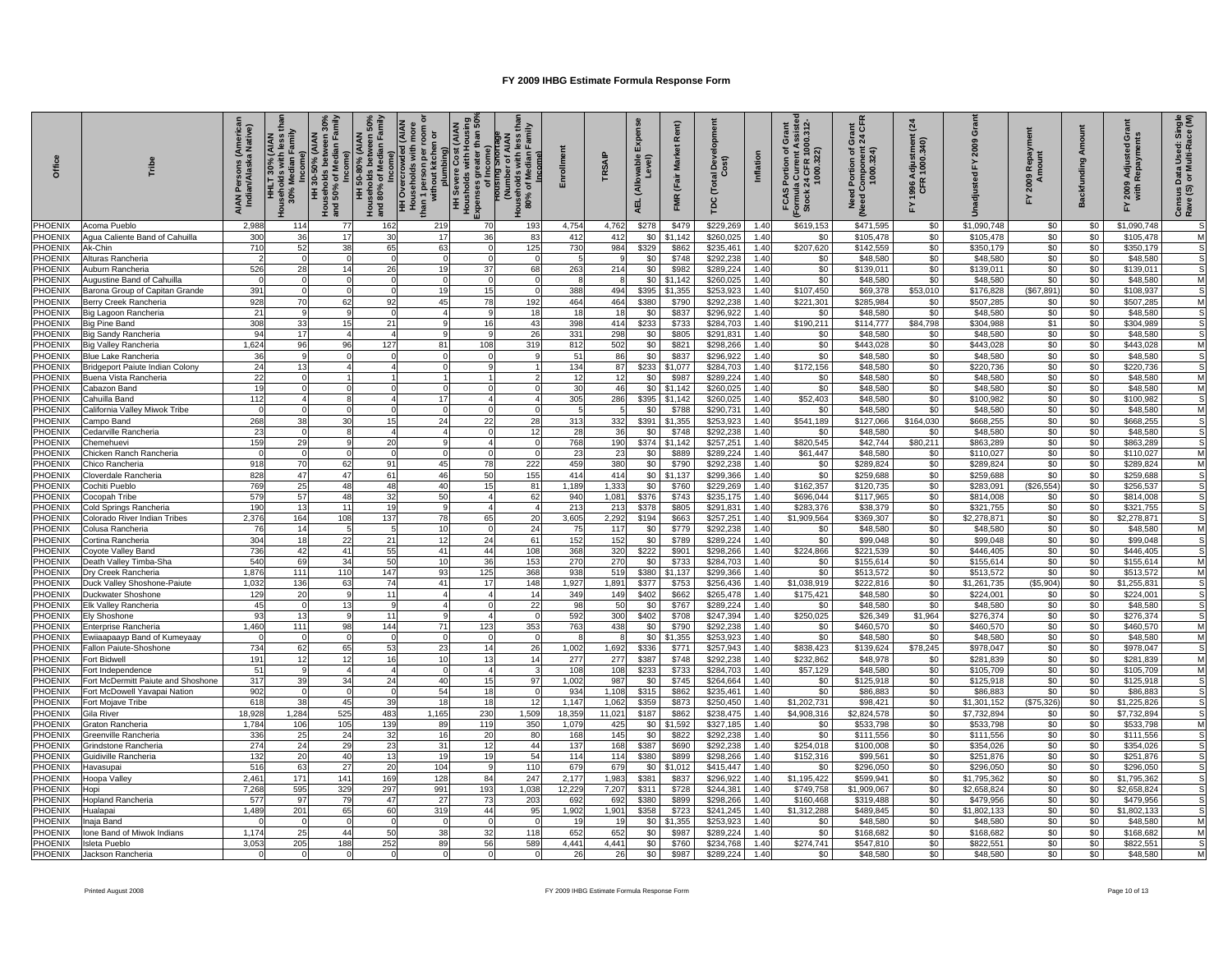| Office                    | Tribe                                                    | AIAN Persons (America<br>Indian/Alaska Native) | h less th<br>Family<br>[AIAN<br>E<br>30% M | s between 30%<br>Median Family<br>50% (AIAN<br>of Media<br>Income)<br>Households<br>and 50% of M<br>Ŧ | <b>THI SO-80% (AIAN<br/>useholds between 50%<br/>d 80% hcome)<br/>IH Overcrowded (AIAN<br/>households with more<br/>vithout kitchen or</b><br>without kitchen or<br>$\overline{a}$ | HH Overcrow<br>Households<br>than 1 person p<br>without kitc | with Housing<br>eater than 50°,<br>(AIAN<br>Cost (<br>HH Severe C<br>Housholds w<br>Housholds w<br>Expenses grea<br>of Inc | less tha<br>Family<br>ther of A<br>ds with<br>Median<br>HOUS<br>'ಕ<br>-Nuseh<br>80% | nrollme      | TRSAIP       | wable<br>≤<br>AEL | Rent)<br><b>Market</b><br>(Fair<br><b>FMR</b> | Devi<br>OSt)<br>$\overline{a}$<br>Č<br>рc | Inflation    | nt Assiste<br>1000.312-<br>ō<br>৳<br>Current A<br>4 CFR 100<br>1000.322)<br>ortion<br>FCAS<br>Formul<br>Stock | <u>ಕ</u> ರಿ<br>ভ ম<br>pmponent<br>1000.324)<br>৳<br>Portion<br>اناء<br>Need | $\mathbb{Z}$<br>Adjustment<br>R 1000.340)<br>CFR<br>1996 | ō<br>2009<br>⊾           | Repay<br>nount<br>2009<br>$\blacktriangleleft$<br>놊 | Amount<br>Backfunding | ۱ÉS<br>$\bar{c}$<br>a Adjusted<br>Repaymer<br>2009<br>with I<br>놊 | Single<br>ace (M)<br>ta Used: \$<br>Multi-Ra<br>កី <sup>ត</sup><br>Census<br>Rave (S) |
|---------------------------|----------------------------------------------------------|------------------------------------------------|--------------------------------------------|-------------------------------------------------------------------------------------------------------|------------------------------------------------------------------------------------------------------------------------------------------------------------------------------------|--------------------------------------------------------------|----------------------------------------------------------------------------------------------------------------------------|-------------------------------------------------------------------------------------|--------------|--------------|-------------------|-----------------------------------------------|-------------------------------------------|--------------|---------------------------------------------------------------------------------------------------------------|-----------------------------------------------------------------------------|----------------------------------------------------------|--------------------------|-----------------------------------------------------|-----------------------|-------------------------------------------------------------------|---------------------------------------------------------------------------------------|
| <b>PHOENIX</b>            | Acoma Pueblo                                             | 2.988                                          | 114                                        | 77                                                                                                    | 162                                                                                                                                                                                | 219                                                          | 70                                                                                                                         | 193                                                                                 | 4.754        | 4.762        | \$278             | \$479                                         | \$229.269                                 | 1.40         | \$619,153                                                                                                     | \$471.595                                                                   | \$0                                                      | \$1,090.748              | \$0                                                 | \$0                   | \$1.090.748                                                       | S                                                                                     |
| PHOENIX                   | Agua Caliente Band of Cahuilla                           | 300                                            | 36                                         | 17                                                                                                    | 30                                                                                                                                                                                 | 17                                                           | 36                                                                                                                         | 83                                                                                  | 412          | 412          | \$0               | \$1.142                                       | \$260.025                                 | 1.40         | \$0                                                                                                           | \$105.478                                                                   | \$0                                                      | \$105.478                | \$0                                                 | \$0                   | \$105,478                                                         | M                                                                                     |
| PHOENIX                   | Ak-Chin                                                  | 710                                            | 52                                         | 38                                                                                                    | 65                                                                                                                                                                                 | 63                                                           |                                                                                                                            | 125                                                                                 | 730          | 984          | \$329             | \$862                                         | \$235,461                                 | 1.40         | \$207,620                                                                                                     | \$142,559                                                                   | \$0                                                      | \$350,179                | \$0                                                 | \$0                   | \$350,179                                                         | S                                                                                     |
| PHOENIX                   | Alturas Rancheria                                        |                                                |                                            |                                                                                                       |                                                                                                                                                                                    |                                                              |                                                                                                                            |                                                                                     |              |              | \$0               | \$748                                         | \$292,238                                 | 1.40         | \$0                                                                                                           | \$48,580                                                                    | \$0                                                      | \$48,580                 | \$0                                                 | \$0                   | \$48,580                                                          |                                                                                       |
| PHOENIX                   | Auburn Rancheria                                         | 526                                            | 28                                         | 14                                                                                                    | 26                                                                                                                                                                                 | 19                                                           | 37                                                                                                                         | 68                                                                                  | 263          | 214          | \$0               | \$982                                         | \$289,224                                 | 1.40         | \$0                                                                                                           | \$139,011                                                                   | \$0                                                      | \$139,011                | \$0                                                 | \$0                   | \$139,011                                                         |                                                                                       |
| PHOENIX                   | Augustine Band of Cahuilla                               |                                                |                                            |                                                                                                       |                                                                                                                                                                                    |                                                              |                                                                                                                            |                                                                                     |              | 8            | \$0               | \$1,142                                       | \$260,025                                 | 1.40         | \$0                                                                                                           | \$48,580                                                                    | \$0                                                      | \$48,580                 | \$0                                                 | \$0                   | \$48,580                                                          | M                                                                                     |
| PHOENIX                   | Barona Group of Capitan Grande                           | 391                                            |                                            |                                                                                                       |                                                                                                                                                                                    | 19                                                           | 15                                                                                                                         |                                                                                     | 388          | 494          | \$395             | \$1.355                                       | \$253.923                                 | 1.40         | \$107.450                                                                                                     | \$69,378                                                                    | \$53,010                                                 | \$176,828                | (\$67,891)                                          | \$0                   | \$108.937                                                         |                                                                                       |
| PHOENIX                   | Berry Creek Rancheria                                    | 928                                            | 70                                         | 62                                                                                                    | 92                                                                                                                                                                                 | 45                                                           | 78                                                                                                                         | 192                                                                                 | 464          | 464          | \$380             | \$790                                         | \$292,238                                 | 1.40         | \$221,301                                                                                                     | \$285,984                                                                   | \$0                                                      | \$507,285                | \$0                                                 | \$0                   | \$507,285                                                         | M                                                                                     |
| <b>PHOENIX</b>            | Big Lagoon Rancheria                                     | 21                                             |                                            |                                                                                                       | $\Omega$                                                                                                                                                                           |                                                              |                                                                                                                            | 18                                                                                  | 18           | 18           | <b>SO</b>         | \$837                                         | \$296.922                                 | 1.40         | \$0                                                                                                           | \$48,580                                                                    | \$0                                                      | \$48,580                 | \$0                                                 | \$0                   | \$48,580                                                          |                                                                                       |
| PHOENIX                   | <b>Big Pine Band</b>                                     | 308                                            | 33                                         | 15                                                                                                    | 21                                                                                                                                                                                 |                                                              | 16                                                                                                                         | 43                                                                                  | 398          | 414          | \$233             | \$733                                         | \$284,703                                 | 1.40         | \$190,211                                                                                                     | \$114,777                                                                   | \$84,798                                                 | \$304,988                | \$1                                                 | \$0                   | \$304,989                                                         |                                                                                       |
| PHOENIX                   | <b>Big Sandy Rancheria</b>                               | 94                                             | 17                                         | $\overline{a}$                                                                                        |                                                                                                                                                                                    |                                                              |                                                                                                                            | 26                                                                                  | 331          | 298          | \$0               | \$805                                         | \$291,831                                 | 1.40         | \$0                                                                                                           | \$48,580                                                                    | \$0                                                      | \$48,580                 | \$0                                                 | \$0                   | \$48,580                                                          |                                                                                       |
| PHOENIX<br><b>PHOENIX</b> | Big Valley Rancheria<br><b>Blue Lake Rancheria</b>       | 1,624                                          | 96                                         | 96                                                                                                    | 127                                                                                                                                                                                | 81                                                           | 108                                                                                                                        | 319                                                                                 | 812<br>51    | 502          | \$0               | \$821<br>\$837                                | \$298,266<br>\$296.922                    | 1.40<br>1.40 | \$0                                                                                                           | \$443,028<br>\$48,580                                                       | \$0                                                      | \$443,028<br>\$48,580    | \$0                                                 | \$0<br>\$0            | \$443.028<br>\$48,580                                             | M<br>s                                                                                |
| PHOENIX                   |                                                          | 36<br>24                                       | 13                                         |                                                                                                       |                                                                                                                                                                                    |                                                              |                                                                                                                            |                                                                                     | 134          | 86           | \$0<br>\$233      | \$1,077                                       |                                           | 1.40         | \$0<br>\$172,156                                                                                              |                                                                             | \$0<br>\$0                                               |                          | \$0<br>\$0                                          |                       | \$220,736                                                         | s                                                                                     |
| PHOENIX                   | Bridgeport Paiute Indian Colony<br>Buena Vista Rancheria | 22                                             |                                            |                                                                                                       |                                                                                                                                                                                    |                                                              |                                                                                                                            |                                                                                     | 12           | 87<br>12     | \$0               | \$987                                         | \$284,703<br>\$289.224                    | 1.40         | \$0                                                                                                           | \$48,580<br>\$48,580                                                        | \$0                                                      | \$220,736<br>\$48,580    | \$0                                                 | \$0<br>\$0            | \$48,580                                                          | M                                                                                     |
| PHOENIX                   | Cabazon Band                                             | 19                                             |                                            |                                                                                                       |                                                                                                                                                                                    |                                                              |                                                                                                                            |                                                                                     | 30           | 46           | \$0               | \$1,142                                       | \$260,025                                 | 1.4(         | \$0                                                                                                           | \$48,580                                                                    | \$0                                                      | \$48,580                 | \$0                                                 | \$0                   | \$48,580                                                          | M                                                                                     |
| PHOENIX                   | Cahuilla Band                                            | 112                                            |                                            |                                                                                                       |                                                                                                                                                                                    | 17                                                           |                                                                                                                            |                                                                                     | 305          | 286          | \$395             | \$1,142                                       | \$260,025                                 | 1.40         | \$52,403                                                                                                      | \$48,580                                                                    | \$0                                                      | \$100,982                | \$0                                                 | \$0                   | \$100,982                                                         |                                                                                       |
| PHOENIX                   | California Valley Miwok Tribe                            |                                                |                                            |                                                                                                       |                                                                                                                                                                                    |                                                              |                                                                                                                            |                                                                                     |              |              | \$0               | \$788                                         | \$290.731                                 | 1.40         | \$0                                                                                                           | \$48,580                                                                    | \$0                                                      | \$48,580                 | \$0                                                 | \$0                   | \$48,580                                                          |                                                                                       |
| PHOENIX                   | Campo Band                                               | 268                                            | 38                                         | 30                                                                                                    | 15                                                                                                                                                                                 | 24                                                           | 22                                                                                                                         | 28                                                                                  | 313          | 332          | \$391             | \$1,355                                       | \$253,923                                 | 1.40         | \$541,189                                                                                                     | \$127,066                                                                   | \$164,030                                                | \$668,255                | \$0                                                 | \$0                   | \$668,255                                                         |                                                                                       |
| PHOENIX                   | Cedarville Rancheria                                     | 23                                             |                                            | -8                                                                                                    |                                                                                                                                                                                    |                                                              |                                                                                                                            | 12                                                                                  | 28           | 36           | \$0               | \$748                                         | \$292,238                                 | 1.40         | \$0                                                                                                           | \$48,580                                                                    | \$0                                                      | \$48,580                 | \$0                                                 | \$0                   | \$48,580                                                          |                                                                                       |
| PHOENIX                   | Chemehuevi                                               | 159                                            | 29                                         | $\mathbf{Q}$                                                                                          | 20                                                                                                                                                                                 |                                                              |                                                                                                                            |                                                                                     | 768          | 190          | \$374             | \$1.142                                       | \$257.251                                 | 1.40         | \$820.545                                                                                                     | \$42,744                                                                    | \$80.211                                                 | \$863,289                | \$0                                                 | \$0                   | \$863.289                                                         |                                                                                       |
| <b>HOENIX</b>             | Chicken Ranch Rancheria                                  |                                                |                                            | $\Omega$                                                                                              |                                                                                                                                                                                    |                                                              |                                                                                                                            |                                                                                     | 23           | 23           | \$0               | \$889                                         | \$289,224                                 | 1.40         | \$61,447                                                                                                      | \$48,580                                                                    | \$0                                                      | \$110,027                | \$0                                                 | \$0                   | \$110,027                                                         |                                                                                       |
| PHOENIX                   | Chico Rancheria                                          | 918                                            | 7 <sup>0</sup>                             | 62                                                                                                    | 91                                                                                                                                                                                 | 45                                                           | 78                                                                                                                         | 222                                                                                 | 459          | 380          | \$0               | \$790                                         | \$292,238                                 | 1.40         | \$0                                                                                                           | \$289,824                                                                   | \$0                                                      | \$289,824                | \$0                                                 | \$0                   | \$289,824                                                         |                                                                                       |
| PHOENIX                   | Cloverdale Rancheria                                     | 828                                            | 47                                         | 47                                                                                                    | 61                                                                                                                                                                                 | 46                                                           | 50                                                                                                                         | 155                                                                                 | 414          | 414          | \$0               | \$1.137                                       | \$299.366                                 | 1.40         | \$0                                                                                                           | \$259.688                                                                   | \$0                                                      | \$259,688                | \$0                                                 | \$0                   | \$259.688                                                         |                                                                                       |
| <b>PHOENIX</b>            | Cochiti Pueblo                                           | 769                                            | 25                                         | 48                                                                                                    | 48                                                                                                                                                                                 | 40                                                           | 15                                                                                                                         | 81                                                                                  | 1,189        | 1,333        | \$0               | \$760                                         | \$229,269                                 | 1.40         | \$162,357                                                                                                     | \$120,735                                                                   | \$0                                                      | \$283,091                | $($ \$26,554)                                       | \$0                   | \$256,537                                                         | s                                                                                     |
| PHOENIX                   | Cocopah Tribe                                            | 57 <sup>9</sup>                                | 57                                         | 48                                                                                                    | 32                                                                                                                                                                                 | 50                                                           |                                                                                                                            | 62                                                                                  | 940          | 1.081        | \$376             | \$743                                         | \$235.175                                 | 1.40         | \$696.044                                                                                                     | \$117.965                                                                   | \$0                                                      | \$814,008                | \$0                                                 | \$0                   | \$814,008                                                         |                                                                                       |
| <b>HOENIX</b>             | Cold Springs Rancheria                                   | 190                                            | 13                                         | 11                                                                                                    | 19                                                                                                                                                                                 |                                                              |                                                                                                                            |                                                                                     | 213          | 213          | \$378             | \$805                                         | \$291.83                                  | 1.40         | \$283.376                                                                                                     | \$38,379                                                                    | \$0                                                      | \$321.755                | \$0                                                 | \$0                   | \$321.755                                                         |                                                                                       |
| PHOENIX                   | Colorado River Indian Tribes                             | 2,376                                          | 164                                        | 108                                                                                                   | 137                                                                                                                                                                                | 78                                                           | 65                                                                                                                         | 20                                                                                  | 3,605        | 2,292        | \$194             | \$663                                         | \$257,251                                 | 1.40         | \$1,909,564                                                                                                   | \$369,307                                                                   | \$0                                                      | \$2,278,871              | \$0                                                 | \$0                   | \$2,278,871                                                       |                                                                                       |
| PHOENIX                   | Colusa Rancheria                                         | 76                                             | 14                                         |                                                                                                       |                                                                                                                                                                                    | 10                                                           |                                                                                                                            | 24                                                                                  | 75           | 117          | \$0               | \$779                                         | \$292,238                                 | 1.40         | \$0                                                                                                           | \$48,580                                                                    | \$0                                                      | \$48,580                 | \$0                                                 | \$0                   | \$48,580                                                          |                                                                                       |
| <b>PHOENIX</b>            | Cortina Rancheria                                        | 304                                            | 18                                         | 22                                                                                                    | 21                                                                                                                                                                                 | 12                                                           | 24                                                                                                                         | 61                                                                                  | 152          | 152          | \$0               | \$789                                         | \$289,224                                 | 1.40         | \$0                                                                                                           | \$99,048                                                                    | \$0                                                      | \$99,048                 | \$0                                                 | \$0                   | \$99.048                                                          |                                                                                       |
| <b>PHOENIX</b>            | Coyote Valley Band                                       | 736                                            | 42                                         | 41                                                                                                    | 55                                                                                                                                                                                 | 41                                                           | 44                                                                                                                         | 108                                                                                 | 368          | 320          | \$222             | \$901                                         | \$298,266                                 | 1.40         | \$224,866                                                                                                     | \$221,539                                                                   | \$0                                                      | \$446,405                | \$0                                                 | \$0                   | \$446,405                                                         |                                                                                       |
| <b>PHOENIX</b>            | Death Valley Timba-Sha                                   | 540                                            | 69                                         | 34                                                                                                    | 50                                                                                                                                                                                 | 10                                                           | 36                                                                                                                         | 153                                                                                 | 270          | 270          | \$0               | \$733                                         | \$284,703                                 | 1.40         | \$0                                                                                                           | \$155.614                                                                   | \$0                                                      | \$155.614                | \$0                                                 | \$0                   | \$155.614                                                         | M                                                                                     |
| <b>HOENIX</b>             | Dry Creek Rancheria                                      | 1.876                                          | 111                                        | 110                                                                                                   | 147                                                                                                                                                                                | 93<br>41                                                     | 125<br>17                                                                                                                  | 368                                                                                 | 938          | 519          | \$380             | \$1.137                                       | \$299.366                                 | 1.40         | \$0                                                                                                           | \$513,572                                                                   | \$0                                                      | \$513,572                | \$0                                                 | \$0                   | \$513,572                                                         | M                                                                                     |
| PHOENIX<br>PHOENIX        | Duck Valley Shoshone-Paiute<br>Duckwater Shoshone        | 1,032<br>129                                   | 136<br>20                                  | 63<br>9                                                                                               | 74<br>11                                                                                                                                                                           |                                                              |                                                                                                                            | 148<br>14                                                                           | 1,927<br>349 | 1,891<br>149 | \$377<br>\$402    | \$753<br>\$662                                | \$256,436<br>\$265,478                    | 1.40<br>1.40 | \$1,038,919<br>\$175,421                                                                                      | \$222,816<br>\$48,580                                                       | \$0<br>\$0                                               | \$1,261,735<br>\$224,001 | (\$5,904)<br>\$0                                    | \$0<br>\$0            | \$1,255,831<br>\$224,001                                          |                                                                                       |
| <b>PHOENIX</b>            | Elk Valley Rancheria                                     | 45                                             |                                            | 13                                                                                                    |                                                                                                                                                                                    |                                                              |                                                                                                                            | 22                                                                                  | 98           | 50           | \$0               | \$767                                         | \$289,224                                 | 1.40         | \$0                                                                                                           | \$48,580                                                                    | \$0                                                      | \$48,580                 | \$0                                                 | \$0                   | \$48,580                                                          | S                                                                                     |
| PHOENIX                   | <b>Ely Shoshone</b>                                      | 93                                             | 13                                         | $\mathbf{Q}$                                                                                          | 11                                                                                                                                                                                 |                                                              |                                                                                                                            |                                                                                     | 592          | 300          | \$402             | \$708                                         | \$247,394                                 | 1.40         | \$250,025                                                                                                     | \$26,349                                                                    | \$1,964                                                  | \$276,374                | \$0                                                 | \$0                   | \$276,374                                                         | S                                                                                     |
| PHOENIX                   | Enterprise Rancheria                                     | 1,460                                          | 111                                        | 98                                                                                                    | 144                                                                                                                                                                                | 71                                                           | 123                                                                                                                        | 353                                                                                 | 763          | 438          | \$0               | \$790                                         | \$292,238                                 | 1.40         | \$0                                                                                                           | \$460,570                                                                   | \$0                                                      | \$460,570                | \$0                                                 | \$0                   | \$460,570                                                         | M                                                                                     |
| <b>PHOENIX</b>            | Ewiiaapaayp Band of Kumeyaay                             |                                                |                                            |                                                                                                       |                                                                                                                                                                                    |                                                              |                                                                                                                            |                                                                                     |              |              | \$0               | \$1,355                                       | \$253,923                                 | 1.40         | \$0                                                                                                           | \$48,580                                                                    | \$0                                                      | \$48,580                 | \$0                                                 | \$0                   | \$48,580                                                          | M                                                                                     |
| PHOENIX                   | Fallon Paiute-Shoshone                                   | 734                                            | 62                                         | 65                                                                                                    | 53                                                                                                                                                                                 | 23                                                           | 14                                                                                                                         | 26                                                                                  | 1,002        | 1,692        | \$336             | \$771                                         | \$257,943                                 | 1.40         | \$838,423                                                                                                     | \$139,624                                                                   | \$78,245                                                 | \$978,047                | \$0                                                 | \$0                   | \$978,047                                                         |                                                                                       |
| PHOENIX                   | Fort Bidwell                                             | 191                                            | 12                                         | 12                                                                                                    | 16                                                                                                                                                                                 | 10                                                           | 13                                                                                                                         | 14                                                                                  | 277          | 277          | \$387             | \$748                                         | \$292.238                                 | 1.40         | \$232,862                                                                                                     | \$48,978                                                                    | \$0                                                      | \$281,839                | \$0                                                 | \$0                   | \$281,839                                                         | M                                                                                     |
| PHOENIX                   | Fort Independence                                        | 51                                             |                                            | $\overline{A}$                                                                                        |                                                                                                                                                                                    |                                                              |                                                                                                                            |                                                                                     | 108          | 108          | \$233             | \$733                                         | \$284,703                                 | 1.40         | \$57,129                                                                                                      | \$48,580                                                                    | \$0                                                      | \$105,709                | \$0                                                 | \$0                   | \$105,709                                                         | M                                                                                     |
| PHOENIX                   | Fort McDermitt Paiute and Shoshone                       | 317                                            | 39                                         | 34                                                                                                    | 24                                                                                                                                                                                 | 40                                                           | 15                                                                                                                         | 97                                                                                  | 1,002        | 987          | \$0               | \$745                                         | \$264,664                                 | 1.40         | \$0                                                                                                           | \$125,918                                                                   | \$0                                                      | \$125,918                | \$0                                                 | \$0                   | \$125,918                                                         | S                                                                                     |
| PHOENIX                   | Fort McDowell Yavapai Nation                             | 902                                            |                                            | $\Omega$                                                                                              | $\Omega$                                                                                                                                                                           | 54                                                           | 18                                                                                                                         | $\Omega$                                                                            | 934          | 1.108        | \$315             | \$862                                         | \$235.461                                 | 1.40         | \$0                                                                                                           | \$86,883                                                                    | \$0                                                      | \$86,883                 | \$0                                                 | \$0                   | \$86,883                                                          |                                                                                       |
| <b>PHOENIX</b>            | Fort Mojave Tribe                                        | 618                                            | 38                                         | 45                                                                                                    | 39                                                                                                                                                                                 | 18                                                           | 18                                                                                                                         | 12                                                                                  | 1,147        | 1,062        | \$359             | \$873                                         | \$250,450                                 | 1.40         | \$1,202,731                                                                                                   | \$98,421                                                                    | \$0                                                      | \$1,301,152              | (\$75,326                                           | \$0                   | \$1,225,826                                                       |                                                                                       |
| PHOENIX                   | Gila River                                               | 18.928                                         | 1,284                                      | 525                                                                                                   | 483                                                                                                                                                                                | 1,165                                                        | 230                                                                                                                        | 1.509                                                                               | 18.35        | 11,021       | \$187             | \$862                                         | \$238,475                                 | 1.40         | \$4,908,316                                                                                                   | \$2,824,578                                                                 | \$0                                                      | \$7.732.894              | \$0                                                 | \$0                   | \$7.732.894                                                       |                                                                                       |
| PHOENIX                   | Graton Rancheria                                         | 1,784                                          | 106                                        | 105                                                                                                   | 139                                                                                                                                                                                | 89                                                           | 119                                                                                                                        | 350                                                                                 | 1,079        | 425          | \$0               | \$1,592                                       | \$327,185                                 | 1.40         | \$0                                                                                                           | \$533,798                                                                   | \$0                                                      | \$533,798                | \$0                                                 | \$0                   | \$533,798                                                         | M                                                                                     |
| <b>PHOENIX</b>            | Greenville Rancheria                                     | 336                                            | 25                                         | 24                                                                                                    | 32                                                                                                                                                                                 | 16                                                           | 20                                                                                                                         | 80                                                                                  | 168          | 145          | \$0               | \$822                                         | \$292,238                                 | 1.40         | \$0                                                                                                           | \$111,556                                                                   | \$0                                                      | \$111,556                | \$0                                                 | \$0                   | \$111,556                                                         | s                                                                                     |
| <b>PHOENIX</b>            | Grindstone Rancheria                                     | 274                                            | 24                                         | 29                                                                                                    | 23                                                                                                                                                                                 | 31                                                           | 12<br>19                                                                                                                   | 44                                                                                  | 137          | 168          | \$387             | \$690                                         | \$292,238                                 | 1.40         | \$254,018                                                                                                     | \$100,008                                                                   | \$0                                                      | \$354,026                | \$0                                                 | \$0                   | \$354,026                                                         |                                                                                       |
| <b>HOENIX</b>             | Guidiville Rancheria                                     | 132                                            | 20                                         | 40<br>27                                                                                              | 13                                                                                                                                                                                 | 19                                                           |                                                                                                                            | 54<br>110                                                                           | 114          | 114<br>679   | \$380             | \$899                                         | \$298,266                                 | 1.40         | \$152,316<br>\$0                                                                                              | \$99,561                                                                    | \$0                                                      | \$251.876                | \$0                                                 | \$0                   | \$251,876                                                         |                                                                                       |
| PHOENIX<br>PHOENIX        | Havasupai                                                | 516<br>2,461                                   | 63<br>171                                  | 141                                                                                                   | 20<br>169                                                                                                                                                                          | 104<br>128                                                   | 84                                                                                                                         | 247                                                                                 | 679<br>2.177 | 1.983        | \$0<br>\$381      | \$1,012<br>\$837                              | \$415,447<br>\$296.922                    | 1.40<br>1.40 | \$1,195,422                                                                                                   | \$296,050<br>\$599.941                                                      | \$0<br>\$0                                               | \$296,050<br>\$1.795.362 | \$0<br>\$0                                          | \$0<br>\$0            | \$296,050<br>\$1,795,362                                          |                                                                                       |
| PHOENIX                   | Hoopa Valley<br>Honi                                     | 7,268                                          | 595                                        | 329                                                                                                   | 297                                                                                                                                                                                | 991                                                          | 193                                                                                                                        | 1,038                                                                               | 12,22        | 7,207        | \$311             | \$728                                         | \$244.381                                 | 1.40         | \$749,758                                                                                                     | \$1,909.067                                                                 | \$0                                                      | \$2,658,824              | \$0                                                 | \$0                   | \$2,658,824                                                       |                                                                                       |
| PHOENIX                   | Hopland Rancheria                                        | 577                                            | <b>Q7</b>                                  | 79                                                                                                    | 47                                                                                                                                                                                 | 27                                                           | 73                                                                                                                         | 203                                                                                 | 692          | 692          | \$380             | \$899                                         | \$298,266                                 | 1.40         | \$160,468                                                                                                     | \$319,488                                                                   | \$0                                                      | \$479,956                | \$0                                                 | \$0                   | \$479,956                                                         |                                                                                       |
| PHOENIX                   | Hualapai                                                 | 1,489                                          | 201                                        | 65                                                                                                    | 60                                                                                                                                                                                 | 319                                                          | 44                                                                                                                         | 95                                                                                  | 1,902        | 1,901        | \$358             | \$723                                         | \$241,245                                 | 1.40         | \$1,312,288                                                                                                   | \$489,845                                                                   | \$0                                                      | \$1,802,133              | \$0                                                 | \$0                   | \$1,802,133                                                       |                                                                                       |
| <b>HOENIX</b>             | Inaja Band                                               |                                                |                                            | $\Omega$                                                                                              | $\Omega$                                                                                                                                                                           |                                                              |                                                                                                                            |                                                                                     |              | 19           | \$0               | \$1,355                                       | \$253.923                                 | 1.40         | \$0                                                                                                           | \$48,580                                                                    | \$0                                                      | \$48,580                 | \$0                                                 | \$0                   | \$48,580                                                          | M                                                                                     |
| PHOENIX                   | Ione Band of Miwok Indians                               | 1,174                                          | 25                                         | 44                                                                                                    | 50                                                                                                                                                                                 | 38                                                           | 32                                                                                                                         | 118                                                                                 | 652          | 652          | \$0               | \$987                                         | \$289,224                                 | 1.40         | \$0                                                                                                           | \$168,682                                                                   | \$0                                                      | \$168,682                | \$0                                                 | \$0                   | \$168,682                                                         | M                                                                                     |
| <b>PHOENIX</b>            | Isleta Pueblo                                            | 3.053                                          | 205                                        | 188                                                                                                   | 252                                                                                                                                                                                | 89                                                           | 56                                                                                                                         | 589                                                                                 | 4.441        | 4.441        | \$0               | \$760                                         | \$234.768                                 | 1.40         | \$274.741                                                                                                     | \$547.810                                                                   | \$0                                                      | \$822.551                | \$0                                                 | \$0                   | \$822.551                                                         | S                                                                                     |
| <b>PHOENIX</b>            | Jackson Rancheria                                        |                                                |                                            |                                                                                                       |                                                                                                                                                                                    |                                                              |                                                                                                                            |                                                                                     |              | 26           | \$0               | \$987                                         | \$289.224                                 | 1.40         | \$0                                                                                                           | \$48,580                                                                    | \$0                                                      | \$48.580                 | \$0                                                 | \$0                   | \$48,580                                                          |                                                                                       |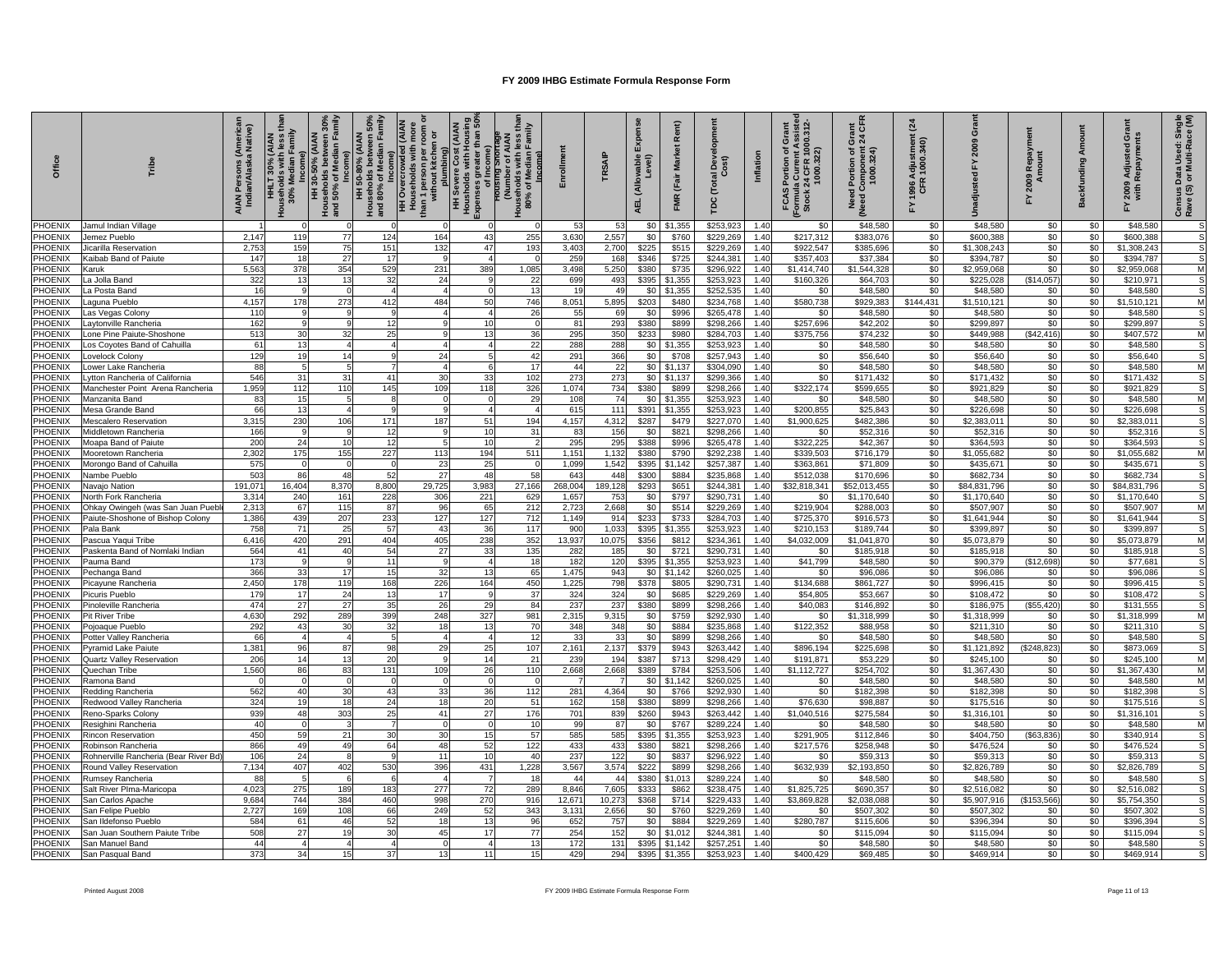|                | Tribe                                | Persons (America<br>an/Alaska Native)<br><b>AN</b><br>India | Family<br><b>AIAN</b><br><b>Th</b><br>30% Me<br>로 | s between 30%<br>Median Family<br>30-50% (AIAN<br>Households betwe<br>and 50% of Median<br>Income)<br>Ŧ | HH 50-80% (AIAN<br>useholds between 50%<br>180% of Median Family<br>useholds betw<br>180% of Media<br>Income)<br>Чo<br>and | rowded (AIAN<br>Ids with more<br>per room<br>tchen or<br>with i<br>≖<br>HH Overcro<br>Household<br>than 1 perso<br>without l | HH Severe Cost (AIAN<br>Housholds with Housing<br>Expenses greater than 50%<br>of Income) | less that<br>Family<br>৳<br>equany)<br>Mumpe<br>ž<br>호<br>Househ<br>80% |         | SAIP<br>E | Exp<br>Level)<br>wable<br>≤<br>드 | Rent)<br><b>Market</b><br>(Fair<br>FMR | <u>ig</u><br>Dev <sub>d</sub><br>$\overline{\mathfrak{g}}$<br>Ĕ<br>pc | Inflation | nt Assisted<br>1000.312-<br>ō<br>1 CFR 100<br>000.322)<br>৳<br>ortion<br>සි<br>FCAS<br>Formula<br>Stock 2 | $rac{1}{6}$<br>উ ম<br>mponent<br>  000.324)<br>Portion of<br>కె<br>Need<br>(Need | $\mathbf{z}$<br>Adjustment<br>R 1000.340)<br>1996 A<br>놊 | ö<br>2009<br>ፚ | ) Repay<br>mount<br>2009<br>ē<br>놊 | Amount<br>Backfunding | ဝ် ဗို<br>2009 Adjusted<br>with Repaymen<br>ᇵ | Data Used: Single<br>or Multi-Race (M)<br>Census<br>Rave (S) |
|----------------|--------------------------------------|-------------------------------------------------------------|---------------------------------------------------|---------------------------------------------------------------------------------------------------------|----------------------------------------------------------------------------------------------------------------------------|------------------------------------------------------------------------------------------------------------------------------|-------------------------------------------------------------------------------------------|-------------------------------------------------------------------------|---------|-----------|----------------------------------|----------------------------------------|-----------------------------------------------------------------------|-----------|-----------------------------------------------------------------------------------------------------------|----------------------------------------------------------------------------------|----------------------------------------------------------|----------------|------------------------------------|-----------------------|-----------------------------------------------|--------------------------------------------------------------|
| PHOENIX        | lamul Indian Village                 |                                                             |                                                   |                                                                                                         |                                                                                                                            |                                                                                                                              |                                                                                           |                                                                         | 53      | 53        | \$0                              | \$1.355                                | \$253.923                                                             | 1.4       | \$0                                                                                                       | \$48,580                                                                         | \$0                                                      | \$48,580       | \$0                                | \$0                   | \$48,580                                      | S                                                            |
| PHOENIX        | lemez Pueblo                         | 2.147                                                       | 119                                               | 77                                                                                                      | 124                                                                                                                        | 164                                                                                                                          | $4^{\circ}$                                                                               | 255                                                                     | 3.630   | 2.557     | \$0                              | \$760                                  | \$229.269                                                             | 1.40      | \$217,312                                                                                                 | \$383.076                                                                        | \$0                                                      | \$600,388      | \$0                                | \$0                   | \$600.388                                     |                                                              |
| <b>HOENIX</b>  | Jicarilla Reservation                | 2.753                                                       | 159                                               | 75                                                                                                      | 151                                                                                                                        | 132                                                                                                                          | 47                                                                                        | 193                                                                     | 3,403   | 2,700     | \$225                            | \$515                                  | \$229,269                                                             | 1.40      | \$922.547                                                                                                 | \$385.696                                                                        | \$0                                                      | \$1,308,243    | \$0                                | \$0                   | \$1,308,243                                   | S                                                            |
| <b>HOENIX</b>  | Kaibab Band of Paiute                | 147                                                         | 18                                                | 27                                                                                                      | 17                                                                                                                         |                                                                                                                              |                                                                                           |                                                                         | 259     | 168       | \$346                            | \$725                                  | \$244,381                                                             | 1.40      | \$357,403                                                                                                 | \$37,384                                                                         | \$0                                                      | \$394,787      | \$0                                | \$0                   | \$394,787                                     |                                                              |
| PHOENIX        | <b>Caruk</b>                         | 5,563                                                       | 378                                               | 354                                                                                                     | 529                                                                                                                        | 231                                                                                                                          | 389                                                                                       | 1,085                                                                   | 3,498   | 5,250     | \$380                            | \$735                                  | \$296,922                                                             | 1.40      | \$1,414,740                                                                                               | \$1,544,328                                                                      | \$0                                                      | \$2,959,068    | \$0                                | \$0                   | \$2.959.068                                   | M                                                            |
| PHOENIX        | a Jolla Band                         | 322                                                         | 13                                                | 13                                                                                                      | 32                                                                                                                         | 24                                                                                                                           |                                                                                           | 22                                                                      | 699     | 493       | \$395                            | \$1,355                                | \$253,923                                                             | 1.4(      | \$160,326                                                                                                 | \$64,703                                                                         | \$0                                                      | \$225,028      | (\$14,057)                         | \$0                   | \$210,971                                     |                                                              |
| PHOENIX        | a Posta Band                         | 16                                                          |                                                   |                                                                                                         |                                                                                                                            |                                                                                                                              |                                                                                           | 13                                                                      |         | 49        | \$0                              | \$1.355                                | \$252.535                                                             | 1.40      | \$0                                                                                                       | \$48,580                                                                         | \$0                                                      | \$48,580       | \$0                                | \$0                   | \$48,580                                      |                                                              |
| <b>HOENIX</b>  | aguna Pueblo                         | 4,157                                                       | 178                                               | 273                                                                                                     | 412                                                                                                                        | 484                                                                                                                          | 50                                                                                        | 746                                                                     | 8,051   | 5,895     | \$203                            | \$480                                  | \$234,768                                                             | 1.40      | \$580,738                                                                                                 | \$929,383                                                                        | \$144,431                                                | \$1,510,121    | \$0                                | \$0                   | \$1,510,121                                   | M                                                            |
| PHOENIX        | as Vegas Colony                      | 110                                                         | - 9                                               | <b>C</b>                                                                                                |                                                                                                                            |                                                                                                                              |                                                                                           | 26                                                                      | 55      | 69        | \$0                              | \$996                                  | \$265,478                                                             | 1.40      | \$0                                                                                                       | \$48,580                                                                         | \$0                                                      | \$48,580       | \$0                                | \$0                   | \$48,580                                      | S.                                                           |
| PHOENIX        | aytonville Rancheria                 | 162                                                         | $\mathbf{Q}$                                      |                                                                                                         | 12                                                                                                                         | $\mathbf{Q}$                                                                                                                 | 10                                                                                        | $\Omega$                                                                | 81      | 293       | \$380                            | \$899                                  | \$298,266                                                             | 1.40      | \$257,696                                                                                                 | \$42,202                                                                         | \$0                                                      | \$299,897      | \$0                                | \$0                   | \$299,897                                     |                                                              |
| PHOENIX        | one Pine Paiute-Shoshone             | 513                                                         | 30                                                | 32                                                                                                      | 25                                                                                                                         |                                                                                                                              | 13                                                                                        | 36                                                                      | 295     | 350       | \$233                            | \$980                                  | \$284,703                                                             | 1.40      | \$375,756                                                                                                 | \$74,232                                                                         | \$0                                                      | \$449,988      | (\$42,416)                         | \$0                   | \$407,572                                     | M                                                            |
| PHOENIX        | os Coyotes Band of Cahuilla          | 61                                                          | 13                                                |                                                                                                         |                                                                                                                            |                                                                                                                              |                                                                                           | $\overline{22}$                                                         | 288     | 288       | \$0                              | \$1,355                                | \$253,923                                                             | 1.40      | \$0                                                                                                       | \$48,580                                                                         | \$0                                                      | \$48,580       | \$0                                | \$0                   | \$48,580                                      |                                                              |
| PHOENIX        | ovelock Colony                       | 129                                                         | 19                                                | 14                                                                                                      |                                                                                                                            | 24                                                                                                                           |                                                                                           | 42                                                                      | 291     | 366       | \$0                              | \$708                                  | \$257,943                                                             | 1.40      | \$0                                                                                                       | \$56,640                                                                         | \$0                                                      | \$56,640       | \$0                                | \$0                   | \$56,640                                      |                                                              |
| <b>HOENIX</b>  | ower Lake Rancheria                  | 88                                                          |                                                   |                                                                                                         |                                                                                                                            |                                                                                                                              |                                                                                           | 17                                                                      | 44      | 22        | \$0                              | \$1,137                                | \$304,090                                                             | 1.40      | \$0                                                                                                       | \$48,580                                                                         | \$0                                                      | \$48,580       | \$0                                | \$0                   | \$48,580                                      | M                                                            |
| HOENIX         | ytton Rancheria of California        | 546                                                         | 31                                                | 31                                                                                                      | 41                                                                                                                         | 30                                                                                                                           | 33                                                                                        | 102                                                                     | 273     | 273       | \$0                              | \$1,137                                | \$299,366                                                             | 1.40      | \$0                                                                                                       | \$171,432                                                                        | \$0                                                      | \$171,432      | \$0                                | \$0                   | \$171,432                                     | S                                                            |
| HOENIX         | Manchester Point Arena Rancheria     | 1,959                                                       | 112                                               | 110                                                                                                     | 145                                                                                                                        | 109                                                                                                                          | 118                                                                                       | 326                                                                     | 1,074   | 734       | \$380                            | \$899                                  | \$298,266                                                             | 1.40      | \$322,174                                                                                                 | \$599,655                                                                        | \$0                                                      | \$921,829      | \$0                                | \$0                   | \$921,829                                     |                                                              |
| <b>HOENIX</b>  | <i>A</i> anzanita Band               | 83                                                          | 15                                                |                                                                                                         |                                                                                                                            |                                                                                                                              |                                                                                           | 29                                                                      | 108     | 74        | \$0                              | \$1,355                                | \$253,923                                                             | 1.40      | \$0                                                                                                       | \$48,580                                                                         | \$0                                                      | \$48,580       | \$0                                | \$0                   | \$48,580                                      |                                                              |
| PHOENIX        | Mesa Grande Band                     | 66                                                          | 13                                                |                                                                                                         |                                                                                                                            |                                                                                                                              |                                                                                           |                                                                         | 615     | 111       | \$391                            | \$1,355                                | \$253,923                                                             | 1.40      | \$200,855                                                                                                 | \$25,843                                                                         | \$0                                                      | \$226,698      | \$0                                | \$0                   | \$226,698                                     |                                                              |
| PHOENIX        | Mescalero Reservation                | 3.315                                                       | 230                                               | 106                                                                                                     | 171                                                                                                                        | 187                                                                                                                          | 51                                                                                        | 194                                                                     | 4.157   | 4.312     | \$287                            | \$479                                  | \$227.070                                                             | 1.40      | \$1,900.625                                                                                               | \$482.386                                                                        | \$0                                                      | \$2.383.011    | \$0                                | \$0                   | \$2.383.011                                   |                                                              |
| <b>PHOENIX</b> | Middletown Rancheria                 | 166                                                         |                                                   |                                                                                                         | 12                                                                                                                         |                                                                                                                              | 10                                                                                        | 31                                                                      | 83      | 156       | \$0                              | \$821                                  | \$298,266                                                             | 1.40      | \$0                                                                                                       | \$52,316                                                                         | \$0                                                      | \$52,316       | \$0                                | \$0                   | \$52,316                                      |                                                              |
| PHOENIX        |                                      | 200                                                         | 24                                                | 10                                                                                                      | 12                                                                                                                         |                                                                                                                              | 10                                                                                        |                                                                         | 295     | 295       | \$388                            | \$996                                  | \$265,478                                                             | 1.40      | \$322.225                                                                                                 |                                                                                  | \$0                                                      | \$364.593      | \$0                                | \$0                   | \$364.593                                     |                                                              |
| PHOENIX        | <b>Moapa Band of Paiute</b>          | 2.302                                                       | 175                                               |                                                                                                         | 227                                                                                                                        | 113                                                                                                                          | 194                                                                                       | 511                                                                     |         | 1.132     | \$380                            |                                        | \$292.238                                                             | 1.40      | \$339,503                                                                                                 | \$42,367                                                                         | \$0                                                      | \$1,055,682    |                                    | \$0                   | \$1.055.682                                   | M                                                            |
|                | <b>Mooretown Rancheria</b>           |                                                             |                                                   | 155                                                                                                     |                                                                                                                            |                                                                                                                              |                                                                                           |                                                                         | 1,151   |           |                                  | \$790                                  |                                                                       |           |                                                                                                           | \$716,179                                                                        |                                                          |                | \$0                                |                       |                                               |                                                              |
| PHOENIX        | Morongo Band of Cahuilla             | 575                                                         | - 0                                               | $\Omega$                                                                                                |                                                                                                                            | 23                                                                                                                           | 25                                                                                        | $\Omega$                                                                | 1,099   | 1,542     | \$395                            | \$1,142                                | \$257,387                                                             | 1.40      | \$363,861                                                                                                 | \$71,809                                                                         | \$0                                                      | \$435,671      | \$0                                | \$0                   | \$435,671                                     |                                                              |
| PHOENIX        | lambe Pueblo                         | 503                                                         | 86                                                | 48                                                                                                      | 52                                                                                                                         | 27                                                                                                                           | 48                                                                                        | 58                                                                      | 643     | 448       | \$300                            | \$884                                  | \$235,868                                                             | 1.40      | \$512,038                                                                                                 | \$170,696                                                                        | \$0                                                      | \$682,734      | \$0                                | \$0                   | \$682,734                                     |                                                              |
| PHOENIX        | <b>Javajo Nation</b>                 | 191,071                                                     | 16.404                                            | 8,370                                                                                                   | 8,800                                                                                                                      | 29,725                                                                                                                       | 3,983                                                                                     | 27,166                                                                  | 268,004 | 189,128   | \$293                            | \$651                                  | \$244.381                                                             | 1.40      | \$32,818,341                                                                                              | \$52,013,455                                                                     | \$0                                                      | \$84,831,796   | \$0                                | \$0                   | \$84,831,796                                  | S                                                            |
| <b>HOENIX</b>  | North Fork Rancheria                 | 3,314                                                       | 240                                               | 161                                                                                                     | 228                                                                                                                        | 306                                                                                                                          | 221                                                                                       | 629                                                                     | 1,657   | 753       | \$0                              | \$797                                  | \$290,731                                                             | 1.40      | \$0                                                                                                       | \$1,170,640                                                                      | \$0                                                      | \$1,170,640    | \$0                                | \$0                   | \$1,170,640                                   | S                                                            |
| <b>HOENIX</b>  | Dhkay Owingeh (was San Juan Puel     | 2.31                                                        | 67                                                | 115                                                                                                     | 87                                                                                                                         | 96                                                                                                                           | 65                                                                                        | 212                                                                     | 2.723   | 2.668     | <b>SO</b>                        | \$514                                  | \$229,269                                                             | 1.40      | \$219,904                                                                                                 | \$288,003                                                                        | \$0                                                      | \$507.907      | \$0                                | \$0                   | \$507.907                                     | M                                                            |
| <b>HOENIX</b>  | Paiute-Shoshone of Bishop Colony     | 1,386                                                       | 439                                               | 207                                                                                                     | 233                                                                                                                        | 127                                                                                                                          | 127                                                                                       | 712                                                                     | 1,149   | 914       | \$233                            | \$733                                  | \$284,703                                                             | 1.40      | \$725,370                                                                                                 | \$916,573                                                                        | \$0                                                      | \$1,641,944    | \$0                                | \$0                   | \$1,641,944                                   |                                                              |
| PHOENIX        | <sup>o</sup> ala Bank                | 758                                                         | 71                                                | 25                                                                                                      | 57                                                                                                                         | 43                                                                                                                           | 36                                                                                        | 117                                                                     | 900     | 1,033     | \$395                            | \$1,355                                | \$253,923                                                             | 1.40      | \$210,153                                                                                                 | \$189,744                                                                        | \$0                                                      | \$399,897      | \$0                                | \$0                   | \$399,897                                     |                                                              |
| PHOENIX        | 'ascua Yaqui Tribe                   | 6,416                                                       | 420                                               | 291                                                                                                     | 404                                                                                                                        | 405                                                                                                                          | 238                                                                                       | 352                                                                     | 13,937  | 10,075    | \$356                            | \$812                                  | \$234,361                                                             | 1.40      | \$4,032,009                                                                                               | \$1,041,870                                                                      | \$0                                                      | \$5,073,879    | \$0                                | \$0                   | \$5,073,879                                   |                                                              |
| <b>HOENIX</b>  | askenta Band of Nomlaki Indian       | 564                                                         | 41                                                | 40                                                                                                      | 54                                                                                                                         | 27                                                                                                                           | 33                                                                                        | 135                                                                     | 282     | 185       | \$0                              | \$721                                  | \$290.73                                                              | 1.40      | \$0                                                                                                       | \$185,918                                                                        | \$0                                                      | \$185,918      | \$0                                | \$0                   | \$185,918                                     |                                                              |
| PHOENIX        | Pauma Band                           | 173                                                         | -9                                                | $\mathbf{Q}$                                                                                            | 11                                                                                                                         | -9                                                                                                                           | $\overline{A}$                                                                            | 18                                                                      | 182     | 120       | \$395                            | \$1,355                                | \$253,923                                                             | 1.40      | \$41,799                                                                                                  | \$48,580                                                                         | \$0                                                      | \$90,379       | (\$12,698)                         | \$0                   | \$77,681                                      |                                                              |
| PHOENIX        | echanga Band                         | 366                                                         | 33                                                | 17                                                                                                      | 15                                                                                                                         | 32                                                                                                                           | 13                                                                                        | 65                                                                      | 1.475   | 943       | \$0                              | \$1.142                                | \$260.025                                                             | 1.40      | \$0                                                                                                       | \$96,086                                                                         | \$0                                                      | \$96,086       | \$0                                | \$0                   | \$96,086                                      |                                                              |
| <b>HOENIX</b>  | 'icayune Rancheria                   | 2,450                                                       | 178                                               | 119                                                                                                     | 168                                                                                                                        | 226                                                                                                                          | 164                                                                                       | 450                                                                     | 1,225   | 798       | \$378                            | \$805                                  | \$290,73                                                              | 1.4(      | \$134,688                                                                                                 | \$861,727                                                                        | \$0                                                      | \$996,415      | \$0                                | \$0                   | \$996,415                                     |                                                              |
| PHOENIX        | icuris Pueblo                        | 179                                                         | 17                                                | 24                                                                                                      | 13                                                                                                                         | 17                                                                                                                           |                                                                                           | 37                                                                      | 324     | 324       | \$0                              | \$685                                  | \$229,269                                                             | 1.40      | \$54,805                                                                                                  | \$53,667                                                                         | \$0                                                      | \$108,472      | \$0                                | \$0                   | \$108,472                                     |                                                              |
| <b>HOENIX</b>  | inoleville Rancheria                 | 474                                                         | 27                                                | 27                                                                                                      | 35                                                                                                                         | 26                                                                                                                           | 29                                                                                        | 84                                                                      | 237     | 237       | \$380                            | \$899                                  | \$298,266                                                             | 1.40      | \$40,083                                                                                                  | \$146,892                                                                        | \$0                                                      | \$186,975      | (\$55,420                          | \$0                   | \$131,555                                     |                                                              |
| <b>HOENIX</b>  | <sup>2</sup> it River Tribe          | 4,630                                                       | 292                                               | 289                                                                                                     | 399                                                                                                                        | 248                                                                                                                          | 327                                                                                       | 981                                                                     | 2,315   | 9,315     | \$0                              | \$759                                  | \$292,930                                                             | 1.40      | \$0                                                                                                       | \$1,318,999                                                                      | \$0                                                      | \$1,318,999    | \$0                                | \$0                   | \$1,318,999                                   | M                                                            |
| <b>HOENIX</b>  | Pojoaque Pueblo                      | 292                                                         | 43                                                | 30                                                                                                      | 32                                                                                                                         | 18                                                                                                                           | 13                                                                                        | 70                                                                      | 348     | 348       | \$0                              | \$884                                  | \$235,868                                                             | 1.40      | \$122,352                                                                                                 | \$88,958                                                                         | \$0                                                      | \$211,310      | \$0                                | \$0                   | \$211,310                                     | s                                                            |
| HOENIX         | Potter Valley Rancheria              | 66                                                          |                                                   |                                                                                                         |                                                                                                                            | $\mathbf{A}$                                                                                                                 |                                                                                           | 12                                                                      | 33      | 33        | \$0                              | \$899                                  | \$298,266                                                             | 1.40      | \$0                                                                                                       | \$48,580                                                                         | \$0                                                      | \$48,580       | \$0                                | \$0                   | \$48,580                                      |                                                              |
| <b>HOENIX</b>  | yramid Lake Paiute                   | 1,38                                                        | 96                                                | 87                                                                                                      | 98                                                                                                                         | 29                                                                                                                           | 25                                                                                        | 107                                                                     | 2,161   | 2,137     | \$379                            | \$943                                  | \$263,442                                                             | 1.40      | \$896,194                                                                                                 | \$225,698                                                                        | \$0                                                      | \$1,121,892    | (\$248,823)                        | \$0                   | \$873,069                                     |                                                              |
| PHOENIX        | Juartz Valley Reservation            | 206                                                         | 14                                                | 13                                                                                                      | 20                                                                                                                         |                                                                                                                              | 14                                                                                        | 21                                                                      | 23      | 194       | \$387                            | \$713                                  | \$298,429                                                             | 1.40      | \$191,871                                                                                                 | \$53,229                                                                         | \$0                                                      | \$245,100      | \$0                                | \$0                   | \$245,100                                     |                                                              |
| PHOENIX        | Quechan Tribe                        | 1,560                                                       | 86                                                | 83                                                                                                      | 131                                                                                                                        | 109                                                                                                                          | 26                                                                                        | 110                                                                     | 2,668   | 2,668     | \$389                            | \$784                                  | \$253,506                                                             | 1.40      | \$1,112,727                                                                                               | \$254,702                                                                        | \$0                                                      | \$1,367,430    | \$0                                | \$0                   | \$1,367,430                                   | M                                                            |
| <b>PHOENIX</b> | Ramona Band                          | - 0                                                         |                                                   | $\Omega$                                                                                                |                                                                                                                            | - 0                                                                                                                          |                                                                                           | $\Omega$                                                                |         |           | \$0                              | \$1,142                                | \$260,025                                                             | 1.40      | \$0                                                                                                       | \$48,580                                                                         | \$0                                                      | \$48,580       | \$0                                | \$0                   | \$48,580                                      | M                                                            |
| <b>HOENIX</b>  | edding Rancheria                     | 562                                                         | 40                                                | 30                                                                                                      | 43                                                                                                                         | 33                                                                                                                           | 36                                                                                        | 112                                                                     | 281     | 4,364     | \$0                              | \$766                                  | \$292,930                                                             | 1.4(      | \$0                                                                                                       | \$182,398                                                                        | \$0                                                      | \$182,398      | \$0                                | \$0                   | \$182,398                                     |                                                              |
| <b>HOENIX</b>  | Redwood Valley Rancheria             | 324                                                         | 19                                                | 18                                                                                                      | 24                                                                                                                         | 18                                                                                                                           | 20                                                                                        | 51                                                                      | 162     | 158       | \$380                            | \$899                                  | \$298.266                                                             | 1.40      | \$76,630                                                                                                  | \$98,887                                                                         | \$0                                                      | \$175.516      | \$0                                | \$0                   | \$175.516                                     |                                                              |
| PHOENIX        | eno-Sparks Colony                    | 939                                                         | 48                                                | 303                                                                                                     | 25                                                                                                                         | 41                                                                                                                           | 27                                                                                        | 176                                                                     | 701     | 839       | \$260                            | \$943                                  | \$263,442                                                             | 1.40      | \$1,040,516                                                                                               | \$275,584                                                                        | \$0                                                      | \$1,316,101    | \$0                                | \$0                   | \$1,316,101                                   |                                                              |
| PHOENIX        | tesighini Rancheria                  | 40                                                          |                                                   |                                                                                                         |                                                                                                                            |                                                                                                                              |                                                                                           | 10                                                                      | 99      | 87        | \$0                              | \$767                                  | \$289.224                                                             | 1.40      | \$0                                                                                                       | \$48,580                                                                         | \$0                                                      | \$48,580       | \$0                                | \$0                   | \$48,580                                      | M                                                            |
| PHOENIX        | Rincon Reservation                   | 450                                                         | 59                                                | 21                                                                                                      | 30                                                                                                                         | 30                                                                                                                           | 15                                                                                        | 57                                                                      | 585     | 585       | \$395                            | \$1,355                                | \$253,923                                                             | 1.40      | \$291,905                                                                                                 | \$112,846                                                                        | \$0                                                      | \$404,750      | (\$63,836)                         | \$0                   | \$340,914                                     | S                                                            |
| PHOENIX        | Robinson Rancheria                   | 866                                                         | 49                                                | 49                                                                                                      | 64                                                                                                                         | 48                                                                                                                           | 52                                                                                        | 122                                                                     | 433     | 433       | \$380                            | \$821                                  | \$298,266                                                             | 1.40      | \$217,576                                                                                                 | \$258,948                                                                        | \$0                                                      | \$476,524      | \$0                                | \$0                   | \$476,524                                     |                                                              |
| PHOENIX        | Rohnerville Rancheria (Bear River Bd | 106                                                         | 24                                                |                                                                                                         |                                                                                                                            | 11                                                                                                                           | 10                                                                                        | 40                                                                      | 237     | 122       | \$0                              | \$837                                  | \$296,922                                                             | 1.40      | \$0                                                                                                       | \$59,313                                                                         | \$0                                                      | \$59,313       | \$0                                | \$0                   | \$59,313                                      |                                                              |
| <b>HOENIX</b>  | Round Valley Reservation             | 7,134                                                       | 407                                               | 402                                                                                                     | 530                                                                                                                        | 396                                                                                                                          | 431                                                                                       | 1,228                                                                   | 3,567   | 3,574     | \$222                            | \$899                                  | \$298,266                                                             | 1.40      | \$632,939                                                                                                 | \$2,193,850                                                                      | \$0                                                      | \$2,826,789    | \$0                                | \$0                   | \$2,826,789                                   |                                                              |
| PHOENIX        | Rumsey Rancheria                     | 88                                                          | -5                                                | 6                                                                                                       |                                                                                                                            | $\boldsymbol{\Lambda}$                                                                                                       |                                                                                           | 18                                                                      | -44     | 44        | \$380                            | \$1,013                                | \$289,224                                                             | 1.40      | \$0                                                                                                       | \$48,580                                                                         | \$0                                                      | \$48,580       | \$0                                | \$0                   | \$48,580                                      |                                                              |
| PHOENIX        | Salt River Plma-Maricopa             | 4.023                                                       | 275                                               | 189                                                                                                     | 183                                                                                                                        | 277                                                                                                                          | 72                                                                                        | 289                                                                     | 8.846   | 7.605     | \$333                            | \$862                                  | \$238.475                                                             | 1.40      | \$1,825,725                                                                                               | \$690.357                                                                        | \$0                                                      | \$2,516,082    | \$0                                | \$0                   | \$2.516.082                                   |                                                              |
| PHOENIX        | San Carlos Apache                    | 9,684                                                       | 744                                               | 384                                                                                                     | 460                                                                                                                        | 998                                                                                                                          | 270                                                                                       | 916                                                                     | 12,671  | 10,273    | \$368                            | \$714                                  | \$229,433                                                             | 1.40      | \$3,869,828                                                                                               | \$2,038,088                                                                      | \$0                                                      | \$5,907,916    | (\$153,566)                        | \$0                   | \$5,754,350                                   |                                                              |
| PHOENIX        | San Felipe Pueblo                    | 2,72                                                        | 169                                               | 108                                                                                                     | 66                                                                                                                         | 249                                                                                                                          | 52                                                                                        | 343                                                                     | 3,131   | 2,656     | \$0                              | \$760                                  | \$229,269                                                             | 1.40      | \$0                                                                                                       | \$507,302                                                                        | \$0                                                      | \$507,302      | \$0                                | \$0                   | \$507,302                                     |                                                              |
| PHOENIX        | San Ildefonso Pueblo                 | 584                                                         | 61                                                | 46                                                                                                      | 52                                                                                                                         | 18                                                                                                                           | 13                                                                                        | 96                                                                      | 652     | 757       | \$0                              | \$884                                  | \$229,269                                                             | 1.40      | \$280,787                                                                                                 | \$115,606                                                                        | \$0                                                      | \$396,394      | \$0                                | \$0                   | \$396,394                                     |                                                              |
| PHOENIX        | San Juan Southern Paiute Tribe       | 508                                                         | 27                                                | 19                                                                                                      | 30                                                                                                                         | 45                                                                                                                           | 17                                                                                        | 77                                                                      | 254     | 152       | \$0                              | \$1,012                                | \$244.381                                                             | 1.4(      | \$0                                                                                                       | \$115,094                                                                        | \$0                                                      | \$115,094      | \$0                                | \$0                   | \$115,094                                     |                                                              |
| PHOENIX        | San Manuel Band                      | 44                                                          |                                                   |                                                                                                         |                                                                                                                            |                                                                                                                              |                                                                                           | 13                                                                      | 172     | 131       | \$395                            | \$1,142                                | \$257.251                                                             | 1.4(      | \$0                                                                                                       | \$48,580                                                                         | \$0                                                      | \$48,580       | \$0                                | \$0                   | \$48,580                                      |                                                              |
| PHOENIX        | San Pasqual Band                     | 373                                                         |                                                   | 15                                                                                                      |                                                                                                                            |                                                                                                                              |                                                                                           | 15                                                                      | 429     | 294       | \$395                            | \$1,355                                | \$253,923                                                             | 1.40      | \$400.429                                                                                                 | \$69.485                                                                         | \$0                                                      | \$469.914      | \$0                                | \$0                   | \$469.914                                     |                                                              |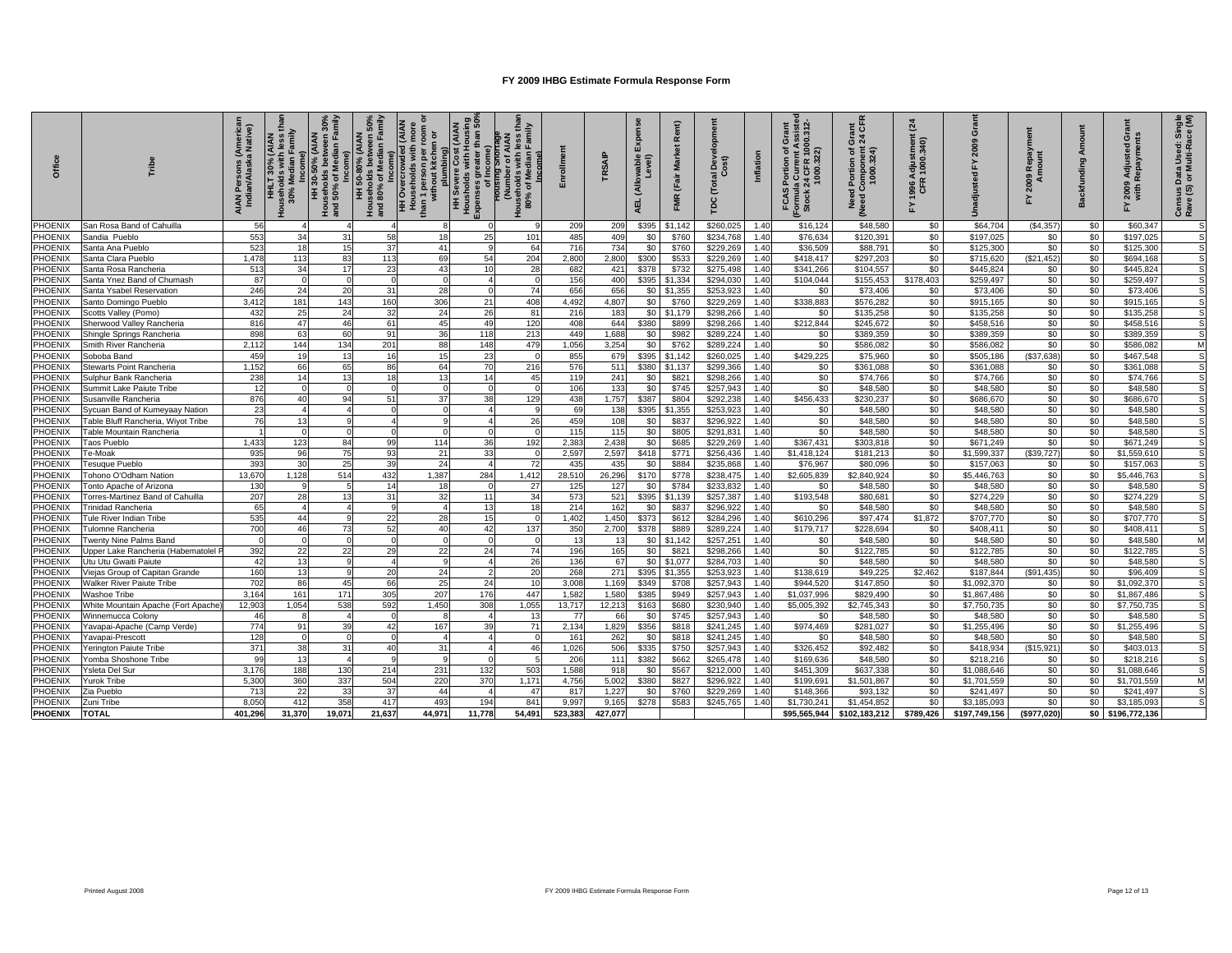|                | <b>Cribe</b>                       | (America<br>a Native)<br>훈<br>AIAN<br>India | amily<br>۱E)<br>E<br>30% M<br>Househo | 30%<br>etween 30'<br>adian Fami<br>HH 30-50% (AIAN<br>ne)<br>Households<br>and 50% of M | នី<br>HH 50-80% (AIAN<br>useholds between 50°<br>1 80% of Median Famil<br>ncome)<br>$rac{a}{2}$ | <b>HH Overcrowded (AIAN</b><br>room<br>ē<br>tchen or<br>than 1 per:<br>withou | ខ្លួនី<br>(AIAN<br>than<br>with Hous<br>M<br>  Housholds<br>  Housholds<br>  Expenses gro | less tha<br>Family<br>ebe:<br><br>International<br>তু হ<br>Househ<br>80% | ᄛ       | <b>TRSAIP</b> | wable<br><u>i</u><br><b>AEL</b> | Rent)<br><b>Market</b><br>(Fair<br><b>FMR</b> | Deve<br>ost)<br>$T$ otal<br>ပ္မ | Inflation | t Assiste<br>1000.312-<br>Grant<br>৳<br>ortion<br>. 또<br>000.<br>ā<br>$\overline{24}$<br>FCAS<br><b>Stock</b> | <b>ដ ង</b><br>$G\overline{a}$<br>mponent<br>000.324)<br>৳<br>ortion<br>ø.<br>ت<br>leed | $\mathbf{z}$<br>Adjustment<br>R 1000.340)<br>1996<br>λ, | σ<br>2009<br><b>Gd</b> | ) Repay<br>mount<br>2009 | Amoun<br><b>Pa</b><br><b>Backfund</b> | Adjust<br>Repayr<br>2009<br>with I<br>ፚ | Data Used: Single<br>or Multi-Race (M)<br>Census<br>Rave (S) |
|----------------|------------------------------------|---------------------------------------------|---------------------------------------|-----------------------------------------------------------------------------------------|-------------------------------------------------------------------------------------------------|-------------------------------------------------------------------------------|-------------------------------------------------------------------------------------------|--------------------------------------------------------------------------|---------|---------------|---------------------------------|-----------------------------------------------|---------------------------------|-----------|---------------------------------------------------------------------------------------------------------------|----------------------------------------------------------------------------------------|---------------------------------------------------------|------------------------|--------------------------|---------------------------------------|-----------------------------------------|--------------------------------------------------------------|
| PHOENIX        | San Rosa Band of Cahuilla          | 56                                          |                                       |                                                                                         |                                                                                                 |                                                                               |                                                                                           |                                                                          | 209     | 209           | \$395                           | \$1.142                                       | \$260.025                       | 1.40      | \$16,124                                                                                                      | \$48,580                                                                               | \$0                                                     | \$64.704               | (\$4,357                 | \$0                                   | \$60,347                                |                                                              |
| PHOENIX        | Sandia Pueblo                      | 553                                         | 34                                    | 31                                                                                      | 58                                                                                              |                                                                               | 25                                                                                        | 101                                                                      | 485     | 409           | \$0                             | \$760                                         | \$234.768                       | 1.40      | \$76.634                                                                                                      | \$120.391                                                                              | \$0                                                     | \$197.025              | \$0                      | \$0                                   | \$197.025                               |                                                              |
| PHOENIX        | Santa Ana Pueblo                   | 523                                         | 18                                    | 15                                                                                      | 37                                                                                              | 41                                                                            |                                                                                           | 64                                                                       | 716     | 734           | \$0                             | \$760                                         | \$229,269                       | 1.40      | \$36,509                                                                                                      | \$88,791                                                                               | \$0                                                     | \$125,300              | \$0                      | \$0                                   | \$125,300                               | S                                                            |
| PHOENIX        | Santa Clara Pueblo                 | 1,478                                       | 113                                   | 83                                                                                      | 113                                                                                             | 69                                                                            | 54                                                                                        | 204                                                                      | 2,800   | 2,800         | \$300                           | \$533                                         | \$229,269                       | 1.40      | \$418,417                                                                                                     | \$297,203                                                                              | \$0                                                     | \$715,620              | (\$21,452)               | \$0                                   | \$694,168                               |                                                              |
| PHOENIX        | Santa Rosa Rancheria               | 513                                         | 34                                    | 17                                                                                      | 23                                                                                              | 43                                                                            | 10                                                                                        | 28                                                                       | 682     | 421           | \$378                           | \$732                                         | \$275,498                       | 1.40      | \$341,266                                                                                                     | \$104,557                                                                              | \$0                                                     | \$445,824              | \$0                      | \$0                                   | \$445,824                               |                                                              |
| PHOENIX        | Santa Ynez Band of Chumash         | 87                                          |                                       | $\Omega$                                                                                |                                                                                                 | $\Omega$                                                                      |                                                                                           | $\Omega$                                                                 | 156     | 400           | \$395                           | \$1,334                                       | \$294.030                       | 1.40      | \$104.044                                                                                                     | \$155,453                                                                              | \$178,403                                               | \$259.497              | \$0                      | \$0                                   | \$259.497                               |                                                              |
| PHOENIX        | Santa Ysabel Reservation           | 246                                         | 24                                    | 20                                                                                      | 31                                                                                              | 28                                                                            |                                                                                           | 74                                                                       | 656     | 656           | \$0                             | \$1,355                                       | \$253,923                       | 1.40      | \$0                                                                                                           | \$73,406                                                                               | \$0                                                     | \$73,406               | \$0                      | \$0                                   | \$73,406                                |                                                              |
| PHOENIX        | Santo Domingo Pueblo               | 3,412                                       | 181                                   | 143                                                                                     | 160                                                                                             | 306                                                                           | 21                                                                                        | 408                                                                      | 4,492   | 4,807         | \$0                             | <b>\$760</b>                                  | \$229,269                       | 1.40      | \$338,883                                                                                                     | \$576,282                                                                              | \$0                                                     | \$915,165              | \$0                      | \$0                                   | \$915,165                               |                                                              |
| PHOENIX        | Scotts Valley (Pomo)               | 432                                         | 25                                    | 24                                                                                      | 32                                                                                              | 24                                                                            | 26                                                                                        | 81                                                                       | 216     | 183           | \$0                             | \$1,179                                       | \$298,266                       | 1.40      | \$0                                                                                                           | \$135.258                                                                              | \$0                                                     | \$135,258              | \$0                      | \$0                                   | \$135,258                               |                                                              |
| PHOENIX        | Sherwood Valley Rancheria          | 816                                         | 47                                    | 46                                                                                      | 61                                                                                              | 45                                                                            | 49                                                                                        | 120                                                                      | 408     | 644           | \$380                           | \$899                                         | \$298,266                       | 1.40      | \$212.844                                                                                                     | \$245,672                                                                              | \$0                                                     | \$458.516              | \$0                      | \$0                                   | \$458,516                               |                                                              |
| PHOENIX        | Shingle Springs Rancheria          | 898                                         | 63                                    | 60                                                                                      | 91                                                                                              | 36                                                                            | 118                                                                                       | 213                                                                      | 449     | 1,688         | \$0                             | \$982                                         | \$289.224                       | 1.40      | \$0                                                                                                           | \$389.359                                                                              | \$0                                                     | \$389.359              | \$0                      | \$0                                   | \$389.359                               |                                                              |
| PHOENIX        | Smith River Rancheria              | 2,112                                       | 144                                   | 134                                                                                     | 201                                                                                             | 88                                                                            | 148                                                                                       | 479                                                                      | 1.056   | 3.254         | \$0                             | \$762                                         | \$289.224                       | 1.40      | \$0                                                                                                           | \$586.082                                                                              | \$0                                                     | \$586.082              | \$0                      | \$0                                   | \$586.082                               | M                                                            |
| PHOENIX        | Soboba Band                        | 459                                         | 19                                    | 13                                                                                      | 16                                                                                              | 15                                                                            | 23                                                                                        |                                                                          | 855     | 679           | \$395                           | \$1.142                                       | \$260,025                       | 1.40      | \$429,225                                                                                                     | \$75,960                                                                               | \$0                                                     | \$505,186              | (\$37,638)               | \$0                                   | \$467,548                               |                                                              |
| PHOENIX        | <b>itewarts Point Rancheria</b>    | 1,152                                       | 66                                    | 65                                                                                      | 86                                                                                              | 64                                                                            | 70                                                                                        | 216                                                                      | 576     | 511           | \$380                           | \$1.137                                       | \$299,366                       | 1.40      | \$0                                                                                                           | \$361.088                                                                              | \$0                                                     | \$361,088              | \$0                      | \$0                                   | \$361.088                               |                                                              |
| PHOENIX        | Sulphur Bank Rancheria             | 238                                         | 14                                    | 13                                                                                      | 18                                                                                              | 13                                                                            | 14                                                                                        | 45                                                                       | 119     | 241           | \$0                             | \$821                                         | \$298,266                       | 1.40      | \$0                                                                                                           | \$74.766                                                                               | \$0                                                     | \$74,766               | \$0                      | \$0                                   | \$74.766                                |                                                              |
| PHOENIX        | Summit Lake Paiute Tribe           | 12                                          |                                       |                                                                                         |                                                                                                 |                                                                               |                                                                                           | $\Omega$                                                                 | 106     | 133           | \$0                             | \$745                                         | \$257,943                       | 1.40      | \$0                                                                                                           | \$48,580                                                                               | \$0                                                     | \$48,580               | \$0                      | \$0                                   | \$48,580                                |                                                              |
| PHOENIX        | iusanville Rancheria               | 876                                         | 40                                    | 94                                                                                      | 51                                                                                              | 37                                                                            | 38                                                                                        | 129                                                                      | 438     | 1.757         | \$387                           | \$804                                         | \$292.238                       | 1.40      | \$456,433                                                                                                     | \$230.237                                                                              | \$0                                                     | \$686,670              | \$0                      | \$0                                   | \$686,670                               |                                                              |
| PHOENIX        | Sycuan Band of Kumeyaay Nation     | 23                                          |                                       |                                                                                         |                                                                                                 | $\Omega$                                                                      |                                                                                           | $\mathbf{Q}$                                                             | 69      | 138           | \$395                           | \$1,355                                       | \$253,923                       | 1.40      | \$0                                                                                                           | \$48,580                                                                               | \$0                                                     | \$48,580               | \$0                      | \$0                                   | \$48,580                                |                                                              |
| PHOENIX        | able Bluff Rancheria, Wiyot Tribe  | 76                                          |                                       |                                                                                         |                                                                                                 |                                                                               |                                                                                           | 26                                                                       | 459     | 108           | \$0                             | \$837                                         | \$296,922                       | 1.40      | \$0                                                                                                           | \$48,580                                                                               | \$0                                                     | \$48,580               | \$0                      | \$0                                   | \$48,580                                |                                                              |
| PHOENIX        | <b>Fable Mountain Rancheria</b>    |                                             |                                       |                                                                                         |                                                                                                 |                                                                               |                                                                                           |                                                                          | 115     | 115           | \$0                             | \$805                                         | \$291,83                        | 1.40      | \$0                                                                                                           | \$48,580                                                                               | \$0                                                     | \$48,580               | \$0                      | \$0                                   | \$48,580                                |                                                              |
| PHOENIX        | aos Pueblo                         | 1,433                                       | 123                                   | 84                                                                                      | 99                                                                                              | 114                                                                           | 36                                                                                        | 192                                                                      | 2,383   | 2.438         | \$0                             | \$685                                         | \$229,269                       | 1.40      | \$367,431                                                                                                     | \$303.818                                                                              | \$0                                                     | \$671,249              | \$0                      | \$0                                   | \$671,249                               |                                                              |
| PHOENIX        | e-Moak                             | 935                                         | 96                                    | 75                                                                                      | 93                                                                                              | 21                                                                            | 33                                                                                        |                                                                          | 2,59    | 2,597         | \$418                           | \$771                                         | \$256,436                       | 1.40      | \$1,418,124                                                                                                   | \$181,213                                                                              | \$0                                                     | \$1,599,337            | (\$39,727)               | \$0                                   | \$1,559,610                             |                                                              |
| PHOENIX        | esuque Pueblo                      | 393                                         | 30                                    | 25                                                                                      | 39                                                                                              | 24                                                                            |                                                                                           | 72                                                                       | 435     | 435           | \$0                             | \$884                                         | \$235,868                       | 1.4(      | \$76,967                                                                                                      | \$80,096                                                                               | \$0                                                     | \$157,063              | \$0                      | \$0                                   | \$157,063                               |                                                              |
| PHOENIX        | Tohono O'Odham Nation              | 13,67                                       | 1,128                                 | 514                                                                                     | 432                                                                                             | 1,387                                                                         | 284                                                                                       | 1,412                                                                    | 28,510  | 26,296        | \$170                           | \$778                                         | \$238,475                       | 1.40      | \$2,605.839                                                                                                   | \$2,840,924                                                                            | \$0                                                     | \$5,446,763            | \$0                      | \$0                                   | \$5,446,763                             |                                                              |
| PHOENIX        | onto Apache of Arizona             | 130                                         |                                       |                                                                                         | 14                                                                                              |                                                                               |                                                                                           | 27                                                                       | 125     | 127           | \$0                             | \$784                                         | \$233,832                       | 1.40      | \$0                                                                                                           | \$48,580                                                                               | \$0                                                     | \$48,580               | \$0                      | \$0                                   | \$48,580                                |                                                              |
| PHOENIX        | orres-Martinez Band of Cahuilla    | 207                                         | 28                                    | 13                                                                                      | 31                                                                                              | 32                                                                            | 11                                                                                        | 34                                                                       | 573     | 521           | \$395                           | \$1.139                                       | \$257.387                       | 1.40      | \$193,548                                                                                                     | \$80.681                                                                               | \$0                                                     | \$274.229              | \$0                      | \$0                                   | \$274.229                               |                                                              |
| PHOENIX        | Trinidad Rancheria                 | 65                                          |                                       |                                                                                         |                                                                                                 | $\mathbf{A}$                                                                  | 13                                                                                        | 18                                                                       | 214     | 162           | \$0                             | \$837                                         | \$296,922                       | 1.40      | \$0                                                                                                           | \$48,580                                                                               | \$0                                                     | \$48,580               | \$0                      | \$0                                   | \$48,580                                |                                                              |
| PHOENIX        | Tule River Indian Tribe            | 535                                         | 44                                    |                                                                                         | 22                                                                                              | 28                                                                            | 15                                                                                        | $\Omega$                                                                 | 1,402   | 1,450         | \$373                           | \$612                                         | \$284,296                       | 1.40      | \$610,296                                                                                                     | \$97,474                                                                               | \$1,872                                                 | \$707,770              | \$0                      | \$0                                   | \$707,770                               |                                                              |
| <b>PHOENIX</b> | ulomne Rancheria                   | 700                                         | 46                                    | 73                                                                                      | 52                                                                                              | 40                                                                            | 42                                                                                        | 137                                                                      | 350     | 2,700         | \$378                           | \$889                                         | \$289,224                       | 1.4(      | \$179,717                                                                                                     | \$228,694                                                                              | \$0                                                     | \$408,41               | \$0                      | \$0                                   | \$408,411                               |                                                              |
| PHOENIX        | wenty Nine Palms Band              |                                             |                                       | $\Omega$                                                                                |                                                                                                 | $\Omega$                                                                      |                                                                                           | $\Omega$                                                                 | -13     | -13           | \$0                             | \$1,142                                       | \$257,251                       | 1.40      | \$0                                                                                                           | \$48,580                                                                               | \$0                                                     | \$48,580               | \$0                      | \$0                                   | \$48,580                                | M                                                            |
| PHOENIX        | Ipper Lake Rancheria (Habematolel  | 392                                         | 22                                    | 22                                                                                      | 29                                                                                              | 22                                                                            | 24                                                                                        | 74                                                                       | 196     | 165           | \$0                             | \$82                                          | \$298,266                       | 1.4(      | \$0                                                                                                           | \$122,785                                                                              | \$0                                                     | \$122,785              | \$0                      | \$0                                   | \$122,785                               |                                                              |
| PHOENIX        | Itu Utu Gwaiti Paiute              | 42                                          |                                       |                                                                                         |                                                                                                 |                                                                               |                                                                                           | 26                                                                       | 136     | 67            | \$0                             | \$1,077                                       | \$284,703                       | 1.40      | \$0                                                                                                           | \$48,580                                                                               | \$0                                                     | \$48,580               | \$0                      | \$0                                   | \$48,580                                |                                                              |
| PHOENIX        | lejas Group of Capitan Grande      | 160                                         | 13                                    |                                                                                         | 20                                                                                              | 24                                                                            |                                                                                           | 20                                                                       | 268     | 271           | \$395                           | \$1,355                                       | \$253,923                       | 1.40      | \$138,619                                                                                                     | \$49,225                                                                               | \$2,462                                                 | \$187,844              | (\$91,435)               | \$0                                   | \$96,409                                |                                                              |
| PHOENIX        | Valker River Paiute Tribe          | 702                                         | 86                                    | 45                                                                                      | 66                                                                                              | 25                                                                            | 24                                                                                        | 10                                                                       | 3,008   | 1,169         | \$349                           | \$708                                         | \$257,943                       | 1.40      | \$944.520                                                                                                     | \$147,850                                                                              | \$0                                                     | \$1,092,370            | \$0                      | \$0                                   | \$1.092.370                             |                                                              |
| PHOENIX        | Vashoe Tribe                       | 3.164                                       | 161                                   | 171                                                                                     | 305                                                                                             | 207                                                                           | 176                                                                                       | 447                                                                      | 1.582   | 1.580         | \$385                           | \$949                                         | \$257.943                       | 1.4(      | \$1,037,996                                                                                                   | \$829.490                                                                              | \$0                                                     | \$1,867,486            | \$0                      | \$0                                   | \$1,867,486                             |                                                              |
| PHOENIX        | Vhite Mountain Apache (Fort Apache | 12.90                                       | 1.054                                 | 538                                                                                     | 592                                                                                             | 1.45 <sub>0</sub>                                                             | 308                                                                                       | 1,055                                                                    | 13,717  | 12,213        | \$163                           | \$680                                         | \$230,940                       | 1.40      | \$5,005,392                                                                                                   | \$2.745.343                                                                            | \$0                                                     | \$7,750,735            | \$0                      | \$0                                   | \$7,750,735                             |                                                              |
| PHOENIX        | Vinnemucca Colony                  | 46                                          |                                       |                                                                                         |                                                                                                 |                                                                               |                                                                                           | 13                                                                       | -77     | 66            | \$0                             | \$745                                         | \$257,943                       | 1.40      | \$0                                                                                                           | \$48,580                                                                               | \$0                                                     | \$48,580               | \$0                      | \$0                                   | \$48,580                                |                                                              |
| PHOENIX        | Yavapai-Apache (Camp Verde)        | 774                                         | ġ.                                    | 39                                                                                      | 42                                                                                              | 167                                                                           | 39                                                                                        | 71                                                                       | 2,134   | 1,829         | \$356                           | \$818                                         | \$241,245                       | 1.40      | \$974,469                                                                                                     | \$281,027                                                                              | \$0                                                     | \$1,255,496            | \$0                      | \$0                                   | \$1,255,496                             |                                                              |
| PHOENIX        | Yavapai-Prescott                   | 128                                         | $\Omega$                              | $\overline{0}$                                                                          |                                                                                                 | $\mathbf{A}$                                                                  |                                                                                           | $\Omega$                                                                 | 161     | 262           | \$0                             | \$818                                         | \$241,245                       | 1.40      | \$0                                                                                                           | \$48,580                                                                               | \$0                                                     | \$48,580               | \$0                      | \$0                                   | \$48,580                                |                                                              |
| PHOENIX        | erington Paiute Tribe              | 371                                         | 38                                    | 31                                                                                      | 40                                                                                              | 31                                                                            |                                                                                           | 46                                                                       | 1,026   | 506           | \$335                           | \$750                                         | \$257,943                       | 1.40      | \$326,452                                                                                                     | \$92,482                                                                               | \$0                                                     | \$418,934              | (\$15,921                | \$0                                   | \$403,013                               |                                                              |
| PHOENIX        | 'omba Shoshone Tribe               | 99                                          | 13                                    |                                                                                         |                                                                                                 |                                                                               |                                                                                           |                                                                          | 206     | 111           | \$382                           | \$662                                         | \$265,478                       | 1.4(      | \$169,636                                                                                                     | \$48,580                                                                               | \$0                                                     | \$218.216              | \$0                      | \$0                                   | \$218,216                               |                                                              |
| PHOENIX        | Sleta Del Sur                      | 3,176                                       | 188                                   | 130                                                                                     | 214                                                                                             | 231                                                                           | 132                                                                                       | 503                                                                      | 1,588   | 918           | \$0                             | \$567                                         | \$212,000                       | 1.40      | \$451,309                                                                                                     | \$637,338                                                                              | \$0                                                     | \$1,088,646            | \$0                      | \$0                                   | \$1,088,646                             |                                                              |
| PHOENIX        | urok Tribe                         | 5,300                                       | 360                                   | 337                                                                                     | 504                                                                                             | 220                                                                           | 370                                                                                       | 1,171                                                                    | 4,756   | 5,002         | \$380                           | \$827                                         | \$296,922                       | 1.40      | \$199,691                                                                                                     | \$1,501,867                                                                            | \$0                                                     | \$1,701,559            | \$0                      | \$0                                   | \$1,701,559                             |                                                              |
| PHOENIX        | ia Pueblo                          | 713                                         | 22                                    | 33                                                                                      | 37                                                                                              | 44                                                                            |                                                                                           | 47                                                                       | 817     | 1.227         | \$0                             | \$760                                         | \$229.269                       | 1.40      | \$148,366                                                                                                     | \$93.132                                                                               | \$0                                                     | \$241.497              | \$0                      | \$0                                   | \$241.497                               |                                                              |
| PHOENIX        | Zuni Tribe                         | 8.05                                        | 412                                   | 358                                                                                     | 417                                                                                             | 493                                                                           | 194                                                                                       | 841                                                                      | 9.997   | 9.165         | \$278                           | \$583                                         | \$245.765                       | 1.40      | \$1,730,241                                                                                                   | \$1,454,852                                                                            | \$0                                                     | \$3,185,093            | \$0                      | \$0                                   | \$3,185,093                             |                                                              |
| <b>PHOENIX</b> | <b>TOTAL</b>                       | 401.296                                     | 31.370                                | 19.071                                                                                  | 21.637                                                                                          | 44.971                                                                        | 11.778                                                                                    | 54.491                                                                   | 523.383 | 427.077       |                                 |                                               |                                 |           | \$95.565.944                                                                                                  | \$102.183.212                                                                          | \$789.426                                               | \$197.749.156          | (\$977.020)              | so I                                  | \$196.772.136                           |                                                              |
|                |                                    |                                             |                                       |                                                                                         |                                                                                                 |                                                                               |                                                                                           |                                                                          |         |               |                                 |                                               |                                 |           |                                                                                                               |                                                                                        |                                                         |                        |                          |                                       |                                         |                                                              |